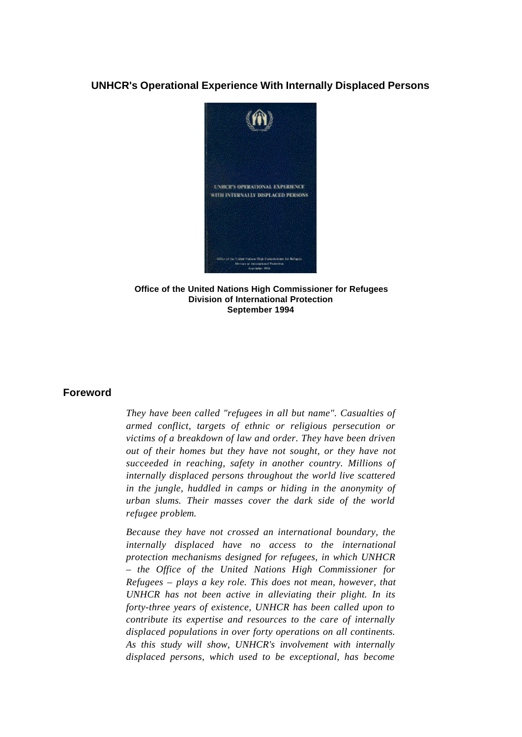# **UNHCR's Operational Experience With Internally Displaced Persons**



### **Office of the United Nations High Commissioner for Refugees Division of International Protection September 1994**

# **Foreword**

*They have been called "refugees in all but name". Casualties of armed conflict, targets of ethnic or religious persecution or victims of a breakdown of law and order. They have been driven out of their homes but they have not sought, or they have not succeeded in reaching, safety in another country. Millions of internally displaced persons throughout the world live scattered in the jungle, huddled in camps or hiding in the anonymity of urban slums. Their masses cover the dark side of the world refugee problem.* 

*Because they have not crossed an international boundary, the internally displaced have no access to the international protection mechanisms designed for refugees, in which UNHCR – the Office of the United Nations High Commissioner for Refugees – plays a key role. This does not mean, however, that UNHCR has not been active in alleviating their plight. In its forty-three years of existence, UNHCR has been called upon to contribute its expertise and resources to the care of internally displaced populations in over forty operations on all continents. As this study will show, UNHCR's involvement with internally displaced persons, which used to be exceptional, has become*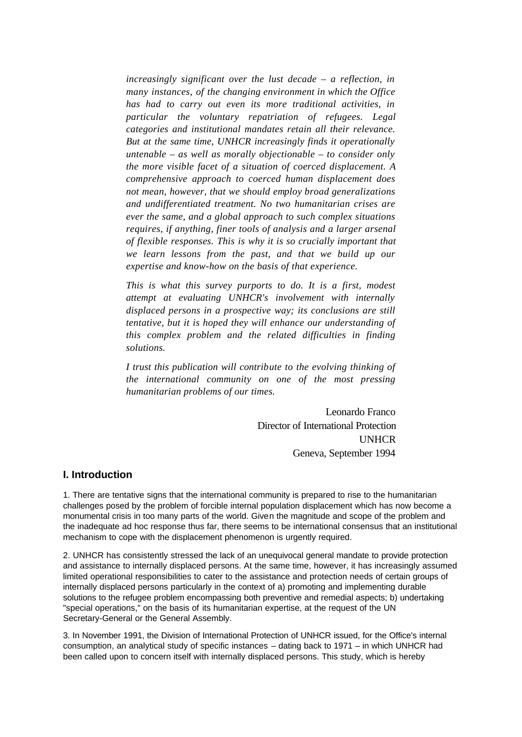*increasingly significant over the lust decade – a reflection, in many instances, of the changing environment in which the Office has had to carry out even its more traditional activities, in particular the voluntary repatriation of refugees. Legal categories and institutional mandates retain all their relevance. But at the same time, UNHCR increasingly finds it operationally untenable – as well as morally objectionable – to consider only the more visible facet of a situation of coerced displacement. A comprehensive approach to coerced human displacement does not mean, however, that we should employ broad generalizations and undifferentiated treatment. No two humanitarian crises are ever the same, and a global approach to such complex situations requires, if anything, finer tools of analysis and a larger arsenal of flexible responses. This is why it is so crucially important that we learn lessons from the past, and that we build up our expertise and know-how on the basis of that experience.* 

*This is what this survey purports to do. It is a first, modest attempt at evaluating UNHCR's involvement with internally displaced persons in a prospective way; its conclusions are still tentative, but it is hoped they will enhance our understanding of this complex problem and the related difficulties in finding solutions.* 

*I trust this publication will contribute to the evolving thinking of the international community on one of the most pressing humanitarian problems of our times.* 

> Leonardo Franco Director of International Protection UNHCR Geneva, September 1994

# **I. Introduction**

1. There are tentative signs that the international community is prepared to rise to the humanitarian challenges posed by the problem of forcible internal population displacement which has now become a monumental crisis in too many parts of the world. Given the magnitude and scope of the problem and the inadequate ad hoc response thus far, there seems to be international consensus that an institutional mechanism to cope with the displacement phenomenon is urgently required.

2. UNHCR has consistently stressed the lack of an unequivocal general mandate to provide protection and assistance to internally displaced persons. At the same time, however, it has increasingly assumed limited operational responsibilities to cater to the assistance and protection needs of certain groups of internally displaced persons particularly in the context of a) promoting and implementing durable solutions to the refugee problem encompassing both preventive and remedial aspects; b) undertaking "special operations," on the basis of its humanitarian expertise, at the request of the UN Secretary-General or the General Assembly.

3. In November 1991, the Division of International Protection of UNHCR issued, for the Office's internal consumption, an analytical study of specific instances – dating back to 1971 – in which UNHCR had been called upon to concern itself with internally displaced persons. This study, which is hereby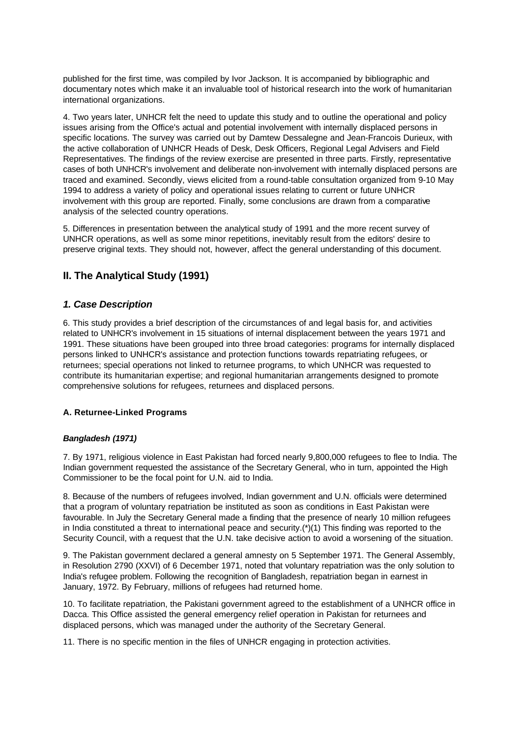published for the first time, was compiled by Ivor Jackson. It is accompanied by bibliographic and documentary notes which make it an invaluable tool of historical research into the work of humanitarian international organizations.

4. Two years later, UNHCR felt the need to update this study and to outline the operational and policy issues arising from the Office's actual and potential involvement with internally displaced persons in specific locations. The survey was carried out by Damtew Dessalegne and Jean-Francois Durieux, with the active collaboration of UNHCR Heads of Desk, Desk Officers, Regional Legal Advisers and Field Representatives. The findings of the review exercise are presented in three parts. Firstly, representative cases of both UNHCR's involvement and deliberate non-involvement with internally displaced persons are traced and examined. Secondly, views elicited from a round-table consultation organized from 9-10 May 1994 to address a variety of policy and operational issues relating to current or future UNHCR involvement with this group are reported. Finally, some conclusions are drawn from a comparative analysis of the selected country operations.

5. Differences in presentation between the analytical study of 1991 and the more recent survey of UNHCR operations, as well as some minor repetitions, inevitably result from the editors' desire to preserve original texts. They should not, however, affect the general understanding of this document.

# **II. The Analytical Study (1991)**

# *1. Case Description*

6. This study provides a brief description of the circumstances of and legal basis for, and activities related to UNHCR's involvement in 15 situations of internal displacement between the years 1971 and 1991. These situations have been grouped into three broad categories: programs for internally displaced persons linked to UNHCR's assistance and protection functions towards repatriating refugees, or returnees; special operations not linked to returnee programs, to which UNHCR was requested to contribute its humanitarian expertise; and regional humanitarian arrangements designed to promote comprehensive solutions for refugees, returnees and displaced persons.

## **A. Returnee-Linked Programs**

### *Bangladesh (1971)*

7. By 1971, religious violence in East Pakistan had forced nearly 9,800,000 refugees to flee to India. The Indian government requested the assistance of the Secretary General, who in turn, appointed the High Commissioner to be the focal point for U.N. aid to India.

8. Because of the numbers of refugees involved, Indian government and U.N. officials were determined that a program of voluntary repatriation be instituted as soon as conditions in East Pakistan were favourable. In July the Secretary General made a finding that the presence of nearly 10 million refugees in India constituted a threat to international peace and security.(\*)(1) This finding was reported to the Security Council, with a request that the U.N. take decisive action to avoid a worsening of the situation.

9. The Pakistan government declared a general amnesty on 5 September 1971. The General Assembly, in Resolution 2790 (XXVI) of 6 December 1971, noted that voluntary repatriation was the only solution to India's refugee problem. Following the recognition of Bangladesh, repatriation began in earnest in January, 1972. By February, millions of refugees had returned home.

10. To facilitate repatriation, the Pakistani government agreed to the establishment of a UNHCR office in Dacca. This Office assisted the general emergency relief operation in Pakistan for returnees and displaced persons, which was managed under the authority of the Secretary General.

11. There is no specific mention in the files of UNHCR engaging in protection activities.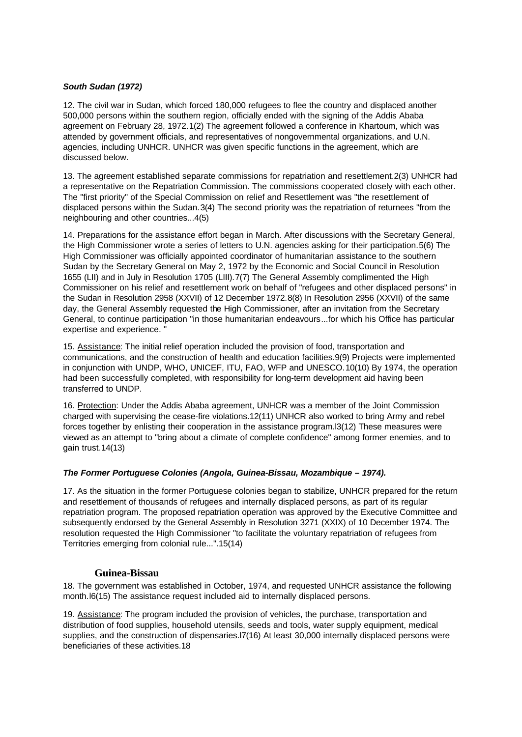## *South Sudan (1972)*

12. The civil war in Sudan, which forced 180,000 refugees to flee the country and displaced another 500,000 persons within the southern region, officially ended with the signing of the Addis Ababa agreement on February 28, 1972.1(2) The agreement followed a conference in Khartoum, which was attended by government officials, and representatives of nongovernmental organizations, and U.N. agencies, including UNHCR. UNHCR was given specific functions in the agreement, which are discussed below.

13. The agreement established separate commissions for repatriation and resettlement.2(3) UNHCR had a representative on the Repatriation Commission. The commissions cooperated closely with each other. The "first priority" of the Special Commission on relief and Resettlement was "the resettlement of displaced persons within the Sudan.3(4) The second priority was the repatriation of returnees "from the neighbouring and other countries...4(5)

14. Preparations for the assistance effort began in March. After discussions with the Secretary General, the High Commissioner wrote a series of letters to U.N. agencies asking for their participation.5(6) The High Commissioner was officially appointed coordinator of humanitarian assistance to the southern Sudan by the Secretary General on May 2, 1972 by the Economic and Social Council in Resolution 1655 (LII) and in July in Resolution 1705 (LIII).7(7) The General Assembly complimented the High Commissioner on his relief and resettlement work on behalf of "refugees and other displaced persons" in the Sudan in Resolution 2958 (XXVII) of 12 December 1972.8(8) In Resolution 2956 (XXVII) of the same day, the General Assembly requested the High Commissioner, after an invitation from the Secretary General, to continue participation "in those humanitarian endeavours...for which his Office has particular expertise and experience. "

15. Assistance: The initial relief operation included the provision of food, transportation and communications, and the construction of health and education facilities.9(9) Projects were implemented in conjunction with UNDP, WHO, UNICEF, ITU, FAO, WFP and UNESCO.10(10) By 1974, the operation had been successfully completed, with responsibility for long-term development aid having been transferred to UNDP.

16. Protection: Under the Addis Ababa agreement, UNHCR was a member of the Joint Commission charged with supervising the cease-fire violations.12(11) UNHCR also worked to bring Army and rebel forces together by enlisting their cooperation in the assistance program.l3(12) These measures were viewed as an attempt to "bring about a climate of complete confidence" among former enemies, and to gain trust.14(13)

### *The Former Portuguese Colonies (Angola, Guinea-Bissau, Mozambique – 1974).*

17. As the situation in the former Portuguese colonies began to stabilize, UNHCR prepared for the return and resettlement of thousands of refugees and internally displaced persons, as part of its regular repatriation program. The proposed repatriation operation was approved by the Executive Committee and subsequently endorsed by the General Assembly in Resolution 3271 (XXIX) of 10 December 1974. The resolution requested the High Commissioner "to facilitate the voluntary repatriation of refugees from Territories emerging from colonial rule...".15(14)

## **Guinea-Bissau**

18. The government was established in October, 1974, and requested UNHCR assistance the following month.l6(15) The assistance request included aid to internally displaced persons.

19. Assistance: The program included the provision of vehicles, the purchase, transportation and distribution of food supplies, household utensils, seeds and tools, water supply equipment, medical supplies, and the construction of dispensaries.l7(16) At least 30,000 internally displaced persons were beneficiaries of these activities.18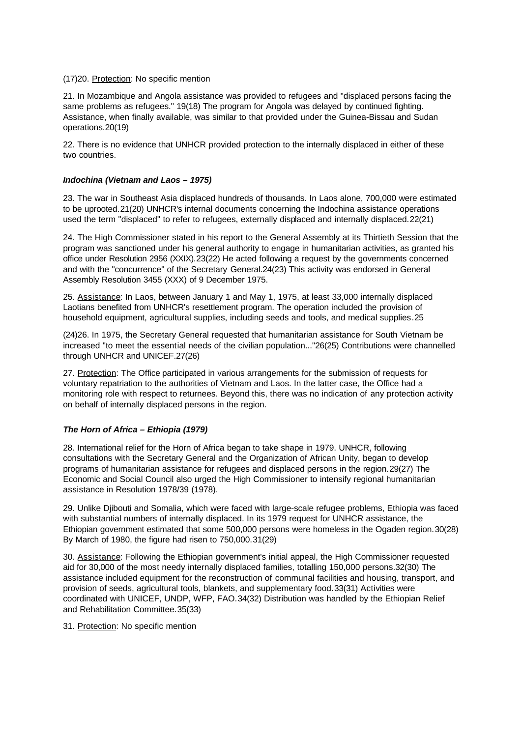### (17)20. Protection: No specific mention

21. In Mozambique and Angola assistance was provided to refugees and "displaced persons facing the same problems as refugees." 19(18) The program for Angola was delayed by continued fighting. Assistance, when finally available, was similar to that provided under the Guinea-Bissau and Sudan operations.20(19)

22. There is no evidence that UNHCR provided protection to the internally displaced in either of these two countries.

### *Indochina (Vietnam and Laos – 1975)*

23. The war in Southeast Asia displaced hundreds of thousands. In Laos alone, 700,000 were estimated to be uprooted.21(20) UNHCR's internal documents concerning the Indochina assistance operations used the term "displaced" to refer to refugees, externally displaced and internally displaced.22(21)

24. The High Commissioner stated in his report to the General Assembly at its Thirtieth Session that the program was sanctioned under his general authority to engage in humanitarian activities, as granted his office under Resolution 2956 (XXIX).23(22) He acted following a request by the governments concerned and with the "concurrence" of the Secretary General.24(23) This activity was endorsed in General Assembly Resolution 3455 (XXX) of 9 December 1975.

25. Assistance: In Laos, between January 1 and May 1, 1975, at least 33,000 internally displaced Laotians benefited from UNHCR's resettlement program. The operation included the provision of household equipment, agricultural supplies, including seeds and tools, and medical supplies.25

(24)26. In 1975, the Secretary General requested that humanitarian assistance for South Vietnam be increased "to meet the essential needs of the civilian population..."26(25) Contributions were channelled through UNHCR and UNICEF.27(26)

27. Protection: The Office participated in various arrangements for the submission of requests for voluntary repatriation to the authorities of Vietnam and Laos. In the latter case, the Office had a monitoring role with respect to returnees. Beyond this, there was no indication of any protection activity on behalf of internally displaced persons in the region.

## *The Horn of Africa – Ethiopia (1979)*

28. International relief for the Horn of Africa began to take shape in 1979. UNHCR, following consultations with the Secretary General and the Organization of African Unity, began to develop programs of humanitarian assistance for refugees and displaced persons in the region.29(27) The Economic and Social Council also urged the High Commissioner to intensify regional humanitarian assistance in Resolution 1978/39 (1978).

29. Unlike Djibouti and Somalia, which were faced with large-scale refugee problems, Ethiopia was faced with substantial numbers of internally displaced. In its 1979 request for UNHCR assistance, the Ethiopian government estimated that some 500,000 persons were homeless in the Ogaden region.30(28) By March of 1980, the figure had risen to 750,000.31(29)

30. Assistance: Following the Ethiopian government's initial appeal, the High Commissioner requested aid for 30,000 of the most needy internally displaced families, totalling 150,000 persons.32(30) The assistance included equipment for the reconstruction of communal facilities and housing, transport, and provision of seeds, agricultural tools, blankets, and supplementary food.33(31) Activities were coordinated with UNICEF, UNDP, WFP, FAO.34(32) Distribution was handled by the Ethiopian Relief and Rehabilitation Committee.35(33)

31. Protection: No specific mention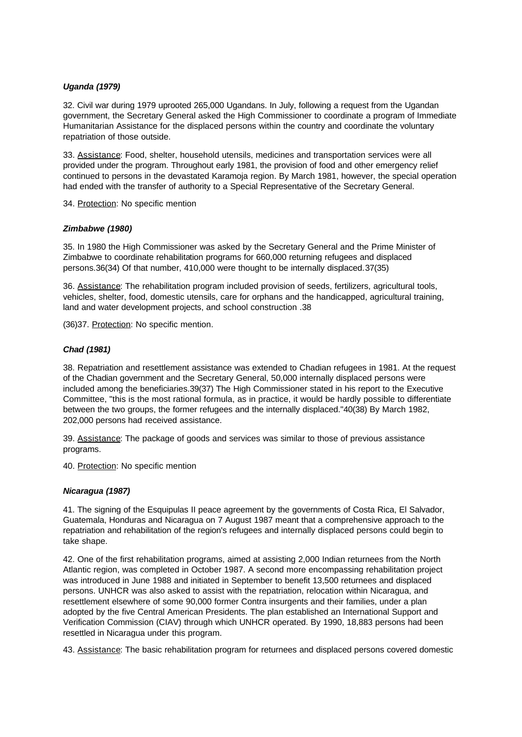## *Uganda (1979)*

32. Civil war during 1979 uprooted 265,000 Ugandans. In July, following a request from the Ugandan government, the Secretary General asked the High Commissioner to coordinate a program of Immediate Humanitarian Assistance for the displaced persons within the country and coordinate the voluntary repatriation of those outside.

33. Assistance: Food, shelter, household utensils, medicines and transportation services were all provided under the program. Throughout early 1981, the provision of food and other emergency relief continued to persons in the devastated Karamoja region. By March 1981, however, the special operation had ended with the transfer of authority to a Special Representative of the Secretary General.

34. Protection: No specific mention

### *Zimbabwe (1980)*

35. In 1980 the High Commissioner was asked by the Secretary General and the Prime Minister of Zimbabwe to coordinate rehabilitation programs for 660,000 returning refugees and displaced persons.36(34) Of that number, 410,000 were thought to be internally displaced.37(35)

36. Assistance: The rehabilitation program included provision of seeds, fertilizers, agricultural tools, vehicles, shelter, food, domestic utensils, care for orphans and the handicapped, agricultural training, land and water development projects, and school construction .38

(36)37. Protection: No specific mention.

#### *Chad (1981)*

38. Repatriation and resettlement assistance was extended to Chadian refugees in 1981. At the request of the Chadian government and the Secretary General, 50,000 internally displaced persons were included among the beneficiaries.39(37) The High Commissioner stated in his report to the Executive Committee, "this is the most rational formula, as in practice, it would be hardly possible to differentiate between the two groups, the former refugees and the internally displaced."40(38) By March 1982, 202,000 persons had received assistance.

39. Assistance: The package of goods and services was similar to those of previous assistance programs.

40. Protection: No specific mention

#### *Nicaragua (1987)*

41. The signing of the Esquipulas II peace agreement by the governments of Costa Rica, El Salvador, Guatemala, Honduras and Nicaragua on 7 August 1987 meant that a comprehensive approach to the repatriation and rehabilitation of the region's refugees and internally displaced persons could begin to take shape.

42. One of the first rehabilitation programs, aimed at assisting 2,000 Indian returnees from the North Atlantic region, was completed in October 1987. A second more encompassing rehabilitation project was introduced in June 1988 and initiated in September to benefit 13,500 returnees and displaced persons. UNHCR was also asked to assist with the repatriation, relocation within Nicaragua, and resettlement elsewhere of some 90,000 former Contra insurgents and their families, under a plan adopted by the five Central American Presidents. The plan established an International Support and Verification Commission (CIAV) through which UNHCR operated. By 1990, 18,883 persons had been resettled in Nicaragua under this program.

43. Assistance: The basic rehabilitation program for returnees and displaced persons covered domestic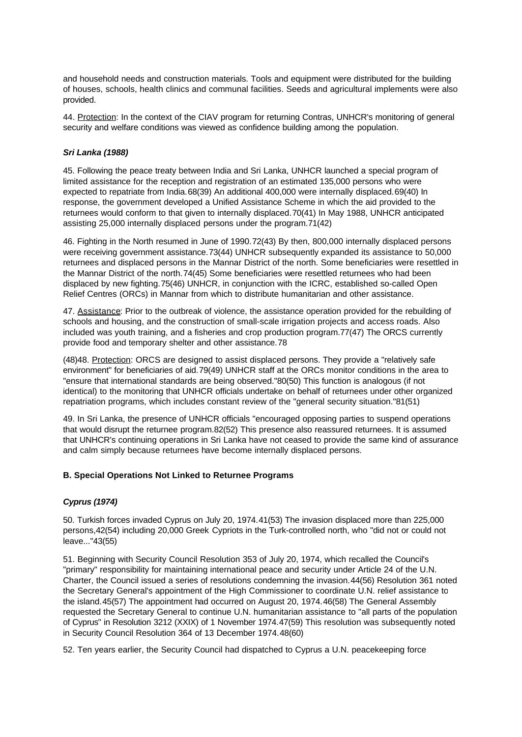and household needs and construction materials. Tools and equipment were distributed for the building of houses, schools, health clinics and communal facilities. Seeds and agricultural implements were also provided.

44. Protection: In the context of the CIAV program for returning Contras, UNHCR's monitoring of general security and welfare conditions was viewed as confidence building among the population.

### *Sri Lanka (1988)*

45. Following the peace treaty between India and Sri Lanka, UNHCR launched a special program of limited assistance for the reception and registration of an estimated 135,000 persons who were expected to repatriate from India.68(39) An additional 400,000 were internally displaced.69(40) In response, the government developed a Unified Assistance Scheme in which the aid provided to the returnees would conform to that given to internally displaced.70(41) In May 1988, UNHCR anticipated assisting 25,000 internally displaced persons under the program.71(42)

46. Fighting in the North resumed in June of 1990.72(43) By then, 800,000 internally displaced persons were receiving government assistance.73(44) UNHCR subsequently expanded its assistance to 50,000 returnees and displaced persons in the Mannar District of the north. Some beneficiaries were resettled in the Mannar District of the north.74(45) Some beneficiaries were resettled returnees who had been displaced by new fighting.75(46) UNHCR, in conjunction with the ICRC, established so-called Open Relief Centres (ORCs) in Mannar from which to distribute humanitarian and other assistance.

47. Assistance: Prior to the outbreak of violence, the assistance operation provided for the rebuilding of schools and housing, and the construction of small-scale irrigation projects and access roads. Also included was youth training, and a fisheries and crop production program.77(47) The ORCS currently provide food and temporary shelter and other assistance.78

(48)48. Protection: ORCS are designed to assist displaced persons. They provide a "relatively safe environment" for beneficiaries of aid.79(49) UNHCR staff at the ORCs monitor conditions in the area to "ensure that international standards are being observed."80(50) This function is analogous (if not identical) to the monitoring that UNHCR officials undertake on behalf of returnees under other organized repatriation programs, which includes constant review of the "general security situation."81(51)

49. In Sri Lanka, the presence of UNHCR officials "encouraged opposing parties to suspend operations that would disrupt the returnee program.82(52) This presence also reassured returnees. It is assumed that UNHCR's continuing operations in Sri Lanka have not ceased to provide the same kind of assurance and calm simply because returnees have become internally displaced persons.

### **B. Special Operations Not Linked to Returnee Programs**

## *Cyprus (1974)*

50. Turkish forces invaded Cyprus on July 20, 1974.41(53) The invasion displaced more than 225,000 persons,42(54) including 20,000 Greek Cypriots in the Turk-controlled north, who "did not or could not leave..."43(55)

51. Beginning with Security Council Resolution 353 of July 20, 1974, which recalled the Council's "primary" responsibility for maintaining international peace and security under Article 24 of the U.N. Charter, the Council issued a series of resolutions condemning the invasion.44(56) Resolution 361 noted the Secretary General's appointment of the High Commissioner to coordinate U.N. relief assistance to the island.45(57) The appointment had occurred on August 20, 1974.46(58) The General Assembly requested the Secretary General to continue U.N. humanitarian assistance to "all parts of the population of Cyprus" in Resolution 3212 (XXIX) of 1 November 1974.47(59) This resolution was subsequently noted in Security Council Resolution 364 of 13 December 1974.48(60)

52. Ten years earlier, the Security Council had dispatched to Cyprus a U.N. peacekeeping force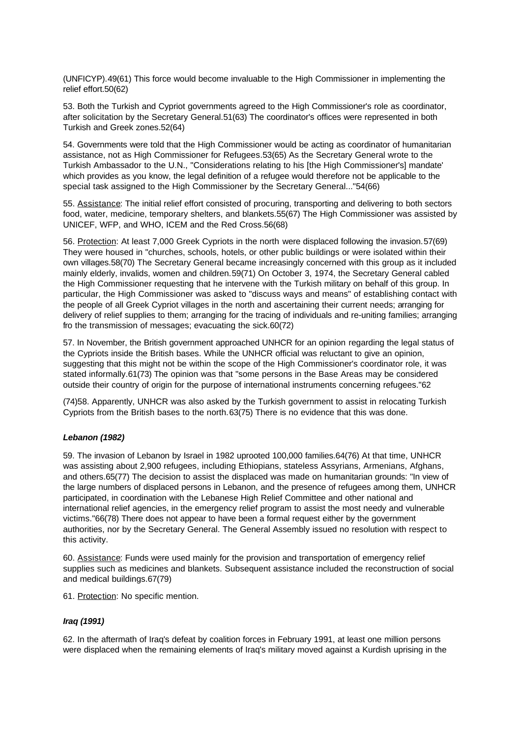(UNFICYP).49(61) This force would become invaluable to the High Commissioner in implementing the relief effort.50(62)

53. Both the Turkish and Cypriot governments agreed to the High Commissioner's role as coordinator, after solicitation by the Secretary General.51(63) The coordinator's offices were represented in both Turkish and Greek zones.52(64)

54. Governments were told that the High Commissioner would be acting as coordinator of humanitarian assistance, not as High Commissioner for Refugees.53(65) As the Secretary General wrote to the Turkish Ambassador to the U.N., "Considerations relating to his [the High Commissioner's] mandate' which provides as you know, the legal definition of a refugee would therefore not be applicable to the special task assigned to the High Commissioner by the Secretary General..."54(66)

55. Assistance: The initial relief effort consisted of procuring, transporting and delivering to both sectors food, water, medicine, temporary shelters, and blankets.55(67) The High Commissioner was assisted by UNICEF, WFP, and WHO, ICEM and the Red Cross.56(68)

56. Protection: At least 7,000 Greek Cypriots in the north were displaced following the invasion.57(69) They were housed in "churches, schools, hotels, or other public buildings or were isolated within their own villages.58(70) The Secretary General became increasingly concerned with this group as it included mainly elderly, invalids, women and children.59(71) On October 3, 1974, the Secretary General cabled the High Commissioner requesting that he intervene with the Turkish military on behalf of this group. In particular, the High Commissioner was asked to "discuss ways and means" of establishing contact with the people of all Greek Cypriot villages in the north and ascertaining their current needs; arranging for delivery of relief supplies to them; arranging for the tracing of individuals and re-uniting families; arranging fro the transmission of messages; evacuating the sick.60(72)

57. In November, the British government approached UNHCR for an opinion regarding the legal status of the Cypriots inside the British bases. While the UNHCR official was reluctant to give an opinion, suggesting that this might not be within the scope of the High Commissioner's coordinator role, it was stated informally.61(73) The opinion was that "some persons in the Base Areas may be considered outside their country of origin for the purpose of international instruments concerning refugees."62

(74)58. Apparently, UNHCR was also asked by the Turkish government to assist in relocating Turkish Cypriots from the British bases to the north.63(75) There is no evidence that this was done.

### *Lebanon (1982)*

59. The invasion of Lebanon by Israel in 1982 uprooted 100,000 families.64(76) At that time, UNHCR was assisting about 2,900 refugees, including Ethiopians, stateless Assyrians, Armenians, Afghans, and others.65(77) The decision to assist the displaced was made on humanitarian grounds: "In view of the large numbers of displaced persons in Lebanon, and the presence of refugees among them, UNHCR participated, in coordination with the Lebanese High Relief Committee and other national and international relief agencies, in the emergency relief program to assist the most needy and vulnerable victims."66(78) There does not appear to have been a formal request either by the government authorities, nor by the Secretary General. The General Assembly issued no resolution with respect to this activity.

60. Assistance: Funds were used mainly for the provision and transportation of emergency relief supplies such as medicines and blankets. Subsequent assistance included the reconstruction of social and medical buildings.67(79)

61. Protection: No specific mention.

### *Iraq (1991)*

62. In the aftermath of Iraq's defeat by coalition forces in February 1991, at least one million persons were displaced when the remaining elements of Iraq's military moved against a Kurdish uprising in the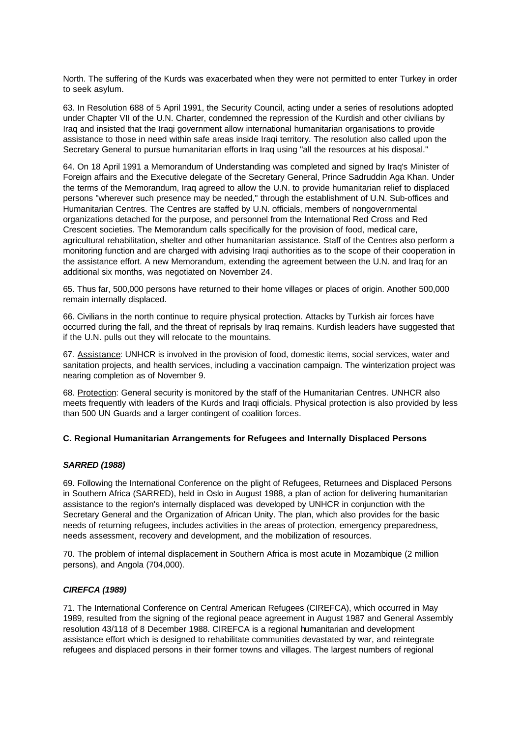North. The suffering of the Kurds was exacerbated when they were not permitted to enter Turkey in order to seek asylum.

63. In Resolution 688 of 5 April 1991, the Security Council, acting under a series of resolutions adopted under Chapter VII of the U.N. Charter, condemned the repression of the Kurdish and other civilians by Iraq and insisted that the Iraqi government allow international humanitarian organisations to provide assistance to those in need within safe areas inside Iraqi territory. The resolution also called upon the Secretary General to pursue humanitarian efforts in Iraq using "all the resources at his disposal."

64. On 18 April 1991 a Memorandum of Understanding was completed and signed by Iraq's Minister of Foreign affairs and the Executive delegate of the Secretary General, Prince Sadruddin Aga Khan. Under the terms of the Memorandum, Iraq agreed to allow the U.N. to provide humanitarian relief to displaced persons "wherever such presence may be needed," through the establishment of U.N. Sub-offices and Humanitarian Centres. The Centres are staffed by U.N. officials, members of nongovernmental organizations detached for the purpose, and personnel from the International Red Cross and Red Crescent societies. The Memorandum calls specifically for the provision of food, medical care, agricultural rehabilitation, shelter and other humanitarian assistance. Staff of the Centres also perform a monitoring function and are charged with advising Iraqi authorities as to the scope of their cooperation in the assistance effort. A new Memorandum, extending the agreement between the U.N. and Iraq for an additional six months, was negotiated on November 24.

65. Thus far, 500,000 persons have returned to their home villages or places of origin. Another 500,000 remain internally displaced.

66. Civilians in the north continue to require physical protection. Attacks by Turkish air forces have occurred during the fall, and the threat of reprisals by Iraq remains. Kurdish leaders have suggested that if the U.N. pulls out they will relocate to the mountains.

67. Assistance: UNHCR is involved in the provision of food, domestic items, social services, water and sanitation projects, and health services, including a vaccination campaign. The winterization project was nearing completion as of November 9.

68. Protection: General security is monitored by the staff of the Humanitarian Centres. UNHCR also meets frequently with leaders of the Kurds and Iraqi officials. Physical protection is also provided by less than 500 UN Guards and a larger contingent of coalition forces.

## **C. Regional Humanitarian Arrangements for Refugees and Internally Displaced Persons**

### *SARRED (1988)*

69. Following the International Conference on the plight of Refugees, Returnees and Displaced Persons in Southern Africa (SARRED), held in Oslo in August 1988, a plan of action for delivering humanitarian assistance to the region's internally displaced was developed by UNHCR in conjunction with the Secretary General and the Organization of African Unity. The plan, which also provides for the basic needs of returning refugees, includes activities in the areas of protection, emergency preparedness, needs assessment, recovery and development, and the mobilization of resources.

70. The problem of internal displacement in Southern Africa is most acute in Mozambique (2 million persons), and Angola (704,000).

### *CIREFCA (1989)*

71. The International Conference on Central American Refugees (CIREFCA), which occurred in May 1989, resulted from the signing of the regional peace agreement in August 1987 and General Assembly resolution 43/118 of 8 December 1988. CIREFCA is a regional humanitarian and development assistance effort which is designed to rehabilitate communities devastated by war, and reintegrate refugees and displaced persons in their former towns and villages. The largest numbers of regional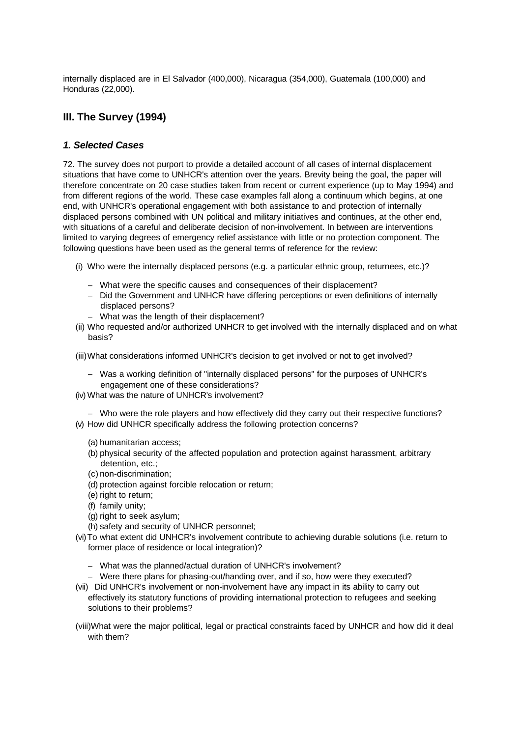internally displaced are in El Salvador (400,000), Nicaragua (354,000), Guatemala (100,000) and Honduras (22,000).

# **III. The Survey (1994)**

## *1. Selected Cases*

72. The survey does not purport to provide a detailed account of all cases of internal displacement situations that have come to UNHCR's attention over the years. Brevity being the goal, the paper will therefore concentrate on 20 case studies taken from recent or current experience (up to May 1994) and from different regions of the world. These case examples fall along a continuum which begins, at one end, with UNHCR's operational engagement with both assistance to and protection of internally displaced persons combined with UN political and military initiatives and continues, at the other end, with situations of a careful and deliberate decision of non-involvement. In between are interventions limited to varying degrees of emergency relief assistance with little or no protection component. The following questions have been used as the general terms of reference for the review:

- (i) Who were the internally displaced persons (e.g. a particular ethnic group, returnees, etc.)?
	- What were the specific causes and consequences of their displacement?
	- Did the Government and UNHCR have differing perceptions or even definitions of internally displaced persons?
	- What was the length of their displacement?
- (ii) Who requested and/or authorized UNHCR to get involved with the internally displaced and on what basis?
- (iii) What considerations informed UNHCR's decision to get involved or not to get involved?
	- Was a working definition of "internally displaced persons" for the purposes of UNHCR's engagement one of these considerations?
- (iv) What was the nature of UNHCR's involvement?

– Who were the role players and how effectively did they carry out their respective functions? (v) How did UNHCR specifically address the following protection concerns?

- (a) humanitarian access;
- (b) physical security of the affected population and protection against harassment, arbitrary detention, etc.;
- (c) non-discrimination;
- (d) protection against forcible relocation or return;
- (e) right to return;
- (f) family unity;
- (g) right to seek asylum;
- (h) safety and security of UNHCR personnel;
- (vi) To what extent did UNHCR's involvement contribute to achieving durable solutions (i.e. return to former place of residence or local integration)?
	- What was the planned/actual duration of UNHCR's involvement?
	- Were there plans for phasing-out/handing over, and if so, how were they executed?
- (vii) Did UNHCR's involvement or non-involvement have any impact in its ability to carry out effectively its statutory functions of providing international protection to refugees and seeking solutions to their problems?

(viii)What were the major political, legal or practical constraints faced by UNHCR and how did it deal with them?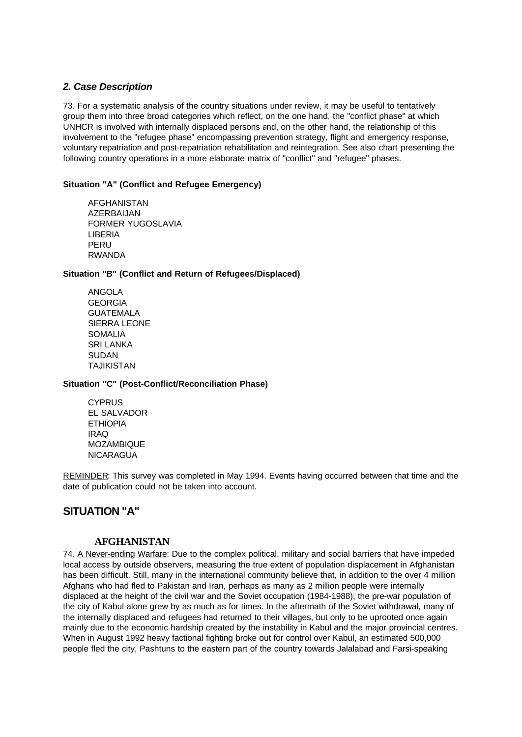# *2. Case Description*

73. For a systematic analysis of the country situations under review, it may be useful to tentatively group them into three broad categories which reflect, on the one hand, the "conflict phase" at which UNHCR is involved with internally displaced persons and, on the other hand, the relationship of this involvement to the "refugee phase" encompassing prevention strategy, flight and emergency response, voluntary repatriation and post-repatriation rehabilitation and reintegration. See also chart presenting the following country operations in a more elaborate matrix of "conflict" and "refugee" phases.

## **Situation "A" (Conflict and Refugee Emergency)**

AFGHANISTAN AZERBAIJAN FORMER YUGOSLAVIA LIBERIA PERU RWANDA

**Situation "B" (Conflict and Return of Refugees/Displaced)**

ANGOLA **GEORGIA** GUATEMALA SIERRA LEONE **SOMALIA** SRI LANKA SUDAN TAJIKISTAN

### **Situation "C" (Post-Conflict/Reconciliation Phase)**

**CYPRUS** EL SALVADOR ETHIOPIA IRAQ MOZAMBIQUE **NICARAGUA** 

REMINDER: This survey was completed in May 1994. Events having occurred between that time and the date of publication could not be taken into account.

# **SITUATION "A"**

## **AFGHANISTAN**

74. A Never-ending Warfare: Due to the complex political, military and social barriers that have impeded local access by outside observers, measuring the true extent of population displacement in Afghanistan has been difficult. Still, many in the international community believe that, in addition to the over 4 million Afghans who had fled to Pakistan and Iran, perhaps as many as 2 million people were internally displaced at the height of the civil war and the Soviet occupation (1984-1988); the pre-war population of the city of Kabul alone grew by as much as for times. In the aftermath of the Soviet withdrawal, many of the internally displaced and refugees had returned to their villages, but only to be uprooted once again mainly due to the economic hardship created by the instability in Kabul and the major provincial centres. When in August 1992 heavy factional fighting broke out for control over Kabul, an estimated 500,000 people fled the city, Pashtuns to the eastern part of the country towards Jalalabad and Farsi-speaking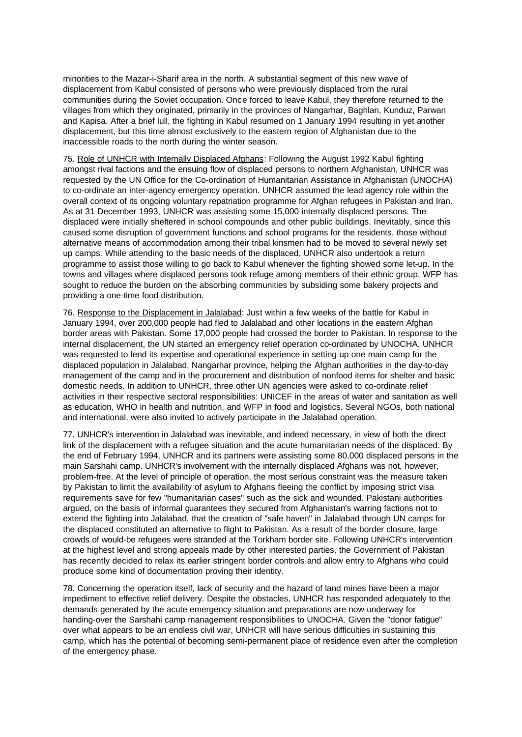minorities to the Mazar-i-Sharif area in the north. A substantial segment of this new wave of displacement from Kabul consisted of persons who were previously displaced from the rural communities during the Soviet occupation. Once forced to leave Kabul, they therefore returned to the villages from which they originated, primarily in the provinces of Nangarhar, Baghlan, Kunduz, Parwan and Kapisa. After a brief lull, the fighting in Kabul resumed on 1 January 1994 resulting in yet another displacement, but this time almost exclusively to the eastern region of Afghanistan due to the inaccessible roads to the north during the winter season.

75. Role of UNHCR with Internally Displaced Afghans: Following the August 1992 Kabul fighting amongst rival factions and the ensuing flow of displaced persons to northern Afghanistan, UNHCR was requested by the UN Office for the Co-ordination of Humanitarian Assistance in Afghanistan (UNOCHA) to co-ordinate an inter-agency emergency operation. UNHCR assumed the lead agency role within the overall context of its ongoing voluntary repatriation programme for Afghan refugees in Pakistan and Iran. As at 31 December 1993, UNHCR was assisting some 15,000 internally displaced persons. The displaced were initially sheltered in school compounds and other public buildings. Inevitably, since this caused some disruption of government functions and school programs for the residents, those without alternative means of accommodation among their tribal kinsmen had to be moved to several newly set up camps. While attending to the basic needs of the displaced, UNHCR also undertook a return programme to assist those willing to go back to Kabul whenever the fighting showed some let-up. In the towns and villages where displaced persons took refuge among members of their ethnic group, WFP has sought to reduce the burden on the absorbing communities by subsiding some bakery projects and providing a one-time food distribution.

76. Response to the Displacement in Jalalabad: Just within a few weeks of the battle for Kabul in January 1994, over 200,000 people had fled to Jalalabad and other locations in the eastern Afghan border areas with Pakistan. Some 17,000 people had crossed the border to Pakistan. In response to the internal displacement, the UN started an emergency relief operation co-ordinated by UNOCHA. UNHCR was requested to lend its expertise and operational experience in setting up one main camp for the displaced population in Jalalabad, Nangarhar province, helping the Afghan authorities in the day-to-day management of the camp and in the procurement and distribution of nonfood items for shelter and basic domestic needs. In addition to UNHCR, three other UN agencies were asked to co-ordinate relief activities in their respective sectoral responsibilities: UNICEF in the areas of water and sanitation as well as education, WHO in health and nutrition, and WFP in food and logistics. Several NGOs, both national and international, were also invited to actively participate in the Jalalabad operation.

77. UNHCR's intervention in Jalalabad was inevitable, and indeed necessary, in view of both the direct link of the displacement with a refugee situation and the acute humanitarian needs of the displaced. By the end of February 1994, UNHCR and its partners were assisting some 80,000 displaced persons in the main Sarshahi camp. UNHCR's involvement with the internally displaced Afghans was not, however, problem-free. At the level of principle of operation, the most serious constraint was the measure taken by Pakistan to limit the availability of asylum to Afghans fleeing the conflict by imposing strict visa requirements save for few "humanitarian cases" such as the sick and wounded. Pakistani authorities argued, on the basis of informal guarantees they secured from Afghanistan's warring factions not to extend the fighting into Jalalabad, that the creation of "safe haven" in Jalalabad through UN camps for the displaced constituted an alternative to flight to Pakistan. As a result of the border closure, large crowds of would-be refugees were stranded at the Torkham border site. Following UNHCR's intervention at the highest level and strong appeals made by other interested parties, the Government of Pakistan has recently decided to relax its earlier stringent border controls and allow entry to Afghans who could produce some kind of documentation proving their identity.

78. Concerning the operation itself, lack of security and the hazard of land mines have been a major impediment to effective relief delivery. Despite the obstacles, UNHCR has responded adequately to the demands generated by the acute emergency situation and preparations are now underway for handing-over the Sarshahi camp management responsibilities to UNOCHA. Given the "donor fatigue" over what appears to be an endless civil war, UNHCR will have serious difficulties in sustaining this camp, which has the potential of becoming semi-permanent place of residence even after the completion of the emergency phase.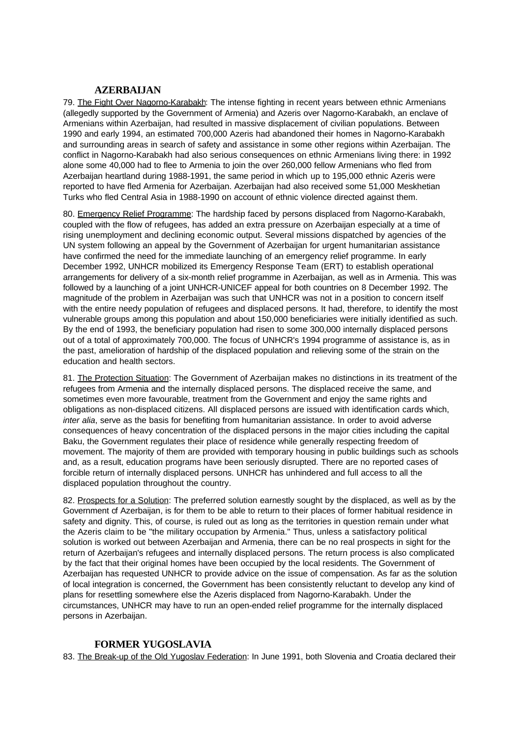# **AZERBAIJAN**

79. The Fight Over Nagorno-Karabakh: The intense fighting in recent years between ethnic Armenians (allegedly supported by the Government of Armenia) and Azeris over Nagorno-Karabakh, an enclave of Armenians within Azerbaijan, had resulted in massive displacement of civilian populations. Between 1990 and early 1994, an estimated 700,000 Azeris had abandoned their homes in Nagorno-Karabakh and surrounding areas in search of safety and assistance in some other regions within Azerbaijan. The conflict in Nagorno-Karabakh had also serious consequences on ethnic Armenians living there: in 1992 alone some 40,000 had to flee to Armenia to join the over 260,000 fellow Armenians who fled from Azerbaijan heartland during 1988-1991, the same period in which up to 195,000 ethnic Azeris were reported to have fled Armenia for Azerbaijan. Azerbaijan had also received some 51,000 Meskhetian Turks who fled Central Asia in 1988-1990 on account of ethnic violence directed against them.

80. Emergency Relief Programme: The hardship faced by persons displaced from Nagorno-Karabakh, coupled with the flow of refugees, has added an extra pressure on Azerbaijan especially at a time of rising unemployment and declining economic output. Several missions dispatched by agencies of the UN system following an appeal by the Government of Azerbaijan for urgent humanitarian assistance have confirmed the need for the immediate launching of an emergency relief programme. In early December 1992, UNHCR mobilized its Emergency Response Team (ERT) to establish operational arrangements for delivery of a six-month relief programme in Azerbaijan, as well as in Armenia. This was followed by a launching of a joint UNHCR-UNICEF appeal for both countries on 8 December 1992. The magnitude of the problem in Azerbaijan was such that UNHCR was not in a position to concern itself with the entire needy population of refugees and displaced persons. It had, therefore, to identify the most vulnerable groups among this population and about 150,000 beneficiaries were initially identified as such. By the end of 1993, the beneficiary population had risen to some 300,000 internally displaced persons out of a total of approximately 700,000. The focus of UNHCR's 1994 programme of assistance is, as in the past, amelioration of hardship of the displaced population and relieving some of the strain on the education and health sectors.

81. The Protection Situation: The Government of Azerbaijan makes no distinctions in its treatment of the refugees from Armenia and the internally displaced persons. The displaced receive the same, and sometimes even more favourable, treatment from the Government and enjoy the same rights and obligations as non-displaced citizens. All displaced persons are issued with identification cards which, *inter alia*, serve as the basis for benefiting from humanitarian assistance. In order to avoid adverse consequences of heavy concentration of the displaced persons in the major cities including the capital Baku, the Government regulates their place of residence while generally respecting freedom of movement. The majority of them are provided with temporary housing in public buildings such as schools and, as a result, education programs have been seriously disrupted. There are no reported cases of forcible return of internally displaced persons. UNHCR has unhindered and full access to all the displaced population throughout the country.

82. Prospects for a Solution: The preferred solution earnestly sought by the displaced, as well as by the Government of Azerbaijan, is for them to be able to return to their places of former habitual residence in safety and dignity. This, of course, is ruled out as long as the territories in question remain under what the Azeris claim to be "the military occupation by Armenia." Thus, unless a satisfactory political solution is worked out between Azerbaijan and Armenia, there can be no real prospects in sight for the return of Azerbaijan's refugees and internally displaced persons. The return process is also complicated by the fact that their original homes have been occupied by the local residents. The Government of Azerbaijan has requested UNHCR to provide advice on the issue of compensation. As far as the solution of local integration is concerned, the Government has been consistently reluctant to develop any kind of plans for resettling somewhere else the Azeris displaced from Nagorno-Karabakh. Under the circumstances, UNHCR may have to run an open-ended relief programme for the internally displaced persons in Azerbaijan.

# **FORMER YUGOSLAVIA**

83. The Break-up of the Old Yugoslav Federation: In June 1991, both Slovenia and Croatia declared their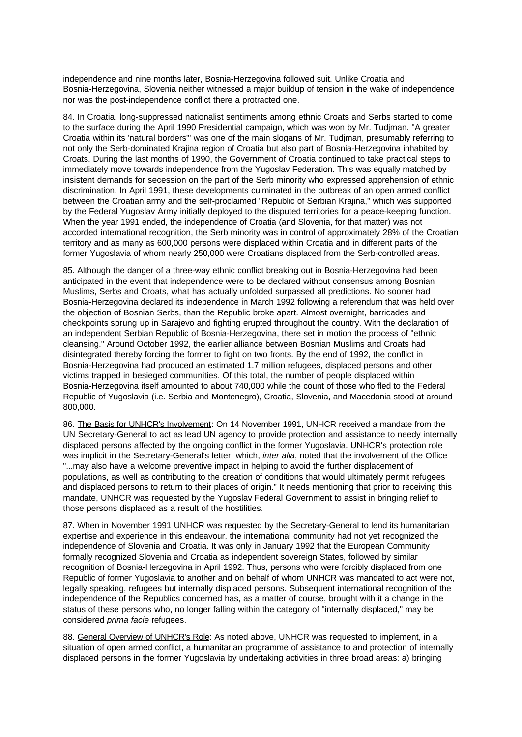independence and nine months later, Bosnia-Herzegovina followed suit. Unlike Croatia and Bosnia-Herzegovina, Slovenia neither witnessed a major buildup of tension in the wake of independence nor was the post-independence conflict there a protracted one.

84. In Croatia, long-suppressed nationalist sentiments among ethnic Croats and Serbs started to come to the surface during the April 1990 Presidential campaign, which was won by Mr. Tudjman. "A greater Croatia within its 'natural borders"' was one of the main slogans of Mr. Tudjman, presumably referring to not only the Serb-dominated Krajina region of Croatia but also part of Bosnia-Herzegovina inhabited by Croats. During the last months of 1990, the Government of Croatia continued to take practical steps to immediately move towards independence from the Yugoslav Federation. This was equally matched by insistent demands for secession on the part of the Serb minority who expressed apprehension of ethnic discrimination. In April 1991, these developments culminated in the outbreak of an open armed conflict between the Croatian army and the self-proclaimed "Republic of Serbian Krajina," which was supported by the Federal Yugoslav Army initially deployed to the disputed territories for a peace-keeping function. When the year 1991 ended, the independence of Croatia (and Slovenia, for that matter) was not accorded international recognition, the Serb minority was in control of approximately 28% of the Croatian territory and as many as 600,000 persons were displaced within Croatia and in different parts of the former Yugoslavia of whom nearly 250,000 were Croatians displaced from the Serb-controlled areas.

85. Although the danger of a three-way ethnic conflict breaking out in Bosnia-Herzegovina had been anticipated in the event that independence were to be declared without consensus among Bosnian Muslims, Serbs and Croats, what has actually unfolded surpassed all predictions. No sooner had Bosnia-Herzegovina declared its independence in March 1992 following a referendum that was held over the objection of Bosnian Serbs, than the Republic broke apart. Almost overnight, barricades and checkpoints sprung up in Sarajevo and fighting erupted throughout the country. With the declaration of an independent Serbian Republic of Bosnia-Herzegovina, there set in motion the process of "ethnic cleansing." Around October 1992, the earlier alliance between Bosnian Muslims and Croats had disintegrated thereby forcing the former to fight on two fronts. By the end of 1992, the conflict in Bosnia-Herzegovina had produced an estimated 1.7 million refugees, displaced persons and other victims trapped in besieged communities. Of this total, the number of people displaced within Bosnia-Herzegovina itself amounted to about 740,000 while the count of those who fled to the Federal Republic of Yugoslavia (i.e. Serbia and Montenegro), Croatia, Slovenia, and Macedonia stood at around 800,000.

86. The Basis for UNHCR's Involvement: On 14 November 1991, UNHCR received a mandate from the UN Secretary-General to act as lead UN agency to provide protection and assistance to needy internally displaced persons affected by the ongoing conflict in the former Yugoslavia. UNHCR's protection role was implicit in the Secretary-General's letter, which, *inter alia*, noted that the involvement of the Office "...may also have a welcome preventive impact in helping to avoid the further displacement of populations, as well as contributing to the creation of conditions that would ultimately permit refugees and displaced persons to return to their places of origin." It needs mentioning that prior to receiving this mandate, UNHCR was requested by the Yugoslav Federal Government to assist in bringing relief to those persons displaced as a result of the hostilities.

87. When in November 1991 UNHCR was requested by the Secretary-General to lend its humanitarian expertise and experience in this endeavour, the international community had not yet recognized the independence of Slovenia and Croatia. It was only in January 1992 that the European Community formally recognized Slovenia and Croatia as independent sovereign States, followed by similar recognition of Bosnia-Herzegovina in April 1992. Thus, persons who were forcibly displaced from one Republic of former Yugoslavia to another and on behalf of whom UNHCR was mandated to act were not, legally speaking, refugees but internally displaced persons. Subsequent international recognition of the independence of the Republics concerned has, as a matter of course, brought with it a change in the status of these persons who, no longer falling within the category of "internally displaced," may be considered *prima facie* refugees.

88. General Overview of UNHCR's Role: As noted above, UNHCR was requested to implement, in a situation of open armed conflict, a humanitarian programme of assistance to and protection of internally displaced persons in the former Yugoslavia by undertaking activities in three broad areas: a) bringing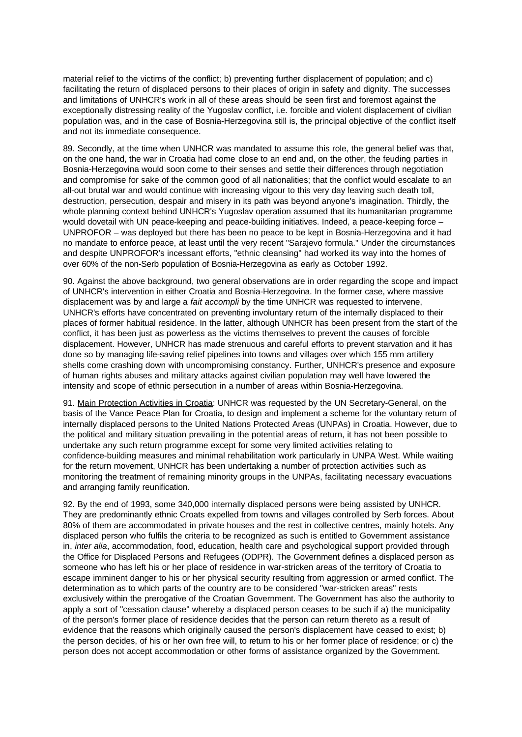material relief to the victims of the conflict; b) preventing further displacement of population; and c) facilitating the return of displaced persons to their places of origin in safety and dignity. The successes and limitations of UNHCR's work in all of these areas should be seen first and foremost against the exceptionally distressing reality of the Yugoslav conflict, i.e. forcible and violent displacement of civilian population was, and in the case of Bosnia-Herzegovina still is, the principal objective of the conflict itself and not its immediate consequence.

89. Secondly, at the time when UNHCR was mandated to assume this role, the general belief was that, on the one hand, the war in Croatia had come close to an end and, on the other, the feuding parties in Bosnia-Herzegovina would soon come to their senses and settle their differences through negotiation and compromise for sake of the common good of all nationalities; that the conflict would escalate to an all-out brutal war and would continue with increasing vigour to this very day leaving such death toll, destruction, persecution, despair and misery in its path was beyond anyone's imagination. Thirdly, the whole planning context behind UNHCR's Yugoslav operation assumed that its humanitarian programme would dovetail with UN peace-keeping and peace-building initiatives. Indeed, a peace-keeping force – UNPROFOR – was deployed but there has been no peace to be kept in Bosnia-Herzegovina and it had no mandate to enforce peace, at least until the very recent "Sarajevo formula." Under the circumstances and despite UNPROFOR's incessant efforts, "ethnic cleansing" had worked its way into the homes of over 60% of the non-Serb population of Bosnia-Herzegovina as early as October 1992.

90. Against the above background, two general observations are in order regarding the scope and impact of UNHCR's intervention in either Croatia and Bosnia-Herzegovina. In the former case, where massive displacement was by and large a *fait accompli* by the time UNHCR was requested to intervene, UNHCR's efforts have concentrated on preventing involuntary return of the internally displaced to their places of former habitual residence. In the latter, although UNHCR has been present from the start of the conflict, it has been just as powerless as the victims themselves to prevent the causes of forcible displacement. However, UNHCR has made strenuous and careful efforts to prevent starvation and it has done so by managing life-saving relief pipelines into towns and villages over which 155 mm artillery shells come crashing down with uncompromising constancy. Further, UNHCR's presence and exposure of human rights abuses and military attacks against civilian population may well have lowered the intensity and scope of ethnic persecution in a number of areas within Bosnia-Herzegovina.

91. Main Protection Activities in Croatia: UNHCR was requested by the UN Secretary-General, on the basis of the Vance Peace Plan for Croatia, to design and implement a scheme for the voluntary return of internally displaced persons to the United Nations Protected Areas (UNPAs) in Croatia. However, due to the political and military situation prevailing in the potential areas of return, it has not been possible to undertake any such return programme except for some very limited activities relating to confidence-building measures and minimal rehabilitation work particularly in UNPA West. While waiting for the return movement, UNHCR has been undertaking a number of protection activities such as monitoring the treatment of remaining minority groups in the UNPAs, facilitating necessary evacuations and arranging family reunification.

92. By the end of 1993, some 340,000 internally displaced persons were being assisted by UNHCR. They are predominantly ethnic Croats expelled from towns and villages controlled by Serb forces. About 80% of them are accommodated in private houses and the rest in collective centres, mainly hotels. Any displaced person who fulfils the criteria to be recognized as such is entitled to Government assistance in, *inter alia*, accommodation, food, education, health care and psychological support provided through the Office for Displaced Persons and Refugees (ODPR). The Government defines a displaced person as someone who has left his or her place of residence in war-stricken areas of the territory of Croatia to escape imminent danger to his or her physical security resulting from aggression or armed conflict. The determination as to which parts of the country are to be considered "war-stricken areas" rests exclusively within the prerogative of the Croatian Government. The Government has also the authority to apply a sort of "cessation clause" whereby a displaced person ceases to be such if a) the municipality of the person's former place of residence decides that the person can return thereto as a result of evidence that the reasons which originally caused the person's displacement have ceased to exist; b) the person decides, of his or her own free will, to return to his or her former place of residence; or c) the person does not accept accommodation or other forms of assistance organized by the Government.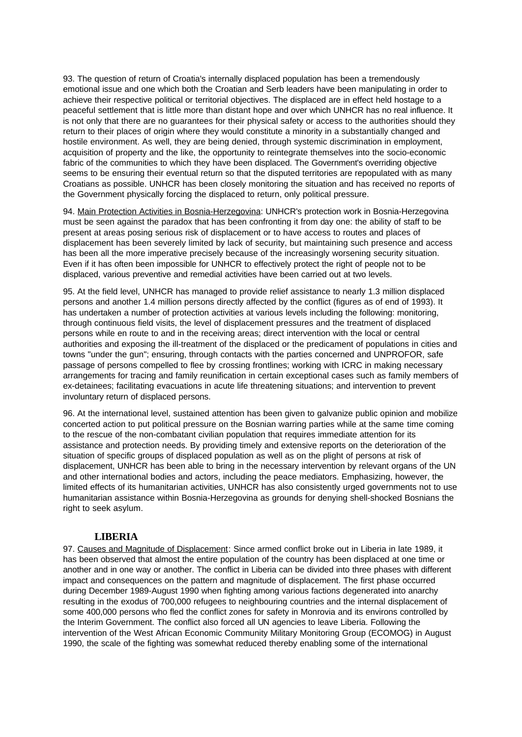93. The question of return of Croatia's internally displaced population has been a tremendously emotional issue and one which both the Croatian and Serb leaders have been manipulating in order to achieve their respective political or territorial objectives. The displaced are in effect held hostage to a peaceful settlement that is little more than distant hope and over which UNHCR has no real influence. It is not only that there are no guarantees for their physical safety or access to the authorities should they return to their places of origin where they would constitute a minority in a substantially changed and hostile environment. As well, they are being denied, through systemic discrimination in employment, acquisition of property and the like, the opportunity to reintegrate themselves into the socio-economic fabric of the communities to which they have been displaced. The Government's overriding objective seems to be ensuring their eventual return so that the disputed territories are repopulated with as many Croatians as possible. UNHCR has been closely monitoring the situation and has received no reports of the Government physically forcing the displaced to return, only political pressure.

94. Main Protection Activities in Bosnia-Herzegovina: UNHCR's protection work in Bosnia-Herzegovina must be seen against the paradox that has been confronting it from day one: the ability of staff to be present at areas posing serious risk of displacement or to have access to routes and places of displacement has been severely limited by lack of security, but maintaining such presence and access has been all the more imperative precisely because of the increasingly worsening security situation. Even if it has often been impossible for UNHCR to effectively protect the right of people not to be displaced, various preventive and remedial activities have been carried out at two levels.

95. At the field level, UNHCR has managed to provide relief assistance to nearly 1.3 million displaced persons and another 1.4 million persons directly affected by the conflict (figures as of end of 1993). It has undertaken a number of protection activities at various levels including the following: monitoring, through continuous field visits, the level of displacement pressures and the treatment of displaced persons while en route to and in the receiving areas; direct intervention with the local or central authorities and exposing the ill-treatment of the displaced or the predicament of populations in cities and towns "under the gun"; ensuring, through contacts with the parties concerned and UNPROFOR, safe passage of persons compelled to flee by crossing frontlines; working with ICRC in making necessary arrangements for tracing and family reunification in certain exceptional cases such as family members of ex-detainees; facilitating evacuations in acute life threatening situations; and intervention to prevent involuntary return of displaced persons.

96. At the international level, sustained attention has been given to galvanize public opinion and mobilize concerted action to put political pressure on the Bosnian warring parties while at the same time coming to the rescue of the non-combatant civilian population that requires immediate attention for its assistance and protection needs. By providing timely and extensive reports on the deterioration of the situation of specific groups of displaced population as well as on the plight of persons at risk of displacement, UNHCR has been able to bring in the necessary intervention by relevant organs of the UN and other international bodies and actors, including the peace mediators. Emphasizing, however, the limited effects of its humanitarian activities, UNHCR has also consistently urged governments not to use humanitarian assistance within Bosnia-Herzegovina as grounds for denying shell-shocked Bosnians the right to seek asylum.

## **LIBERIA**

97. Causes and Magnitude of Displacement: Since armed conflict broke out in Liberia in late 1989, it has been observed that almost the entire population of the country has been displaced at one time or another and in one way or another. The conflict in Liberia can be divided into three phases with different impact and consequences on the pattern and magnitude of displacement. The first phase occurred during December 1989-August 1990 when fighting among various factions degenerated into anarchy resulting in the exodus of 700,000 refugees to neighbouring countries and the internal displacement of some 400,000 persons who fled the conflict zones for safety in Monrovia and its environs controlled by the Interim Government. The conflict also forced all UN agencies to leave Liberia. Following the intervention of the West African Economic Community Military Monitoring Group (ECOMOG) in August 1990, the scale of the fighting was somewhat reduced thereby enabling some of the international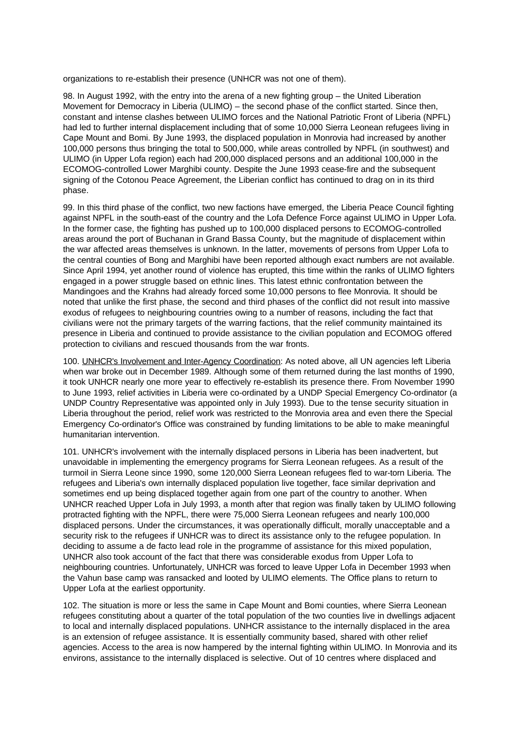organizations to re-establish their presence (UNHCR was not one of them).

98. In August 1992, with the entry into the arena of a new fighting group – the United Liberation Movement for Democracy in Liberia (ULIMO) – the second phase of the conflict started. Since then, constant and intense clashes between ULIMO forces and the National Patriotic Front of Liberia (NPFL) had led to further internal displacement including that of some 10,000 Sierra Leonean refugees living in Cape Mount and Bomi. By June 1993, the displaced population in Monrovia had increased by another 100,000 persons thus bringing the total to 500,000, while areas controlled by NPFL (in southwest) and ULIMO (in Upper Lofa region) each had 200,000 displaced persons and an additional 100,000 in the ECOMOG-controlled Lower Marghibi county. Despite the June 1993 cease-fire and the subsequent signing of the Cotonou Peace Agreement, the Liberian conflict has continued to drag on in its third phase.

99. In this third phase of the conflict, two new factions have emerged, the Liberia Peace Council fighting against NPFL in the south-east of the country and the Lofa Defence Force against ULIMO in Upper Lofa. In the former case, the fighting has pushed up to 100,000 displaced persons to ECOMOG-controlled areas around the port of Buchanan in Grand Bassa County, but the magnitude of displacement within the war affected areas themselves is unknown. In the latter, movements of persons from Upper Lofa to the central counties of Bong and Marghibi have been reported although exact numbers are not available. Since April 1994, yet another round of violence has erupted, this time within the ranks of ULIMO fighters engaged in a power struggle based on ethnic lines. This latest ethnic confrontation between the Mandingoes and the Krahns had already forced some 10,000 persons to flee Monrovia. It should be noted that unlike the first phase, the second and third phases of the conflict did not result into massive exodus of refugees to neighbouring countries owing to a number of reasons, including the fact that civilians were not the primary targets of the warring factions, that the relief community maintained its presence in Liberia and continued to provide assistance to the civilian population and ECOMOG offered protection to civilians and rescued thousands from the war fronts.

100. UNHCR's Involvement and Inter-Agency Coordination: As noted above, all UN agencies left Liberia when war broke out in December 1989. Although some of them returned during the last months of 1990, it took UNHCR nearly one more year to effectively re-establish its presence there. From November 1990 to June 1993, relief activities in Liberia were co-ordinated by a UNDP Special Emergency Co-ordinator (a UNDP Country Representative was appointed only in July 1993). Due to the tense security situation in Liberia throughout the period, relief work was restricted to the Monrovia area and even there the Special Emergency Co-ordinator's Office was constrained by funding limitations to be able to make meaningful humanitarian intervention.

101. UNHCR's involvement with the internally displaced persons in Liberia has been inadvertent, but unavoidable in implementing the emergency programs for Sierra Leonean refugees. As a result of the turmoil in Sierra Leone since 1990, some 120,000 Sierra Leonean refugees fled to war-torn Liberia. The refugees and Liberia's own internally displaced population live together, face similar deprivation and sometimes end up being displaced together again from one part of the country to another. When UNHCR reached Upper Lofa in July 1993, a month after that region was finally taken by ULIMO following protracted fighting with the NPFL, there were 75,000 Sierra Leonean refugees and nearly 100,000 displaced persons. Under the circumstances, it was operationally difficult, morally unacceptable and a security risk to the refugees if UNHCR was to direct its assistance only to the refugee population. In deciding to assume a de facto lead role in the programme of assistance for this mixed population, UNHCR also took account of the fact that there was considerable exodus from Upper Lofa to neighbouring countries. Unfortunately, UNHCR was forced to leave Upper Lofa in December 1993 when the Vahun base camp was ransacked and looted by ULIMO elements. The Office plans to return to Upper Lofa at the earliest opportunity.

102. The situation is more or less the same in Cape Mount and Bomi counties, where Sierra Leonean refugees constituting about a quarter of the total population of the two counties live in dwellings adjacent to local and internally displaced populations. UNHCR assistance to the internally displaced in the area is an extension of refugee assistance. It is essentially community based, shared with other relief agencies. Access to the area is now hampered by the internal fighting within ULIMO. In Monrovia and its environs, assistance to the internally displaced is selective. Out of 10 centres where displaced and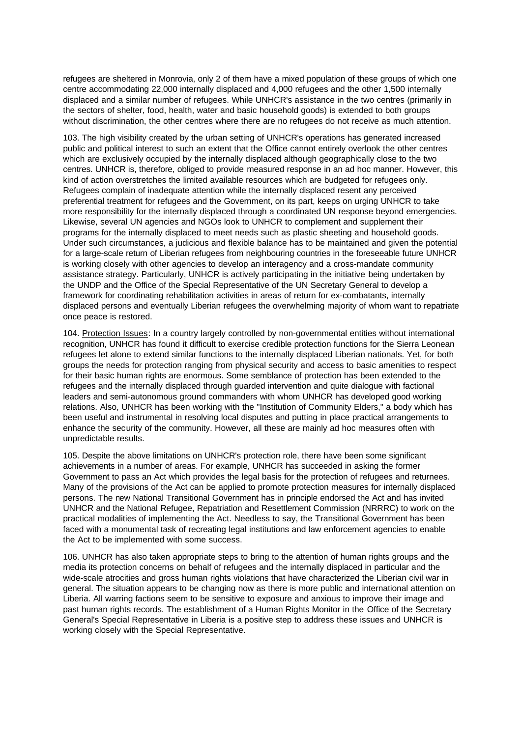refugees are sheltered in Monrovia, only 2 of them have a mixed population of these groups of which one centre accommodating 22,000 internally displaced and 4,000 refugees and the other 1,500 internally displaced and a similar number of refugees. While UNHCR's assistance in the two centres (primarily in the sectors of shelter, food, health, water and basic household goods) is extended to both groups without discrimination, the other centres where there are no refugees do not receive as much attention.

103. The high visibility created by the urban setting of UNHCR's operations has generated increased public and political interest to such an extent that the Office cannot entirely overlook the other centres which are exclusively occupied by the internally displaced although geographically close to the two centres. UNHCR is, therefore, obliged to provide measured response in an ad hoc manner. However, this kind of action overstretches the limited available resources which are budgeted for refugees only. Refugees complain of inadequate attention while the internally displaced resent any perceived preferential treatment for refugees and the Government, on its part, keeps on urging UNHCR to take more responsibility for the internally displaced through a coordinated UN response beyond emergencies. Likewise, several UN agencies and NGOs look to UNHCR to complement and supplement their programs for the internally displaced to meet needs such as plastic sheeting and household goods. Under such circumstances, a judicious and flexible balance has to be maintained and given the potential for a large-scale return of Liberian refugees from neighbouring countries in the foreseeable future UNHCR is working closely with other agencies to develop an interagency and a cross-mandate community assistance strategy. Particularly, UNHCR is actively participating in the initiative being undertaken by the UNDP and the Office of the Special Representative of the UN Secretary General to develop a framework for coordinating rehabilitation activities in areas of return for ex-combatants, internally displaced persons and eventually Liberian refugees the overwhelming majority of whom want to repatriate once peace is restored.

104. Protection Issues: In a country largely controlled by non-governmental entities without international recognition, UNHCR has found it difficult to exercise credible protection functions for the Sierra Leonean refugees let alone to extend similar functions to the internally displaced Liberian nationals. Yet, for both groups the needs for protection ranging from physical security and access to basic amenities to respect for their basic human rights are enormous. Some semblance of protection has been extended to the refugees and the internally displaced through guarded intervention and quite dialogue with factional leaders and semi-autonomous ground commanders with whom UNHCR has developed good working relations. Also, UNHCR has been working with the "Institution of Community Elders," a body which has been useful and instrumental in resolving local disputes and putting in place practical arrangements to enhance the security of the community. However, all these are mainly ad hoc measures often with unpredictable results.

105. Despite the above limitations on UNHCR's protection role, there have been some significant achievements in a number of areas. For example, UNHCR has succeeded in asking the former Government to pass an Act which provides the legal basis for the protection of refugees and returnees. Many of the provisions of the Act can be applied to promote protection measures for internally displaced persons. The new National Transitional Government has in principle endorsed the Act and has invited UNHCR and the National Refugee, Repatriation and Resettlement Commission (NRRRC) to work on the practical modalities of implementing the Act. Needless to say, the Transitional Government has been faced with a monumental task of recreating legal institutions and law enforcement agencies to enable the Act to be implemented with some success.

106. UNHCR has also taken appropriate steps to bring to the attention of human rights groups and the media its protection concerns on behalf of refugees and the internally displaced in particular and the wide-scale atrocities and gross human rights violations that have characterized the Liberian civil war in general. The situation appears to be changing now as there is more public and international attention on Liberia. All warring factions seem to be sensitive to exposure and anxious to improve their image and past human rights records. The establishment of a Human Rights Monitor in the Office of the Secretary General's Special Representative in Liberia is a positive step to address these issues and UNHCR is working closely with the Special Representative.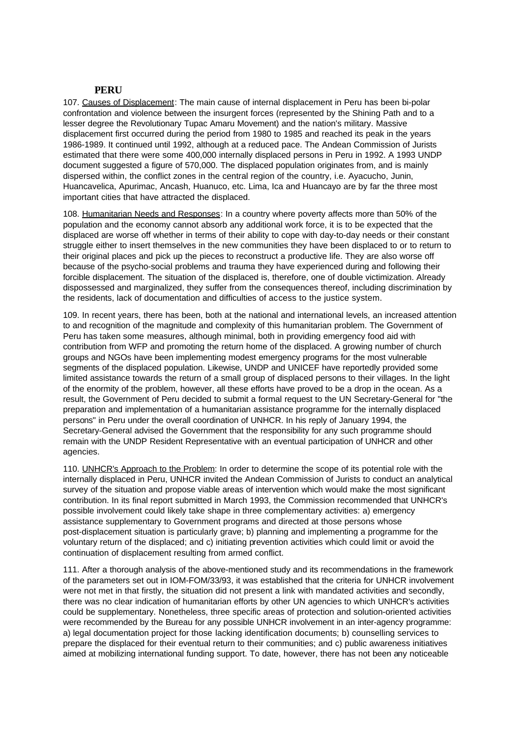## **PERU**

107. Causes of Displacement: The main cause of internal displacement in Peru has been bi-polar confrontation and violence between the insurgent forces (represented by the Shining Path and to a lesser degree the Revolutionary Tupac Amaru Movement) and the nation's military. Massive displacement first occurred during the period from 1980 to 1985 and reached its peak in the years 1986-1989. It continued until 1992, although at a reduced pace. The Andean Commission of Jurists estimated that there were some 400,000 internally displaced persons in Peru in 1992. A 1993 UNDP document suggested a figure of 570,000. The displaced population originates from, and is mainly dispersed within, the conflict zones in the central region of the country, i.e. Ayacucho, Junin, Huancavelica, Apurimac, Ancash, Huanuco, etc. Lima, Ica and Huancayo are by far the three most important cities that have attracted the displaced.

108. Humanitarian Needs and Responses: In a country where poverty affects more than 50% of the population and the economy cannot absorb any additional work force, it is to be expected that the displaced are worse off whether in terms of their ability to cope with day-to-day needs or their constant struggle either to insert themselves in the new communities they have been displaced to or to return to their original places and pick up the pieces to reconstruct a productive life. They are also worse off because of the psycho-social problems and trauma they have experienced during and following their forcible displacement. The situation of the displaced is, therefore, one of double victimization. Already dispossessed and marginalized, they suffer from the consequences thereof, including discrimination by the residents, lack of documentation and difficulties of access to the justice system.

109. In recent years, there has been, both at the national and international levels, an increased attention to and recognition of the magnitude and complexity of this humanitarian problem. The Government of Peru has taken some measures, although minimal, both in providing emergency food aid with contribution from WFP and promoting the return home of the displaced. A growing number of church groups and NGOs have been implementing modest emergency programs for the most vulnerable segments of the displaced population. Likewise, UNDP and UNICEF have reportedly provided some limited assistance towards the return of a small group of displaced persons to their villages. In the light of the enormity of the problem, however, all these efforts have proved to be a drop in the ocean. As a result, the Government of Peru decided to submit a formal request to the UN Secretary-General for "the preparation and implementation of a humanitarian assistance programme for the internally displaced persons" in Peru under the overall coordination of UNHCR. In his reply of January 1994, the Secretary-General advised the Government that the responsibility for any such programme should remain with the UNDP Resident Representative with an eventual participation of UNHCR and other agencies.

110. UNHCR's Approach to the Problem: In order to determine the scope of its potential role with the internally displaced in Peru, UNHCR invited the Andean Commission of Jurists to conduct an analytical survey of the situation and propose viable areas of intervention which would make the most significant contribution. In its final report submitted in March 1993, the Commission recommended that UNHCR's possible involvement could likely take shape in three complementary activities: a) emergency assistance supplementary to Government programs and directed at those persons whose post-displacement situation is particularly grave; b) planning and implementing a programme for the voluntary return of the displaced; and c) initiating prevention activities which could limit or avoid the continuation of displacement resulting from armed conflict.

111. After a thorough analysis of the above-mentioned study and its recommendations in the framework of the parameters set out in IOM-FOM/33/93, it was established that the criteria for UNHCR involvement were not met in that firstly, the situation did not present a link with mandated activities and secondly, there was no clear indication of humanitarian efforts by other UN agencies to which UNHCR's activities could be supplementary. Nonetheless, three specific areas of protection and solution-oriented activities were recommended by the Bureau for any possible UNHCR involvement in an inter-agency programme: a) legal documentation project for those lacking identification documents; b) counselling services to prepare the displaced for their eventual return to their communities; and c) public awareness initiatives aimed at mobilizing international funding support. To date, however, there has not been any noticeable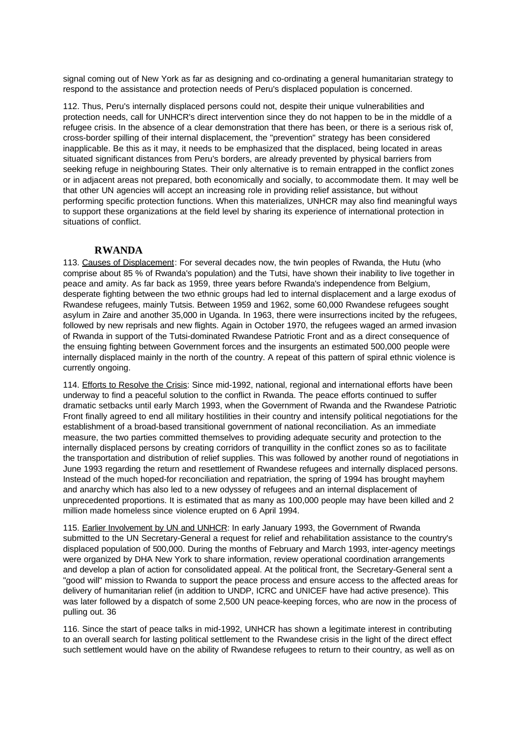signal coming out of New York as far as designing and co-ordinating a general humanitarian strategy to respond to the assistance and protection needs of Peru's displaced population is concerned.

112. Thus, Peru's internally displaced persons could not, despite their unique vulnerabilities and protection needs, call for UNHCR's direct intervention since they do not happen to be in the middle of a refugee crisis. In the absence of a clear demonstration that there has been, or there is a serious risk of, cross-border spilling of their internal displacement, the "prevention" strategy has been considered inapplicable. Be this as it may, it needs to be emphasized that the displaced, being located in areas situated significant distances from Peru's borders, are already prevented by physical barriers from seeking refuge in neighbouring States. Their only alternative is to remain entrapped in the conflict zones or in adjacent areas not prepared, both economically and socially, to accommodate them. It may well be that other UN agencies will accept an increasing role in providing relief assistance, but without performing specific protection functions. When this materializes, UNHCR may also find meaningful ways to support these organizations at the field level by sharing its experience of international protection in situations of conflict.

## **RWANDA**

113. Causes of Displacement: For several decades now, the twin peoples of Rwanda, the Hutu (who comprise about 85 % of Rwanda's population) and the Tutsi, have shown their inability to live together in peace and amity. As far back as 1959, three years before Rwanda's independence from Belgium, desperate fighting between the two ethnic groups had led to internal displacement and a large exodus of Rwandese refugees, mainly Tutsis. Between 1959 and 1962, some 60,000 Rwandese refugees sought asylum in Zaire and another 35,000 in Uganda. In 1963, there were insurrections incited by the refugees, followed by new reprisals and new flights. Again in October 1970, the refugees waged an armed invasion of Rwanda in support of the Tutsi-dominated Rwandese Patriotic Front and as a direct consequence of the ensuing fighting between Government forces and the insurgents an estimated 500,000 people were internally displaced mainly in the north of the country. A repeat of this pattern of spiral ethnic violence is currently ongoing.

114. Efforts to Resolve the Crisis: Since mid-1992, national, regional and international efforts have been underway to find a peaceful solution to the conflict in Rwanda. The peace efforts continued to suffer dramatic setbacks until early March 1993, when the Government of Rwanda and the Rwandese Patriotic Front finally agreed to end all military hostilities in their country and intensify political negotiations for the establishment of a broad-based transitional government of national reconciliation. As an immediate measure, the two parties committed themselves to providing adequate security and protection to the internally displaced persons by creating corridors of tranquillity in the conflict zones so as to facilitate the transportation and distribution of relief supplies. This was followed by another round of negotiations in June 1993 regarding the return and resettlement of Rwandese refugees and internally displaced persons. Instead of the much hoped-for reconciliation and repatriation, the spring of 1994 has brought mayhem and anarchy which has also led to a new odyssey of refugees and an internal displacement of unprecedented proportions. It is estimated that as many as 100,000 people may have been killed and 2 million made homeless since violence erupted on 6 April 1994.

115. Earlier Involvement by UN and UNHCR: In early January 1993, the Government of Rwanda submitted to the UN Secretary-General a request for relief and rehabilitation assistance to the country's displaced population of 500,000. During the months of February and March 1993, inter-agency meetings were organized by DHA New York to share information, review operational coordination arrangements and develop a plan of action for consolidated appeal. At the political front, the Secretary-General sent a "good will" mission to Rwanda to support the peace process and ensure access to the affected areas for delivery of humanitarian relief (in addition to UNDP, ICRC and UNICEF have had active presence). This was later followed by a dispatch of some 2,500 UN peace-keeping forces, who are now in the process of pulling out. 36

116. Since the start of peace talks in mid-1992, UNHCR has shown a legitimate interest in contributing to an overall search for lasting political settlement to the Rwandese crisis in the light of the direct effect such settlement would have on the ability of Rwandese refugees to return to their country, as well as on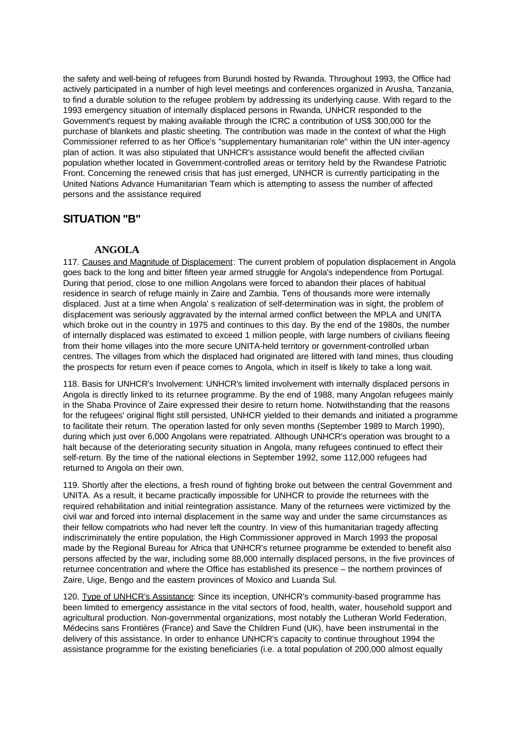the safety and well-being of refugees from Burundi hosted by Rwanda. Throughout 1993, the Office had actively participated in a number of high level meetings and conferences organized in Arusha, Tanzania, to find a durable solution to the refugee problem by addressing its underlying cause. With regard to the 1993 emergency situation of internally displaced persons in Rwanda, UNHCR responded to the Government's request by making available through the ICRC a contribution of US\$ 300,000 for the purchase of blankets and plastic sheeting. The contribution was made in the context of what the High Commissioner referred to as her Office's "supplementary humanitarian role" within the UN inter-agency plan of action. It was also stipulated that UNHCR's assistance would benefit the affected civilian population whether located in Government-controlled areas or territory held by the Rwandese Patriotic Front. Concerning the renewed crisis that has just emerged, UNHCR is currently participating in the United Nations Advance Humanitarian Team which is attempting to assess the number of affected persons and the assistance required

# **SITUATION "B"**

# **ANGOLA**

117. Causes and Magnitude of Displacement: The current problem of population displacement in Angola goes back to the long and bitter fifteen year armed struggle for Angola's independence from Portugal. During that period, close to one million Angolans were forced to abandon their places of habitual residence in search of refuge mainly in Zaire and Zambia. Tens of thousands more were internally displaced. Just at a time when Angola' s realization of self-determination was in sight, the problem of displacement was seriously aggravated by the internal armed conflict between the MPLA and UNITA which broke out in the country in 1975 and continues to this day. By the end of the 1980s, the number of internally displaced was estimated to exceed 1 million people, with large numbers of civilians fleeing from their home villages into the more secure UNITA-held territory or government-controlled urban centres. The villages from which the displaced had originated are littered with land mines, thus clouding the prospects for return even if peace comes to Angola, which in itself is likely to take a long wait.

118. Basis for UNHCR's Involvement: UNHCR's limited involvement with internally displaced persons in Angola is directly linked to its returnee programme. By the end of 1988, many Angolan refugees mainly in the Shaba Province of Zaire expressed their desire to return home. Notwithstanding that the reasons for the refugees' original flight still persisted, UNHCR yielded to their demands and initiated a programme to facilitate their return. The operation lasted for only seven months (September 1989 to March 1990), during which just over 6,000 Angolans were repatriated. Although UNHCR's operation was brought to a halt because of the deteriorating security situation in Angola, many refugees continued to effect their self-return. By the time of the national elections in September 1992, some 112,000 refugees had returned to Angola on their own.

119. Shortly after the elections, a fresh round of fighting broke out between the central Government and UNITA. As a result, it became practically impossible for UNHCR to provide the returnees with the required rehabilitation and initial reintegration assistance. Many of the returnees were victimized by the civil war and forced into internal displacement in the same way and under the same circumstances as their fellow compatriots who had never left the country. In view of this humanitarian tragedy affecting indiscriminately the entire population, the High Commissioner approved in March 1993 the proposal made by the Regional Bureau for Africa that UNHCR's returnee programme be extended to benefit also persons affected by the war, including some 88,000 internally displaced persons, in the five provinces of returnee concentration and where the Office has established its presence – the northern provinces of Zaire, Uige, Bengo and the eastern provinces of Moxico and Luanda Sul.

120. Type of UNHCR's Assistance: Since its inception, UNHCR's community-based programme has been limited to emergency assistance in the vital sectors of food, health, water, household support and agricultural production. Non-governmental organizations, most notably the Lutheran World Federation, Médecins sans Frontières (France) and Save the Children Fund (UK), have been instrumental in the delivery of this assistance. In order to enhance UNHCR's capacity to continue throughout 1994 the assistance programme for the existing beneficiaries (i.e. a total population of 200,000 almost equally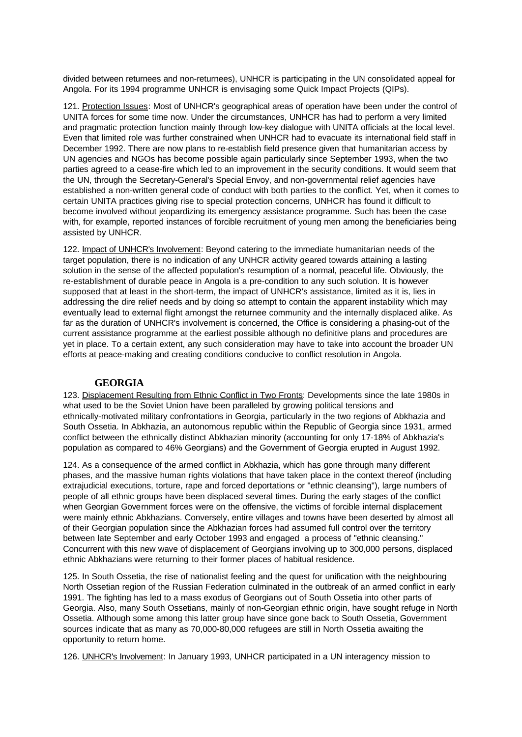divided between returnees and non-returnees), UNHCR is participating in the UN consolidated appeal for Angola. For its 1994 programme UNHCR is envisaging some Quick Impact Projects (QIPs).

121. Protection Issues: Most of UNHCR's geographical areas of operation have been under the control of UNITA forces for some time now. Under the circumstances, UNHCR has had to perform a very limited and pragmatic protection function mainly through low-key dialogue with UNITA officials at the local level. Even that limited role was further constrained when UNHCR had to evacuate its international field staff in December 1992. There are now plans to re-establish field presence given that humanitarian access by UN agencies and NGOs has become possible again particularly since September 1993, when the two parties agreed to a cease-fire which led to an improvement in the security conditions. It would seem that the UN, through the Secretary-General's Special Envoy, and non-governmental relief agencies have established a non-written general code of conduct with both parties to the conflict. Yet, when it comes to certain UNITA practices giving rise to special protection concerns, UNHCR has found it difficult to become involved without jeopardizing its emergency assistance programme. Such has been the case with, for example, reported instances of forcible recruitment of young men among the beneficiaries being assisted by UNHCR.

122. Impact of UNHCR's Involvement: Beyond catering to the immediate humanitarian needs of the target population, there is no indication of any UNHCR activity geared towards attaining a lasting solution in the sense of the affected population's resumption of a normal, peaceful life. Obviously, the re-establishment of durable peace in Angola is a pre-condition to any such solution. It is however supposed that at least in the short-term, the impact of UNHCR's assistance, limited as it is, lies in addressing the dire relief needs and by doing so attempt to contain the apparent instability which may eventually lead to external flight amongst the returnee community and the internally displaced alike. As far as the duration of UNHCR's involvement is concerned, the Office is considering a phasing-out of the current assistance programme at the earliest possible although no definitive plans and procedures are yet in place. To a certain extent, any such consideration may have to take into account the broader UN efforts at peace-making and creating conditions conducive to conflict resolution in Angola.

### **GEORGIA**

123. Displacement Resulting from Ethnic Conflict in Two Fronts: Developments since the late 1980s in what used to be the Soviet Union have been paralleled by growing political tensions and ethnically-motivated military confrontations in Georgia, particularly in the two regions of Abkhazia and South Ossetia. In Abkhazia, an autonomous republic within the Republic of Georgia since 1931, armed conflict between the ethnically distinct Abkhazian minority (accounting for only 17-18% of Abkhazia's population as compared to 46% Georgians) and the Government of Georgia erupted in August 1992.

124. As a consequence of the armed conflict in Abkhazia, which has gone through many different phases, and the massive human rights violations that have taken place in the context thereof (including extrajudicial executions, torture, rape and forced deportations or "ethnic cleansing"), large numbers of people of all ethnic groups have been displaced several times. During the early stages of the conflict when Georgian Government forces were on the offensive, the victims of forcible internal displacement were mainly ethnic Abkhazians. Conversely, entire villages and towns have been deserted by almost all of their Georgian population since the Abkhazian forces had assumed full control over the territory between late September and early October 1993 and engaged a process of "ethnic cleansing." Concurrent with this new wave of displacement of Georgians involving up to 300,000 persons, displaced ethnic Abkhazians were returning to their former places of habitual residence.

125. In South Ossetia, the rise of nationalist feeling and the quest for unification with the neighbouring North Ossetian region of the Russian Federation culminated in the outbreak of an armed conflict in early 1991. The fighting has led to a mass exodus of Georgians out of South Ossetia into other parts of Georgia. Also, many South Ossetians, mainly of non-Georgian ethnic origin, have sought refuge in North Ossetia. Although some among this latter group have since gone back to South Ossetia, Government sources indicate that as many as 70,000-80,000 refugees are still in North Ossetia awaiting the opportunity to return home.

126. UNHCR's Involvement: In January 1993, UNHCR participated in a UN interagency mission to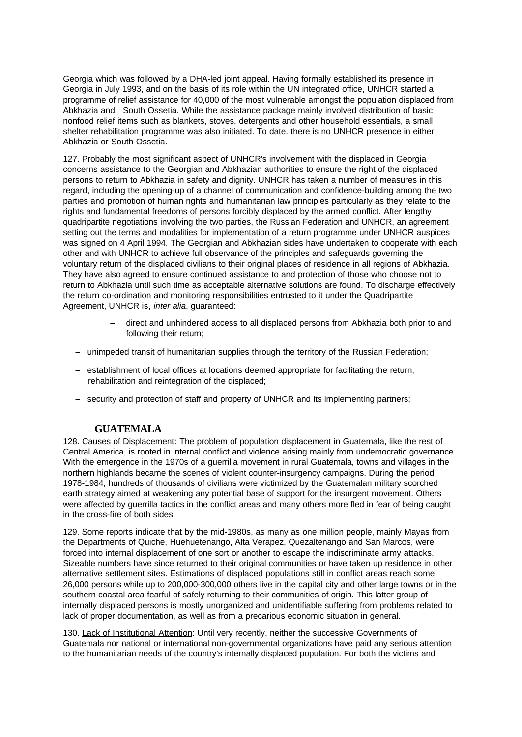Georgia which was followed by a DHA-led joint appeal. Having formally established its presence in Georgia in July 1993, and on the basis of its role within the UN integrated office, UNHCR started a programme of relief assistance for 40,000 of the most vulnerable amongst the population displaced from Abkhazia and South Ossetia. While the assistance package mainly involved distribution of basic nonfood relief items such as blankets, stoves, detergents and other household essentials, a small shelter rehabilitation programme was also initiated. To date. there is no UNHCR presence in either Abkhazia or South Ossetia.

127. Probably the most significant aspect of UNHCR's involvement with the displaced in Georgia concerns assistance to the Georgian and Abkhazian authorities to ensure the right of the displaced persons to return to Abkhazia in safety and dignity. UNHCR has taken a number of measures in this regard, including the opening-up of a channel of communication and confidence-building among the two parties and promotion of human rights and humanitarian law principles particularly as they relate to the rights and fundamental freedoms of persons forcibly displaced by the armed conflict. After lengthy quadripartite negotiations involving the two parties, the Russian Federation and UNHCR, an agreement setting out the terms and modalities for implementation of a return programme under UNHCR auspices was signed on 4 April 1994. The Georgian and Abkhazian sides have undertaken to cooperate with each other and with UNHCR to achieve full observance of the principles and safeguards governing the voluntary return of the displaced civilians to their original places of residence in all regions of Abkhazia. They have also agreed to ensure continued assistance to and protection of those who choose not to return to Abkhazia until such time as acceptable alternative solutions are found. To discharge effectively the return co-ordination and monitoring responsibilities entrusted to it under the Quadripartite Agreement, UNHCR is, *inter alia*, guaranteed:

- direct and unhindered access to all displaced persons from Abkhazia both prior to and following their return;
- unimpeded transit of humanitarian supplies through the territory of the Russian Federation;
- establishment of local offices at locations deemed appropriate for facilitating the return, rehabilitation and reintegration of the displaced;
- security and protection of staff and property of UNHCR and its implementing partners;

# **GUATEMALA**

128. Causes of Displacement: The problem of population displacement in Guatemala, like the rest of Central America, is rooted in internal conflict and violence arising mainly from undemocratic governance. With the emergence in the 1970s of a guerrilla movement in rural Guatemala, towns and villages in the northern highlands became the scenes of violent counter-insurgency campaigns. During the period 1978-1984, hundreds of thousands of civilians were victimized by the Guatemalan military scorched earth strategy aimed at weakening any potential base of support for the insurgent movement. Others were affected by guerrilla tactics in the conflict areas and many others more fled in fear of being caught in the cross-fire of both sides.

129. Some reports indicate that by the mid-1980s, as many as one million people, mainly Mayas from the Departments of Quiche, Huehuetenango, Alta Verapez, Quezaltenango and San Marcos, were forced into internal displacement of one sort or another to escape the indiscriminate army attacks. Sizeable numbers have since returned to their original communities or have taken up residence in other alternative settlement sites. Estimations of displaced populations still in conflict areas reach some 26,000 persons while up to 200,000-300,000 others live in the capital city and other large towns or in the southern coastal area fearful of safely returning to their communities of origin. This latter group of internally displaced persons is mostly unorganized and unidentifiable suffering from problems related to lack of proper documentation, as well as from a precarious economic situation in general.

130. Lack of Institutional Attention: Until very recently, neither the successive Governments of Guatemala nor national or international non-governmental organizations have paid any serious attention to the humanitarian needs of the country's internally displaced population. For both the victims and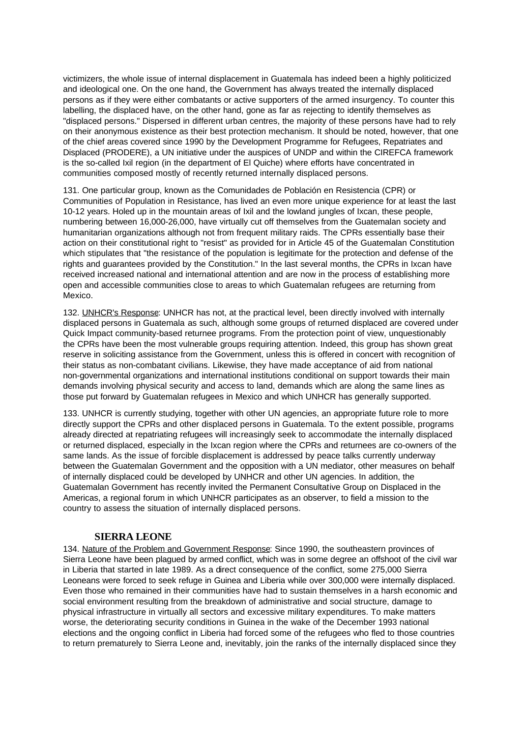victimizers, the whole issue of internal displacement in Guatemala has indeed been a highly politicized and ideological one. On the one hand, the Government has always treated the internally displaced persons as if they were either combatants or active supporters of the armed insurgency. To counter this labelling, the displaced have, on the other hand, gone as far as rejecting to identify themselves as "displaced persons." Dispersed in different urban centres, the majority of these persons have had to rely on their anonymous existence as their best protection mechanism. It should be noted, however, that one of the chief areas covered since 1990 by the Development Programme for Refugees, Repatriates and Displaced (PRODERE), a UN initiative under the auspices of UNDP and within the CIREFCA framework is the so-called Ixil region (in the department of El Quiche) where efforts have concentrated in communities composed mostly of recently returned internally displaced persons.

131. One particular group, known as the Comunidades de Población en Resistencia (CPR) or Communities of Population in Resistance, has lived an even more unique experience for at least the last 10-12 years. Holed up in the mountain areas of Ixil and the lowland jungles of Ixcan, these people, numbering between 16,000-26,000, have virtually cut off themselves from the Guatemalan society and humanitarian organizations although not from frequent military raids. The CPRs essentially base their action on their constitutional right to "resist" as provided for in Article 45 of the Guatemalan Constitution which stipulates that "the resistance of the population is legitimate for the protection and defense of the rights and guarantees provided by the Constitution." In the last several months, the CPRs in Ixcan have received increased national and international attention and are now in the process of establishing more open and accessible communities close to areas to which Guatemalan refugees are returning from Mexico.

132. UNHCR's Response: UNHCR has not, at the practical level, been directly involved with internally displaced persons in Guatemala as such, although some groups of returned displaced are covered under Quick Impact community-based returnee programs. From the protection point of view, unquestionably the CPRs have been the most vulnerable groups requiring attention. Indeed, this group has shown great reserve in soliciting assistance from the Government, unless this is offered in concert with recognition of their status as non-combatant civilians. Likewise, they have made acceptance of aid from national non-governmental organizations and international institutions conditional on support towards their main demands involving physical security and access to land, demands which are along the same lines as those put forward by Guatemalan refugees in Mexico and which UNHCR has generally supported.

133. UNHCR is currently studying, together with other UN agencies, an appropriate future role to more directly support the CPRs and other displaced persons in Guatemala. To the extent possible, programs already directed at repatriating refugees will increasingly seek to accommodate the internally displaced or returned displaced, especially in the Ixcan region where the CPRs and returnees are co-owners of the same lands. As the issue of forcible displacement is addressed by peace talks currently underway between the Guatemalan Government and the opposition with a UN mediator, other measures on behalf of internally displaced could be developed by UNHCR and other UN agencies. In addition, the Guatemalan Government has recently invited the Permanent Consultative Group on Displaced in the Americas, a regional forum in which UNHCR participates as an observer, to field a mission to the country to assess the situation of internally displaced persons.

## **SIERRA LEONE**

134. Nature of the Problem and Government Response: Since 1990, the southeastern provinces of Sierra Leone have been plagued by armed conflict, which was in some degree an offshoot of the civil war in Liberia that started in late 1989. As a direct consequence of the conflict, some 275,000 Sierra Leoneans were forced to seek refuge in Guinea and Liberia while over 300,000 were internally displaced. Even those who remained in their communities have had to sustain themselves in a harsh economic and social environment resulting from the breakdown of administrative and social structure, damage to physical infrastructure in virtually all sectors and excessive military expenditures. To make matters worse, the deteriorating security conditions in Guinea in the wake of the December 1993 national elections and the ongoing conflict in Liberia had forced some of the refugees who fled to those countries to return prematurely to Sierra Leone and, inevitably, join the ranks of the internally displaced since they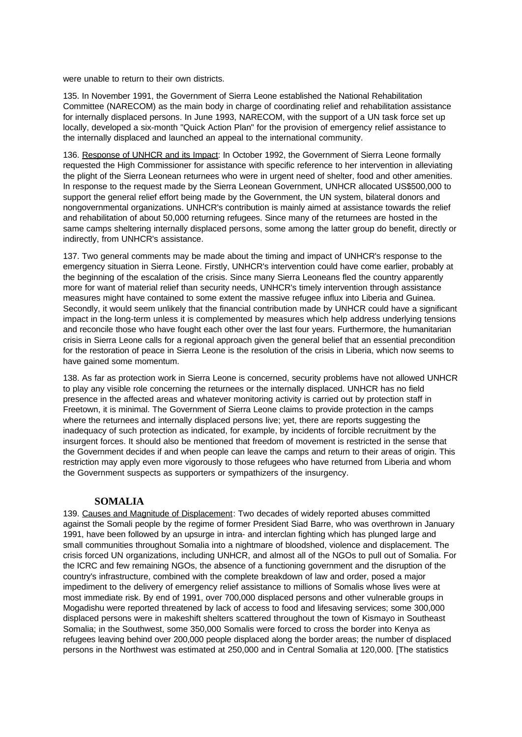were unable to return to their own districts.

135. In November 1991, the Government of Sierra Leone established the National Rehabilitation Committee (NARECOM) as the main body in charge of coordinating relief and rehabilitation assistance for internally displaced persons. In June 1993, NARECOM, with the support of a UN task force set up locally, developed a six-month "Quick Action Plan" for the provision of emergency relief assistance to the internally displaced and launched an appeal to the international community.

136. Response of UNHCR and its Impact: In October 1992, the Government of Sierra Leone formally requested the High Commissioner for assistance with specific reference to her intervention in alleviating the plight of the Sierra Leonean returnees who were in urgent need of shelter, food and other amenities. In response to the request made by the Sierra Leonean Government, UNHCR allocated US\$500,000 to support the general relief effort being made by the Government, the UN system, bilateral donors and nongovernmental organizations. UNHCR's contribution is mainly aimed at assistance towards the relief and rehabilitation of about 50,000 returning refugees. Since many of the returnees are hosted in the same camps sheltering internally displaced persons, some among the latter group do benefit, directly or indirectly, from UNHCR's assistance.

137. Two general comments may be made about the timing and impact of UNHCR's response to the emergency situation in Sierra Leone. Firstly, UNHCR's intervention could have come earlier, probably at the beginning of the escalation of the crisis. Since many Sierra Leoneans fled the country apparently more for want of material relief than security needs, UNHCR's timely intervention through assistance measures might have contained to some extent the massive refugee influx into Liberia and Guinea. Secondly, it would seem unlikely that the financial contribution made by UNHCR could have a significant impact in the long-term unless it is complemented by measures which help address underlying tensions and reconcile those who have fought each other over the last four years. Furthermore, the humanitarian crisis in Sierra Leone calls for a regional approach given the general belief that an essential precondition for the restoration of peace in Sierra Leone is the resolution of the crisis in Liberia, which now seems to have gained some momentum.

138. As far as protection work in Sierra Leone is concerned, security problems have not allowed UNHCR to play any visible role concerning the returnees or the internally displaced. UNHCR has no field presence in the affected areas and whatever monitoring activity is carried out by protection staff in Freetown, it is minimal. The Government of Sierra Leone claims to provide protection in the camps where the returnees and internally displaced persons live; yet, there are reports suggesting the inadequacy of such protection as indicated, for example, by incidents of forcible recruitment by the insurgent forces. It should also be mentioned that freedom of movement is restricted in the sense that the Government decides if and when people can leave the camps and return to their areas of origin. This restriction may apply even more vigorously to those refugees who have returned from Liberia and whom the Government suspects as supporters or sympathizers of the insurgency.

## **SOMALIA**

139. Causes and Magnitude of Displacement: Two decades of widely reported abuses committed against the Somali people by the regime of former President Siad Barre, who was overthrown in January 1991, have been followed by an upsurge in intra- and interclan fighting which has plunged large and small communities throughout Somalia into a nightmare of bloodshed, violence and displacement. The crisis forced UN organizations, including UNHCR, and almost all of the NGOs to pull out of Somalia. For the ICRC and few remaining NGOs, the absence of a functioning government and the disruption of the country's infrastructure, combined with the complete breakdown of law and order, posed a major impediment to the delivery of emergency relief assistance to millions of Somalis whose lives were at most immediate risk. By end of 1991, over 700,000 displaced persons and other vulnerable groups in Mogadishu were reported threatened by lack of access to food and lifesaving services; some 300,000 displaced persons were in makeshift shelters scattered throughout the town of Kismayo in Southeast Somalia; in the Southwest, some 350,000 Somalis were forced to cross the border into Kenya as refugees leaving behind over 200,000 people displaced along the border areas; the number of displaced persons in the Northwest was estimated at 250,000 and in Central Somalia at 120,000. [The statistics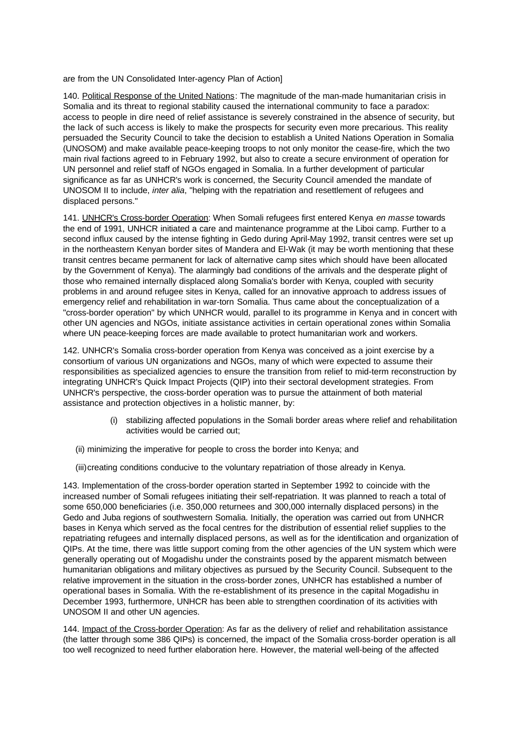are from the UN Consolidated Inter-agency Plan of Action]

140. Political Response of the United Nations: The magnitude of the man-made humanitarian crisis in Somalia and its threat to regional stability caused the international community to face a paradox: access to people in dire need of relief assistance is severely constrained in the absence of security, but the lack of such access is likely to make the prospects for security even more precarious. This reality persuaded the Security Council to take the decision to establish a United Nations Operation in Somalia (UNOSOM) and make available peace-keeping troops to not only monitor the cease-fire, which the two main rival factions agreed to in February 1992, but also to create a secure environment of operation for UN personnel and relief staff of NGOs engaged in Somalia. In a further development of particular significance as far as UNHCR's work is concerned, the Security Council amended the mandate of UNOSOM II to include, *inter alia*, "helping with the repatriation and resettlement of refugees and displaced persons."

141. UNHCR's Cross-border Operation: When Somali refugees first entered Kenya *en masse* towards the end of 1991, UNHCR initiated a care and maintenance programme at the Liboi camp. Further to a second influx caused by the intense fighting in Gedo during April-May 1992, transit centres were set up in the northeastern Kenyan border sites of Mandera and El-Wak (it may be worth mentioning that these transit centres became permanent for lack of alternative camp sites which should have been allocated by the Government of Kenya). The alarmingly bad conditions of the arrivals and the desperate plight of those who remained internally displaced along Somalia's border with Kenya, coupled with security problems in and around refugee sites in Kenya, called for an innovative approach to address issues of emergency relief and rehabilitation in war-torn Somalia. Thus came about the conceptualization of a "cross-border operation" by which UNHCR would, parallel to its programme in Kenya and in concert with other UN agencies and NGOs, initiate assistance activities in certain operational zones within Somalia where UN peace-keeping forces are made available to protect humanitarian work and workers.

142. UNHCR's Somalia cross-border operation from Kenya was conceived as a joint exercise by a consortium of various UN organizations and NGOs, many of which were expected to assume their responsibilities as specialized agencies to ensure the transition from relief to mid-term reconstruction by integrating UNHCR's Quick Impact Projects (QIP) into their sectoral development strategies. From UNHCR's perspective, the cross-border operation was to pursue the attainment of both material assistance and protection objectives in a holistic manner, by:

- (i) stabilizing affected populations in the Somali border areas where relief and rehabilitation activities would be carried out;
- (ii) minimizing the imperative for people to cross the border into Kenya; and
- (iii) creating conditions conducive to the voluntary repatriation of those already in Kenya.

143. Implementation of the cross-border operation started in September 1992 to coincide with the increased number of Somali refugees initiating their self-repatriation. It was planned to reach a total of some 650,000 beneficiaries (i.e. 350,000 returnees and 300,000 internally displaced persons) in the Gedo and Juba regions of southwestern Somalia. Initially, the operation was carried out from UNHCR bases in Kenya which served as the focal centres for the distribution of essential relief supplies to the repatriating refugees and internally displaced persons, as well as for the identification and organization of QIPs. At the time, there was little support coming from the other agencies of the UN system which were generally operating out of Mogadishu under the constraints posed by the apparent mismatch between humanitarian obligations and military objectives as pursued by the Security Council. Subsequent to the relative improvement in the situation in the cross-border zones, UNHCR has established a number of operational bases in Somalia. With the re-establishment of its presence in the capital Mogadishu in December 1993, furthermore, UNHCR has been able to strengthen coordination of its activities with UNOSOM II and other UN agencies.

144. Impact of the Cross-border Operation: As far as the delivery of relief and rehabilitation assistance (the latter through some 386 QIPs) is concerned, the impact of the Somalia cross-border operation is all too well recognized to need further elaboration here. However, the material well-being of the affected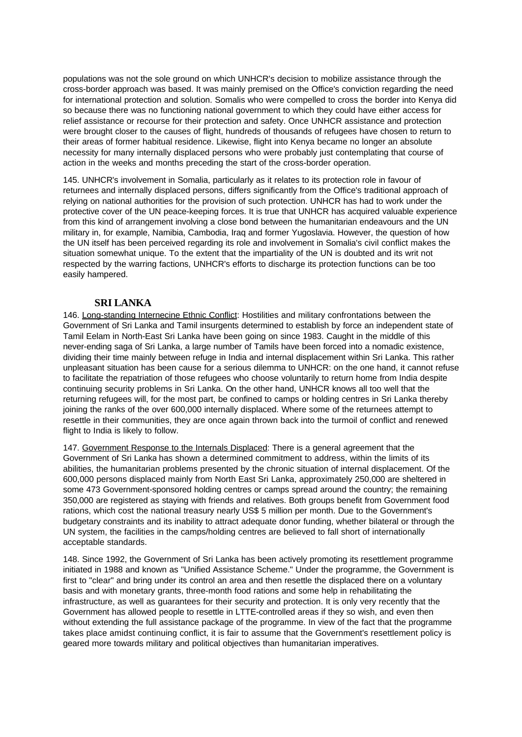populations was not the sole ground on which UNHCR's decision to mobilize assistance through the cross-border approach was based. It was mainly premised on the Office's conviction regarding the need for international protection and solution. Somalis who were compelled to cross the border into Kenya did so because there was no functioning national government to which they could have either access for relief assistance or recourse for their protection and safety. Once UNHCR assistance and protection were brought closer to the causes of flight, hundreds of thousands of refugees have chosen to return to their areas of former habitual residence. Likewise, flight into Kenya became no longer an absolute necessity for many internally displaced persons who were probably just contemplating that course of action in the weeks and months preceding the start of the cross-border operation.

145. UNHCR's involvement in Somalia, particularly as it relates to its protection role in favour of returnees and internally displaced persons, differs significantly from the Office's traditional approach of relying on national authorities for the provision of such protection. UNHCR has had to work under the protective cover of the UN peace-keeping forces. It is true that UNHCR has acquired valuable experience from this kind of arrangement involving a close bond between the humanitarian endeavours and the UN military in, for example, Namibia, Cambodia, Iraq and former Yugoslavia. However, the question of how the UN itself has been perceived regarding its role and involvement in Somalia's civil conflict makes the situation somewhat unique. To the extent that the impartiality of the UN is doubted and its writ not respected by the warring factions, UNHCR's efforts to discharge its protection functions can be too easily hampered.

## **SRI LANKA**

146. Long-standing Internecine Ethnic Conflict: Hostilities and military confrontations between the Government of Sri Lanka and Tamil insurgents determined to establish by force an independent state of Tamil Eelam in North-East Sri Lanka have been going on since 1983. Caught in the middle of this never-ending saga of Sri Lanka, a large number of Tamils have been forced into a nomadic existence, dividing their time mainly between refuge in India and internal displacement within Sri Lanka. This rather unpleasant situation has been cause for a serious dilemma to UNHCR: on the one hand, it cannot refuse to facilitate the repatriation of those refugees who choose voluntarily to return home from India despite continuing security problems in Sri Lanka. On the other hand, UNHCR knows all too well that the returning refugees will, for the most part, be confined to camps or holding centres in Sri Lanka thereby joining the ranks of the over 600,000 internally displaced. Where some of the returnees attempt to resettle in their communities, they are once again thrown back into the turmoil of conflict and renewed flight to India is likely to follow.

147. Government Response to the Internals Displaced: There is a general agreement that the Government of Sri Lanka has shown a determined commitment to address, within the limits of its abilities, the humanitarian problems presented by the chronic situation of internal displacement. Of the 600,000 persons displaced mainly from North East Sri Lanka, approximately 250,000 are sheltered in some 473 Government-sponsored holding centres or camps spread around the country; the remaining 350,000 are registered as staying with friends and relatives. Both groups benefit from Government food rations, which cost the national treasury nearly US\$ 5 million per month. Due to the Government's budgetary constraints and its inability to attract adequate donor funding, whether bilateral or through the UN system, the facilities in the camps/holding centres are believed to fall short of internationally acceptable standards.

148. Since 1992, the Government of Sri Lanka has been actively promoting its resettlement programme initiated in 1988 and known as "Unified Assistance Scheme." Under the programme, the Government is first to "clear" and bring under its control an area and then resettle the displaced there on a voluntary basis and with monetary grants, three-month food rations and some help in rehabilitating the infrastructure, as well as guarantees for their security and protection. It is only very recently that the Government has allowed people to resettle in LTTE-controlled areas if they so wish, and even then without extending the full assistance package of the programme. In view of the fact that the programme takes place amidst continuing conflict, it is fair to assume that the Government's resettlement policy is geared more towards military and political objectives than humanitarian imperatives.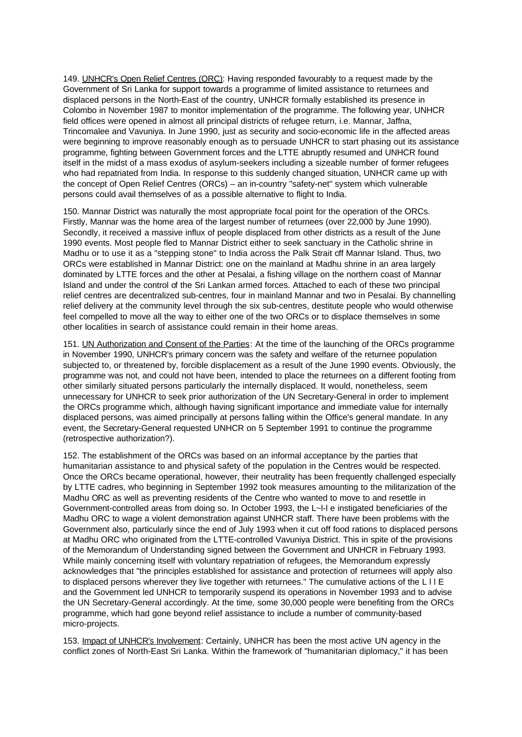149. UNHCR's Open Relief Centres (ORC): Having responded favourably to a request made by the Government of Sri Lanka for support towards a programme of limited assistance to returnees and displaced persons in the North-East of the country, UNHCR formally established its presence in Colombo in November 1987 to monitor implementation of the programme. The following year, UNHCR field offices were opened in almost all principal districts of refugee return, i.e. Mannar, Jaffna, Trincomalee and Vavuniya. In June 1990, just as security and socio-economic life in the affected areas were beginning to improve reasonably enough as to persuade UNHCR to start phasing out its assistance programme, fighting between Government forces and the LTTE abruptly resumed and UNHCR found itself in the midst of a mass exodus of asylum-seekers including a sizeable number of former refugees who had repatriated from India. In response to this suddenly changed situation, UNHCR came up with the concept of Open Relief Centres (ORCs) – an in-country "safety-net" system which vulnerable persons could avail themselves of as a possible alternative to flight to India.

150. Mannar District was naturally the most appropriate focal point for the operation of the ORCs. Firstly, Mannar was the home area of the largest number of returnees (over 22,000 by June 1990). Secondly, it received a massive influx of people displaced from other districts as a result of the June 1990 events. Most people fled to Mannar District either to seek sanctuary in the Catholic shrine in Madhu or to use it as a "stepping stone" to India across the Palk Strait off Mannar Island. Thus, two ORCs were established in Mannar District: one on the mainland at Madhu shrine in an area largely dominated by LTTE forces and the other at Pesalai, a fishing village on the northern coast of Mannar Island and under the control of the Sri Lankan armed forces. Attached to each of these two principal relief centres are decentralized sub-centres, four in mainland Mannar and two in Pesalai. By channelling relief delivery at the community level through the six sub-centres, destitute people who would otherwise feel compelled to move all the way to either one of the two ORCs or to displace themselves in some other localities in search of assistance could remain in their home areas.

151. UN Authorization and Consent of the Parties: At the time of the launching of the ORCs programme in November 1990, UNHCR's primary concern was the safety and welfare of the returnee population subjected to, or threatened by, forcible displacement as a result of the June 1990 events. Obviously, the programme was not, and could not have been, intended to place the returnees on a different footing from other similarly situated persons particularly the internally displaced. It would, nonetheless, seem unnecessary for UNHCR to seek prior authorization of the UN Secretary-General in order to implement the ORCs programme which, although having significant importance and immediate value for internally displaced persons, was aimed principally at persons falling within the Office's general mandate. In any event, the Secretary-General requested UNHCR on 5 September 1991 to continue the programme (retrospective authorization?).

152. The establishment of the ORCs was based on an informal acceptance by the parties that humanitarian assistance to and physical safety of the population in the Centres would be respected. Once the ORCs became operational, however, their neutrality has been frequently challenged especially by LTTE cadres, who beginning in September 1992 took measures amounting to the militarization of the Madhu ORC as well as preventing residents of the Centre who wanted to move to and resettle in Government-controlled areas from doing so. In October 1993, the L~l-l e instigated beneficiaries of the Madhu ORC to wage a violent demonstration against UNHCR staff. There have been problems with the Government also, particularly since the end of July 1993 when it cut off food rations to displaced persons at Madhu ORC who originated from the LTTE-controlled Vavuniya District. This in spite of the provisions of the Memorandum of Understanding signed between the Government and UNHCR in February 1993. While mainly concerning itself with voluntary repatriation of refugees, the Memorandum expressly acknowledges that "the principles established for assistance and protection of returnees will apply also to displaced persons wherever they live together with returnees." The cumulative actions of the L l l E and the Government led UNHCR to temporarily suspend its operations in November 1993 and to advise the UN Secretary-General accordingly. At the time, some 30,000 people were benefiting from the ORCs programme, which had gone beyond relief assistance to include a number of community-based micro-projects.

153. Impact of UNHCR's Involvement: Certainly, UNHCR has been the most active UN agency in the conflict zones of North-East Sri Lanka. Within the framework of "humanitarian diplomacy," it has been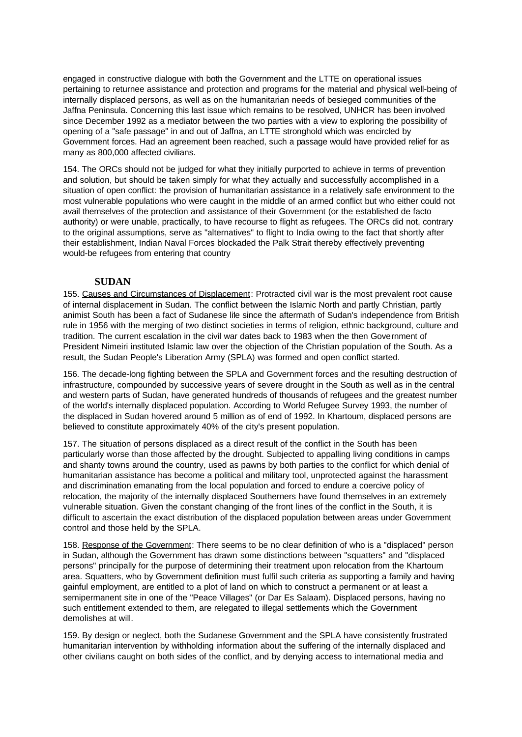engaged in constructive dialogue with both the Government and the LTTE on operational issues pertaining to returnee assistance and protection and programs for the material and physical well-being of internally displaced persons, as well as on the humanitarian needs of besieged communities of the Jaffna Peninsula. Concerning this last issue which remains to be resolved, UNHCR has been involved since December 1992 as a mediator between the two parties with a view to exploring the possibility of opening of a "safe passage" in and out of Jaffna, an LTTE stronghold which was encircled by Government forces. Had an agreement been reached, such a passage would have provided relief for as many as 800,000 affected civilians.

154. The ORCs should not be judged for what they initially purported to achieve in terms of prevention and solution, but should be taken simply for what they actually and successfully accomplished in a situation of open conflict: the provision of humanitarian assistance in a relatively safe environment to the most vulnerable populations who were caught in the middle of an armed conflict but who either could not avail themselves of the protection and assistance of their Government (or the established de facto authority) or were unable, practically, to have recourse to flight as refugees. The ORCs did not, contrary to the original assumptions, serve as "alternatives" to flight to India owing to the fact that shortly after their establishment, Indian Naval Forces blockaded the Palk Strait thereby effectively preventing would-be refugees from entering that country

## **SUDAN**

155. Causes and Circumstances of Displacement: Protracted civil war is the most prevalent root cause of internal displacement in Sudan. The conflict between the Islamic North and partly Christian, partly animist South has been a fact of Sudanese life since the aftermath of Sudan's independence from British rule in 1956 with the merging of two distinct societies in terms of religion, ethnic background, culture and tradition. The current escalation in the civil war dates back to 1983 when the then Government of President Nimeiri instituted Islamic law over the objection of the Christian population of the South. As a result, the Sudan People's Liberation Army (SPLA) was formed and open conflict started.

156. The decade-long fighting between the SPLA and Government forces and the resulting destruction of infrastructure, compounded by successive years of severe drought in the South as well as in the central and western parts of Sudan, have generated hundreds of thousands of refugees and the greatest number of the world's internally displaced population. According to World Refugee Survey 1993, the number of the displaced in Sudan hovered around 5 million as of end of 1992. In Khartoum, displaced persons are believed to constitute approximately 40% of the city's present population.

157. The situation of persons displaced as a direct result of the conflict in the South has been particularly worse than those affected by the drought. Subjected to appalling living conditions in camps and shanty towns around the country, used as pawns by both parties to the conflict for which denial of humanitarian assistance has become a political and military tool, unprotected against the harassment and discrimination emanating from the local population and forced to endure a coercive policy of relocation, the majority of the internally displaced Southerners have found themselves in an extremely vulnerable situation. Given the constant changing of the front lines of the conflict in the South, it is difficult to ascertain the exact distribution of the displaced population between areas under Government control and those held by the SPLA.

158. Response of the Government: There seems to be no clear definition of who is a "displaced" person in Sudan, although the Government has drawn some distinctions between "squatters" and "displaced persons" principally for the purpose of determining their treatment upon relocation from the Khartoum area. Squatters, who by Government definition must fulfil such criteria as supporting a family and having gainful employment, are entitled to a plot of land on which to construct a permanent or at least a semipermanent site in one of the "Peace Villages" (or Dar Es Salaam). Displaced persons, having no such entitlement extended to them, are relegated to illegal settlements which the Government demolishes at will.

159. By design or neglect, both the Sudanese Government and the SPLA have consistently frustrated humanitarian intervention by withholding information about the suffering of the internally displaced and other civilians caught on both sides of the conflict, and by denying access to international media and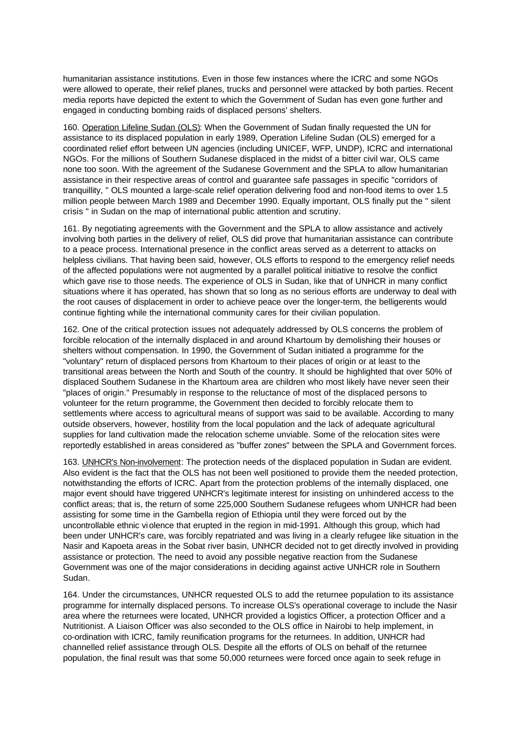humanitarian assistance institutions. Even in those few instances where the ICRC and some NGOs were allowed to operate, their relief planes, trucks and personnel were attacked by both parties. Recent media reports have depicted the extent to which the Government of Sudan has even gone further and engaged in conducting bombing raids of displaced persons' shelters.

160. Operation Lifeline Sudan (OLS): When the Government of Sudan finally requested the UN for assistance to its displaced population in early 1989, Operation Lifeline Sudan (OLS) emerged for a coordinated relief effort between UN agencies (including UNICEF, WFP, UNDP), ICRC and international NGOs. For the millions of Southern Sudanese displaced in the midst of a bitter civil war, OLS came none too soon. With the agreement of the Sudanese Government and the SPLA to allow humanitarian assistance in their respective areas of control and guarantee safe passages in specific "corridors of tranquillity, " OLS mounted a large-scale relief operation delivering food and non-food items to over 1.5 million people between March 1989 and December 1990. Equally important, OLS finally put the " silent crisis " in Sudan on the map of international public attention and scrutiny.

161. By negotiating agreements with the Government and the SPLA to allow assistance and actively involving both parties in the delivery of relief, OLS did prove that humanitarian assistance can contribute to a peace process. International presence in the conflict areas served as a deterrent to attacks on helpless civilians. That having been said, however, OLS efforts to respond to the emergency relief needs of the affected populations were not augmented by a parallel political initiative to resolve the conflict which gave rise to those needs. The experience of OLS in Sudan, like that of UNHCR in many conflict situations where it has operated, has shown that so long as no serious efforts are underway to deal with the root causes of displacement in order to achieve peace over the longer-term, the belligerents would continue fighting while the international community cares for their civilian population.

162. One of the critical protection issues not adequately addressed by OLS concerns the problem of forcible relocation of the internally displaced in and around Khartoum by demolishing their houses or shelters without compensation. In 1990, the Government of Sudan initiated a programme for the "voluntary" return of displaced persons from Khartoum to their places of origin or at least to the transitional areas between the North and South of the country. It should be highlighted that over 50% of displaced Southern Sudanese in the Khartoum area are children who most likely have never seen their "places of origin." Presumably in response to the reluctance of most of the displaced persons to volunteer for the return programme, the Government then decided to forcibly relocate them to settlements where access to agricultural means of support was said to be available. According to many outside observers, however, hostility from the local population and the lack of adequate agricultural supplies for land cultivation made the relocation scheme unviable. Some of the relocation sites were reportedly established in areas considered as "buffer zones" between the SPLA and Government forces.

163. UNHCR's Non-involvement: The protection needs of the displaced population in Sudan are evident. Also evident is the fact that the OLS has not been well positioned to provide them the needed protection, notwithstanding the efforts of ICRC. Apart from the protection problems of the internally displaced, one major event should have triggered UNHCR's legitimate interest for insisting on unhindered access to the conflict areas; that is, the return of some 225,000 Southern Sudanese refugees whom UNHCR had been assisting for some time in the Gambella region of Ethiopia until they were forced out by the uncontrollable ethnic vi olence that erupted in the region in mid-1991. Although this group, which had been under UNHCR's care, was forcibly repatriated and was living in a clearly refugee like situation in the Nasir and Kapoeta areas in the Sobat river basin, UNHCR decided not to get directly involved in providing assistance or protection. The need to avoid any possible negative reaction from the Sudanese Government was one of the major considerations in deciding against active UNHCR role in Southern Sudan.

164. Under the circumstances, UNHCR requested OLS to add the returnee population to its assistance programme for internally displaced persons. To increase OLS's operational coverage to include the Nasir area where the returnees were located, UNHCR provided a logistics Officer, a protection Officer and a Nutritionist. A Liaison Officer was also seconded to the OLS office in Nairobi to help implement, in co-ordination with ICRC, family reunification programs for the returnees. In addition, UNHCR had channelled relief assistance through OLS. Despite all the efforts of OLS on behalf of the returnee population, the final result was that some 50,000 returnees were forced once again to seek refuge in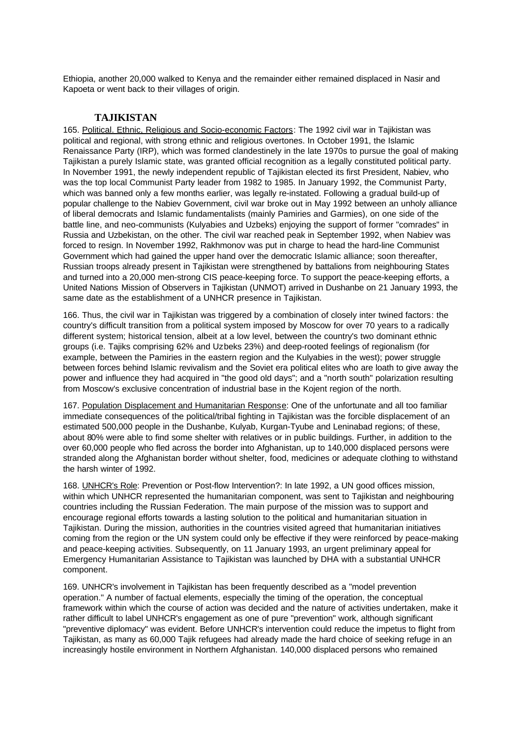Ethiopia, another 20,000 walked to Kenya and the remainder either remained displaced in Nasir and Kapoeta or went back to their villages of origin.

## **TAJIKISTAN**

165. Political. Ethnic, Religious and Socio-economic Factors: The 1992 civil war in Tajikistan was political and regional, with strong ethnic and religious overtones. In October 1991, the Islamic Renaissance Party (IRP), which was formed clandestinely in the late 1970s to pursue the goal of making Tajikistan a purely Islamic state, was granted official recognition as a legally constituted political party. In November 1991, the newly independent republic of Tajikistan elected its first President, Nabiev, who was the top local Communist Party leader from 1982 to 1985. In January 1992, the Communist Party, which was banned only a few months earlier, was legally re-instated. Following a gradual build-up of popular challenge to the Nabiev Government, civil war broke out in May 1992 between an unholy alliance of liberal democrats and Islamic fundamentalists (mainly Pamiries and Garmies), on one side of the battle line, and neo-communists (Kulyabies and Uzbeks) enjoying the support of former "comrades" in Russia and Uzbekistan, on the other. The civil war reached peak in September 1992, when Nabiev was forced to resign. In November 1992, Rakhmonov was put in charge to head the hard-line Communist Government which had gained the upper hand over the democratic Islamic alliance; soon thereafter, Russian troops already present in Tajikistan were strengthened by battalions from neighbouring States and turned into a 20,000 men-strong CIS peace-keeping force. To support the peace-keeping efforts, a United Nations Mission of Observers in Tajikistan (UNMOT) arrived in Dushanbe on 21 January 1993, the same date as the establishment of a UNHCR presence in Tajikistan.

166. Thus, the civil war in Tajikistan was triggered by a combination of closely inter twined factors: the country's difficult transition from a political system imposed by Moscow for over 70 years to a radically different system; historical tension, albeit at a low level, between the country's two dominant ethnic groups (i.e. Tajiks comprising 62% and Uzbeks 23%) and deep-rooted feelings of regionalism (for example, between the Pamiries in the eastern region and the Kulyabies in the west); power struggle between forces behind Islamic revivalism and the Soviet era political elites who are loath to give away the power and influence they had acquired in "the good old days"; and a "north south" polarization resulting from Moscow's exclusive concentration of industrial base in the Kojent region of the north.

167. Population Displacement and Humanitarian Response: One of the unfortunate and all too familiar immediate consequences of the political/tribal fighting in Tajikistan was the forcible displacement of an estimated 500,000 people in the Dushanbe, Kulyab, Kurgan-Tyube and Leninabad regions; of these, about 80% were able to find some shelter with relatives or in public buildings. Further, in addition to the over 60,000 people who fled across the border into Afghanistan, up to 140,000 displaced persons were stranded along the Afghanistan border without shelter, food, medicines or adequate clothing to withstand the harsh winter of 1992.

168. UNHCR's Role: Prevention or Post-flow Intervention?: In late 1992, a UN good offices mission, within which UNHCR represented the humanitarian component, was sent to Tajikistan and neighbouring countries including the Russian Federation. The main purpose of the mission was to support and encourage regional efforts towards a lasting solution to the political and humanitarian situation in Tajikistan. During the mission, authorities in the countries visited agreed that humanitarian initiatives coming from the region or the UN system could only be effective if they were reinforced by peace-making and peace-keeping activities. Subsequently, on 11 January 1993, an urgent preliminary appeal for Emergency Humanitarian Assistance to Tajikistan was launched by DHA with a substantial UNHCR component.

169. UNHCR's involvement in Tajikistan has been frequently described as a "model prevention operation." A number of factual elements, especially the timing of the operation, the conceptual framework within which the course of action was decided and the nature of activities undertaken, make it rather difficult to label UNHCR's engagement as one of pure "prevention" work, although significant "preventive diplomacy" was evident. Before UNHCR's intervention could reduce the impetus to flight from Tajikistan, as many as 60,000 Tajik refugees had already made the hard choice of seeking refuge in an increasingly hostile environment in Northern Afghanistan. 140,000 displaced persons who remained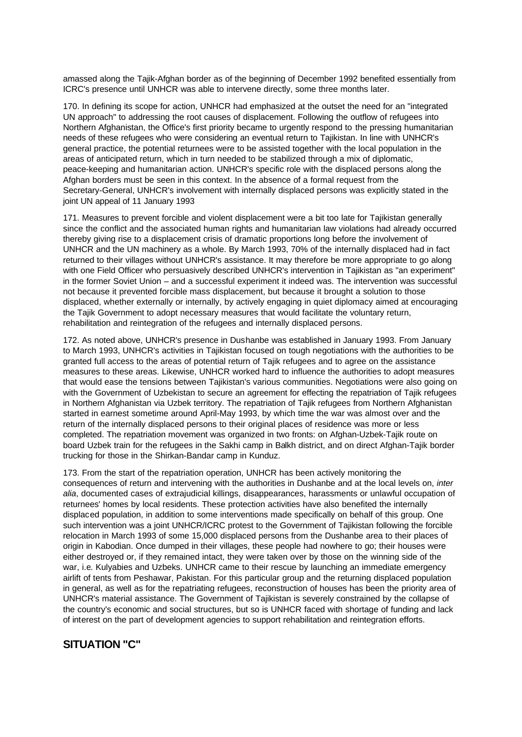amassed along the Tajik-Afghan border as of the beginning of December 1992 benefited essentially from ICRC's presence until UNHCR was able to intervene directly, some three months later.

170. In defining its scope for action, UNHCR had emphasized at the outset the need for an "integrated UN approach" to addressing the root causes of displacement. Following the outflow of refugees into Northern Afghanistan, the Office's first priority became to urgently respond to the pressing humanitarian needs of these refugees who were considering an eventual return to Tajikistan. In line with UNHCR's general practice, the potential returnees were to be assisted together with the local population in the areas of anticipated return, which in turn needed to be stabilized through a mix of diplomatic, peace-keeping and humanitarian action. UNHCR's specific role with the displaced persons along the Afghan borders must be seen in this context. In the absence of a formal request from the Secretary-General, UNHCR's involvement with internally displaced persons was explicitly stated in the joint UN appeal of 11 January 1993

171. Measures to prevent forcible and violent displacement were a bit too late for Tajikistan generally since the conflict and the associated human rights and humanitarian law violations had already occurred thereby giving rise to a displacement crisis of dramatic proportions long before the involvement of UNHCR and the UN machinery as a whole. By March 1993, 70% of the internally displaced had in fact returned to their villages without UNHCR's assistance. It may therefore be more appropriate to go along with one Field Officer who persuasively described UNHCR's intervention in Tajikistan as "an experiment" in the former Soviet Union – and a successful experiment it indeed was. The intervention was successful not because it prevented forcible mass displacement, but because it brought a solution to those displaced, whether externally or internally, by actively engaging in quiet diplomacy aimed at encouraging the Tajik Government to adopt necessary measures that would facilitate the voluntary return, rehabilitation and reintegration of the refugees and internally displaced persons.

172. As noted above, UNHCR's presence in Dushanbe was established in January 1993. From January to March 1993, UNHCR's activities in Tajikistan focused on tough negotiations with the authorities to be granted full access to the areas of potential return of Tajik refugees and to agree on the assistance measures to these areas. Likewise, UNHCR worked hard to influence the authorities to adopt measures that would ease the tensions between Tajikistan's various communities. Negotiations were also going on with the Government of Uzbekistan to secure an agreement for effecting the repatriation of Tajik refugees in Northern Afghanistan via Uzbek territory. The repatriation of Tajik refugees from Northern Afghanistan started in earnest sometime around April-May 1993, by which time the war was almost over and the return of the internally displaced persons to their original places of residence was more or less completed. The repatriation movement was organized in two fronts: on Afghan-Uzbek-Tajik route on board Uzbek train for the refugees in the Sakhi camp in Balkh district, and on direct Afghan-Tajik border trucking for those in the Shirkan-Bandar camp in Kunduz.

173. From the start of the repatriation operation, UNHCR has been actively monitoring the consequences of return and intervening with the authorities in Dushanbe and at the local levels on, *inter alia*, documented cases of extrajudicial killings, disappearances, harassments or unlawful occupation of returnees' homes by local residents. These protection activities have also benefited the internally displaced population, in addition to some interventions made specifically on behalf of this group. One such intervention was a joint UNHCR/ICRC protest to the Government of Tajikistan following the forcible relocation in March 1993 of some 15,000 displaced persons from the Dushanbe area to their places of origin in Kabodian. Once dumped in their villages, these people had nowhere to go; their houses were either destroyed or, if they remained intact, they were taken over by those on the winning side of the war, i.e. Kulyabies and Uzbeks. UNHCR came to their rescue by launching an immediate emergency airlift of tents from Peshawar, Pakistan. For this particular group and the returning displaced population in general, as well as for the repatriating refugees, reconstruction of houses has been the priority area of UNHCR's material assistance. The Government of Tajikistan is severely constrained by the collapse of the country's economic and social structures, but so is UNHCR faced with shortage of funding and lack of interest on the part of development agencies to support rehabilitation and reintegration efforts.

# **SITUATION "C"**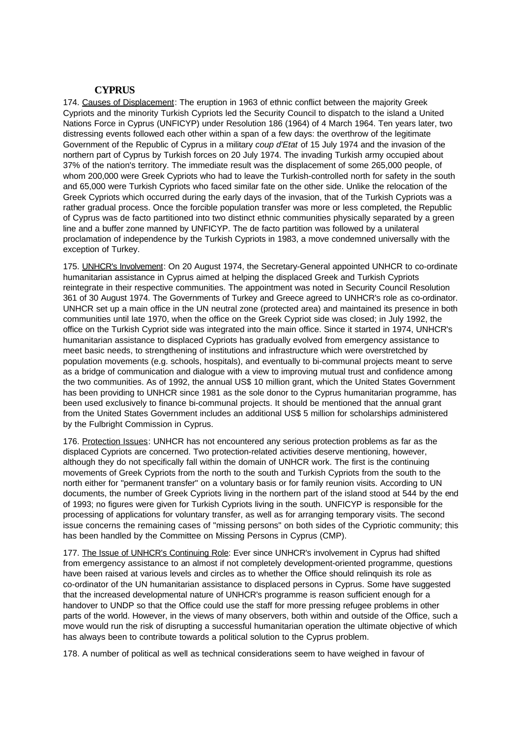## **CYPRUS**

174. Causes of Displacement: The eruption in 1963 of ethnic conflict between the majority Greek Cypriots and the minority Turkish Cypriots led the Security Council to dispatch to the island a United Nations Force in Cyprus (UNFICYP) under Resolution 186 (1964) of 4 March 1964. Ten years later, two distressing events followed each other within a span of a few days: the overthrow of the legitimate Government of the Republic of Cyprus in a military *coup d'Etat* of 15 July 1974 and the invasion of the northern part of Cyprus by Turkish forces on 20 July 1974. The invading Turkish army occupied about 37% of the nation's territory. The immediate result was the displacement of some 265,000 people, of whom 200,000 were Greek Cypriots who had to leave the Turkish-controlled north for safety in the south and 65,000 were Turkish Cypriots who faced similar fate on the other side. Unlike the relocation of the Greek Cypriots which occurred during the early days of the invasion, that of the Turkish Cypriots was a rather gradual process. Once the forcible population transfer was more or less completed, the Republic of Cyprus was de facto partitioned into two distinct ethnic communities physically separated by a green line and a buffer zone manned by UNFICYP. The de facto partition was followed by a unilateral proclamation of independence by the Turkish Cypriots in 1983, a move condemned universally with the exception of Turkey.

175. UNHCR's Involvement: On 20 August 1974, the Secretary-General appointed UNHCR to co-ordinate humanitarian assistance in Cyprus aimed at helping the displaced Greek and Turkish Cypriots reintegrate in their respective communities. The appointment was noted in Security Council Resolution 361 of 30 August 1974. The Governments of Turkey and Greece agreed to UNHCR's role as co-ordinator. UNHCR set up a main office in the UN neutral zone (protected area) and maintained its presence in both communities until late 1970, when the office on the Greek Cypriot side was closed; in July 1992, the office on the Turkish Cypriot side was integrated into the main office. Since it started in 1974, UNHCR's humanitarian assistance to displaced Cypriots has gradually evolved from emergency assistance to meet basic needs, to strengthening of institutions and infrastructure which were overstretched by population movements (e.g. schools, hospitals), and eventually to bi-communal projects meant to serve as a bridge of communication and dialogue with a view to improving mutual trust and confidence among the two communities. As of 1992, the annual US\$ 10 million grant, which the United States Government has been providing to UNHCR since 1981 as the sole donor to the Cyprus humanitarian programme, has been used exclusively to finance bi-communal projects. It should be mentioned that the annual grant from the United States Government includes an additional US\$ 5 million for scholarships administered by the Fulbright Commission in Cyprus.

176. Protection Issues: UNHCR has not encountered any serious protection problems as far as the displaced Cypriots are concerned. Two protection-related activities deserve mentioning, however, although they do not specifically fall within the domain of UNHCR work. The first is the continuing movements of Greek Cypriots from the north to the south and Turkish Cypriots from the south to the north either for "permanent transfer" on a voluntary basis or for family reunion visits. According to UN documents, the number of Greek Cypriots living in the northern part of the island stood at 544 by the end of 1993; no figures were given for Turkish Cypriots living in the south. UNFICYP is responsible for the processing of applications for voluntary transfer, as well as for arranging temporary visits. The second issue concerns the remaining cases of "missing persons" on both sides of the Cypriotic community; this has been handled by the Committee on Missing Persons in Cyprus (CMP).

177. The Issue of UNHCR's Continuing Role: Ever since UNHCR's involvement in Cyprus had shifted from emergency assistance to an almost if not completely development-oriented programme, questions have been raised at various levels and circles as to whether the Office should relinquish its role as co-ordinator of the UN humanitarian assistance to displaced persons in Cyprus. Some have suggested that the increased developmental nature of UNHCR's programme is reason sufficient enough for a handover to UNDP so that the Office could use the staff for more pressing refugee problems in other parts of the world. However, in the views of many observers, both within and outside of the Office, such a move would run the risk of disrupting a successful humanitarian operation the ultimate objective of which has always been to contribute towards a political solution to the Cyprus problem.

178. A number of political as well as technical considerations seem to have weighed in favour of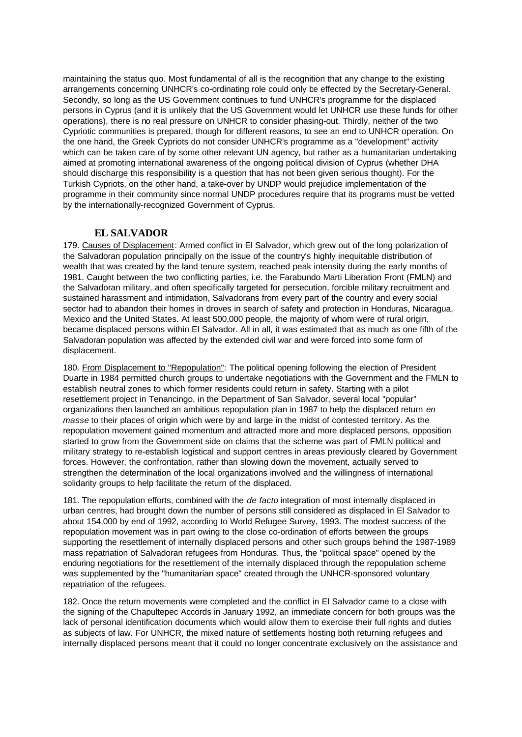maintaining the status quo. Most fundamental of all is the recognition that any change to the existing arrangements concerning UNHCR's co-ordinating role could only be effected by the Secretary-General. Secondly, so long as the US Government continues to fund UNHCR's programme for the displaced persons in Cyprus (and it is unlikely that the US Government would let UNHCR use these funds for other operations), there is no real pressure on UNHCR to consider phasing-out. Thirdly, neither of the two Cypriotic communities is prepared, though for different reasons, to see an end to UNHCR operation. On the one hand, the Greek Cypriots do not consider UNHCR's programme as a "development" activity which can be taken care of by some other relevant UN agency, but rather as a humanitarian undertaking aimed at promoting international awareness of the ongoing political division of Cyprus (whether DHA should discharge this responsibility is a question that has not been given serious thought). For the Turkish Cypriots, on the other hand, a take-over by UNDP would prejudice implementation of the programme in their community since normal UNDP procedures require that its programs must be vetted by the internationally-recognized Government of Cyprus.

## **EL SALVADOR**

179. Causes of Displacement: Armed conflict in El Salvador, which grew out of the long polarization of the Salvadoran population principally on the issue of the country's highly inequitable distribution of wealth that was created by the land tenure system, reached peak intensity during the early months of 1981. Caught between the two conflicting parties, i.e. the Farabundo Marti Liberation Front (FMLN) and the Salvadoran military, and often specifically targeted for persecution, forcible military recruitment and sustained harassment and intimidation, Salvadorans from every part of the country and every social sector had to abandon their homes in droves in search of safety and protection in Honduras, Nicaragua, Mexico and the United States. At least 500,000 people, the majority of whom were of rural origin, became displaced persons within El Salvador. All in all, it was estimated that as much as one fifth of the Salvadoran population was affected by the extended civil war and were forced into some form of displacement.

180. From Displacement to "Repopulation": The political opening following the election of President Duarte in 1984 permitted church groups to undertake negotiations with the Government and the FMLN to establish neutral zones to which former residents could return in safety. Starting with a pilot resettlement project in Tenancingo, in the Department of San Salvador, several local "popular" organizations then launched an ambitious repopulation plan in 1987 to help the displaced return *en masse* to their places of origin which were by and large in the midst of contested territory. As the repopulation movement gained momentum and attracted more and more displaced persons, opposition started to grow from the Government side on claims that the scheme was part of FMLN political and military strategy to re-establish logistical and support centres in areas previously cleared by Government forces. However, the confrontation, rather than slowing down the movement, actually served to strengthen the determination of the local organizations involved and the willingness of international solidarity groups to help facilitate the return of the displaced.

181. The repopulation efforts, combined with the *de facto* integration of most internally displaced in urban centres, had brought down the number of persons still considered as displaced in El Salvador to about 154,000 by end of 1992, according to World Refugee Survey, 1993. The modest success of the repopulation movement was in part owing to the close co-ordination of efforts between the groups supporting the resettlement of internally displaced persons and other such groups behind the 1987-1989 mass repatriation of Salvadoran refugees from Honduras. Thus, the "political space" opened by the enduring negotiations for the resettlement of the internally displaced through the repopulation scheme was supplemented by the "humanitarian space" created through the UNHCR-sponsored voluntary repatriation of the refugees.

182. Once the return movements were completed and the conflict in El Salvador came to a close with the signing of the Chapultepec Accords in January 1992, an immediate concern for both groups was the lack of personal identification documents which would allow them to exercise their full rights and duties as subjects of law. For UNHCR, the mixed nature of settlements hosting both returning refugees and internally displaced persons meant that it could no longer concentrate exclusively on the assistance and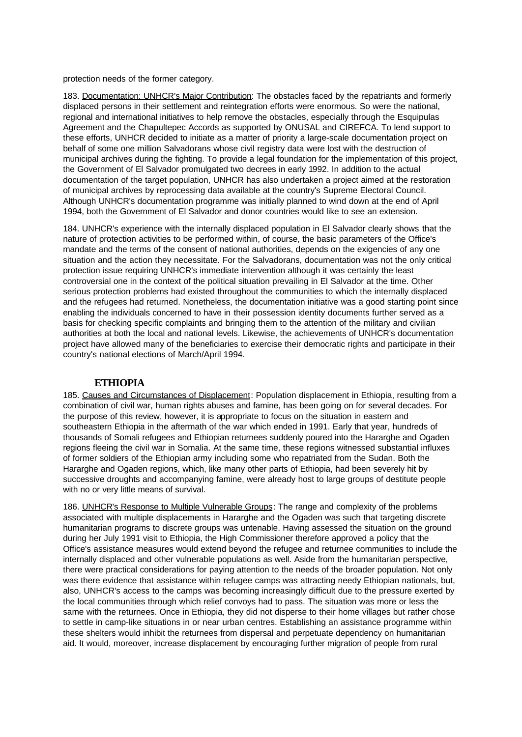protection needs of the former category.

183. Documentation: UNHCR's Major Contribution: The obstacles faced by the repatriants and formerly displaced persons in their settlement and reintegration efforts were enormous. So were the national, regional and international initiatives to help remove the obstacles, especially through the Esquipulas Agreement and the Chapultepec Accords as supported by ONUSAL and CIREFCA. To lend support to these efforts, UNHCR decided to initiate as a matter of priority a large-scale documentation project on behalf of some one million Salvadorans whose civil registry data were lost with the destruction of municipal archives during the fighting. To provide a legal foundation for the implementation of this project, the Government of El Salvador promulgated two decrees in early 1992. In addition to the actual documentation of the target population, UNHCR has also undertaken a project aimed at the restoration of municipal archives by reprocessing data available at the country's Supreme Electoral Council. Although UNHCR's documentation programme was initially planned to wind down at the end of April 1994, both the Government of El Salvador and donor countries would like to see an extension.

184. UNHCR's experience with the internally displaced population in El Salvador clearly shows that the nature of protection activities to be performed within, of course, the basic parameters of the Office's mandate and the terms of the consent of national authorities, depends on the exigencies of any one situation and the action they necessitate. For the Salvadorans, documentation was not the only critical protection issue requiring UNHCR's immediate intervention although it was certainly the least controversial one in the context of the political situation prevailing in El Salvador at the time. Other serious protection problems had existed throughout the communities to which the internally displaced and the refugees had returned. Nonetheless, the documentation initiative was a good starting point since enabling the individuals concerned to have in their possession identity documents further served as a basis for checking specific complaints and bringing them to the attention of the military and civilian authorities at both the local and national levels. Likewise, the achievements of UNHCR's documentation project have allowed many of the beneficiaries to exercise their democratic rights and participate in their country's national elections of March/April 1994.

### **ETHIOPIA**

185. Causes and Circumstances of Displacement: Population displacement in Ethiopia, resulting from a combination of civil war, human rights abuses and famine, has been going on for several decades. For the purpose of this review, however, it is appropriate to focus on the situation in eastern and southeastern Ethiopia in the aftermath of the war which ended in 1991. Early that year, hundreds of thousands of Somali refugees and Ethiopian returnees suddenly poured into the Hararghe and Ogaden regions fleeing the civil war in Somalia. At the same time, these regions witnessed substantial influxes of former soldiers of the Ethiopian army including some who repatriated from the Sudan. Both the Hararghe and Ogaden regions, which, like many other parts of Ethiopia, had been severely hit by successive droughts and accompanying famine, were already host to large groups of destitute people with no or very little means of survival.

186. UNHCR's Response to Multiple Vulnerable Groups: The range and complexity of the problems associated with multiple displacements in Hararghe and the Ogaden was such that targeting discrete humanitarian programs to discrete groups was untenable. Having assessed the situation on the ground during her July 1991 visit to Ethiopia, the High Commissioner therefore approved a policy that the Office's assistance measures would extend beyond the refugee and returnee communities to include the internally displaced and other vulnerable populations as well. Aside from the humanitarian perspective, there were practical considerations for paying attention to the needs of the broader population. Not only was there evidence that assistance within refugee camps was attracting needy Ethiopian nationals, but, also, UNHCR's access to the camps was becoming increasingly difficult due to the pressure exerted by the local communities through which relief convoys had to pass. The situation was more or less the same with the returnees. Once in Ethiopia, they did not disperse to their home villages but rather chose to settle in camp-like situations in or near urban centres. Establishing an assistance programme within these shelters would inhibit the returnees from dispersal and perpetuate dependency on humanitarian aid. It would, moreover, increase displacement by encouraging further migration of people from rural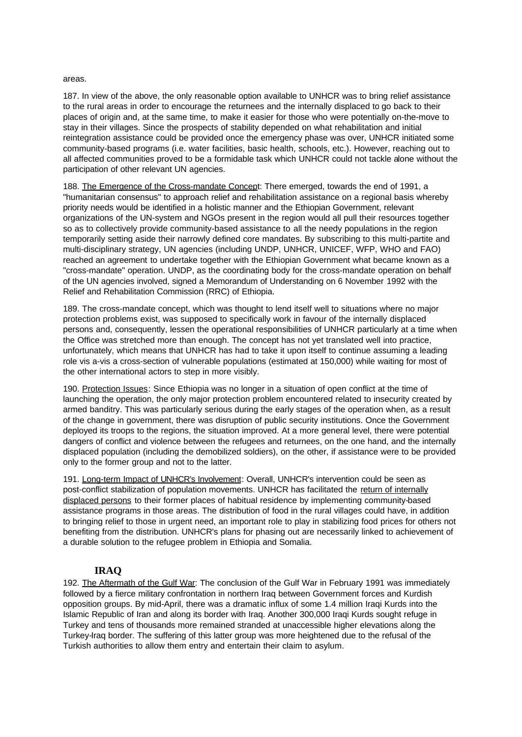#### areas.

187. In view of the above, the only reasonable option available to UNHCR was to bring relief assistance to the rural areas in order to encourage the returnees and the internally displaced to go back to their places of origin and, at the same time, to make it easier for those who were potentially on-the-move to stay in their villages. Since the prospects of stability depended on what rehabilitation and initial reintegration assistance could be provided once the emergency phase was over, UNHCR initiated some community-based programs (i.e. water facilities, basic health, schools, etc.). However, reaching out to all affected communities proved to be a formidable task which UNHCR could not tackle alone without the participation of other relevant UN agencies.

188. The Emergence of the Cross-mandate Concept: There emerged, towards the end of 1991, a "humanitarian consensus" to approach relief and rehabilitation assistance on a regional basis whereby priority needs would be identified in a holistic manner and the Ethiopian Government, relevant organizations of the UN-system and NGOs present in the region would all pull their resources together so as to collectively provide community-based assistance to all the needy populations in the region temporarily setting aside their narrowly defined core mandates. By subscribing to this multi-partite and multi-disciplinary strategy, UN agencies (including UNDP, UNHCR, UNICEF, WFP, WHO and FAO) reached an agreement to undertake together with the Ethiopian Government what became known as a "cross-mandate" operation. UNDP, as the coordinating body for the cross-mandate operation on behalf of the UN agencies involved, signed a Memorandum of Understanding on 6 November 1992 with the Relief and Rehabilitation Commission (RRC) of Ethiopia.

189. The cross-mandate concept, which was thought to lend itself well to situations where no major protection problems exist, was supposed to specifically work in favour of the internally displaced persons and, consequently, lessen the operational responsibilities of UNHCR particularly at a time when the Office was stretched more than enough. The concept has not yet translated well into practice, unfortunately, which means that UNHCR has had to take it upon itself to continue assuming a leading role vis a-vis a cross-section of vulnerable populations (estimated at 150,000) while waiting for most of the other international actors to step in more visibly.

190. Protection Issues: Since Ethiopia was no longer in a situation of open conflict at the time of launching the operation, the only major protection problem encountered related to insecurity created by armed banditry. This was particularly serious during the early stages of the operation when, as a result of the change in government, there was disruption of public security institutions. Once the Government deployed its troops to the regions, the situation improved. At a more general level, there were potential dangers of conflict and violence between the refugees and returnees, on the one hand, and the internally displaced population (including the demobilized soldiers), on the other, if assistance were to be provided only to the former group and not to the latter.

191. Long-term Impact of UNHCR's Involvement: Overall, UNHCR's intervention could be seen as post-conflict stabilization of population movements. UNHCR has facilitated the return of internally displaced persons to their former places of habitual residence by implementing community-based assistance programs in those areas. The distribution of food in the rural villages could have, in addition to bringing relief to those in urgent need, an important role to play in stabilizing food prices for others not benefiting from the distribution. UNHCR's plans for phasing out are necessarily linked to achievement of a durable solution to the refugee problem in Ethiopia and Somalia.

## **IRAQ**

192. The Aftermath of the Gulf War: The conclusion of the Gulf War in February 1991 was immediately followed by a fierce military confrontation in northern Iraq between Government forces and Kurdish opposition groups. By mid-April, there was a dramatic influx of some 1.4 million Iraqi Kurds into the Islamic Republic of Iran and along its border with Iraq. Another 300,000 Iraqi Kurds sought refuge in Turkey and tens of thousands more remained stranded at unaccessible higher elevations along the Turkey-Iraq border. The suffering of this latter group was more heightened due to the refusal of the Turkish authorities to allow them entry and entertain their claim to asylum.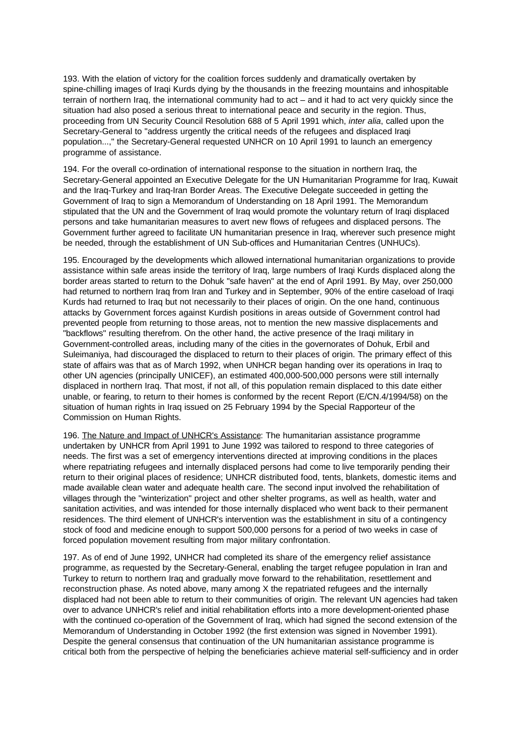193. With the elation of victory for the coalition forces suddenly and dramatically overtaken by spine-chilling images of Iraqi Kurds dying by the thousands in the freezing mountains and inhospitable terrain of northern Iraq, the international community had to act – and it had to act very quickly since the situation had also posed a serious threat to international peace and security in the region. Thus, proceeding from UN Security Council Resolution 688 of 5 April 1991 which, *inter alia*, called upon the Secretary-General to "address urgently the critical needs of the refugees and displaced Iraqi population...," the Secretary-General requested UNHCR on 10 April 1991 to launch an emergency programme of assistance.

194. For the overall co-ordination of international response to the situation in northern Iraq, the Secretary-General appointed an Executive Delegate for the UN Humanitarian Programme for Iraq, Kuwait and the Iraq-Turkey and Iraq-Iran Border Areas. The Executive Delegate succeeded in getting the Government of Iraq to sign a Memorandum of Understanding on 18 April 1991. The Memorandum stipulated that the UN and the Government of Iraq would promote the voluntary return of Iraqi displaced persons and take humanitarian measures to avert new flows of refugees and displaced persons. The Government further agreed to facilitate UN humanitarian presence in Iraq, wherever such presence might be needed, through the establishment of UN Sub-offices and Humanitarian Centres (UNHUCs).

195. Encouraged by the developments which allowed international humanitarian organizations to provide assistance within safe areas inside the territory of Iraq, large numbers of Iraqi Kurds displaced along the border areas started to return to the Dohuk "safe haven" at the end of April 1991. By May, over 250,000 had returned to northern Iraq from Iran and Turkey and in September, 90% of the entire caseload of Iraqi Kurds had returned to Iraq but not necessarily to their places of origin. On the one hand, continuous attacks by Government forces against Kurdish positions in areas outside of Government control had prevented people from returning to those areas, not to mention the new massive displacements and "backflows" resulting therefrom. On the other hand, the active presence of the Iraqi military in Government-controlled areas, including many of the cities in the governorates of Dohuk, Erbil and Suleimaniya, had discouraged the displaced to return to their places of origin. The primary effect of this state of affairs was that as of March 1992, when UNHCR began handing over its operations in Iraq to other UN agencies (principally UNICEF), an estimated 400,000-500,000 persons were still internally displaced in northern Iraq. That most, if not all, of this population remain displaced to this date either unable, or fearing, to return to their homes is conformed by the recent Report (E/CN.4/1994/58) on the situation of human rights in Iraq issued on 25 February 1994 by the Special Rapporteur of the Commission on Human Rights.

196. The Nature and Impact of UNHCR's Assistance: The humanitarian assistance programme undertaken by UNHCR from April 1991 to June 1992 was tailored to respond to three categories of needs. The first was a set of emergency interventions directed at improving conditions in the places where repatriating refugees and internally displaced persons had come to live temporarily pending their return to their original places of residence; UNHCR distributed food, tents, blankets, domestic items and made available clean water and adequate health care. The second input involved the rehabilitation of villages through the "winterization" project and other shelter programs, as well as health, water and sanitation activities, and was intended for those internally displaced who went back to their permanent residences. The third element of UNHCR's intervention was the establishment in situ of a contingency stock of food and medicine enough to support 500,000 persons for a period of two weeks in case of forced population movement resulting from major military confrontation.

197. As of end of June 1992, UNHCR had completed its share of the emergency relief assistance programme, as requested by the Secretary-General, enabling the target refugee population in Iran and Turkey to return to northern Iraq and gradually move forward to the rehabilitation, resettlement and reconstruction phase. As noted above, many among X the repatriated refugees and the internally displaced had not been able to return to their communities of origin. The relevant UN agencies had taken over to advance UNHCR's relief and initial rehabilitation efforts into a more development-oriented phase with the continued co-operation of the Government of Iraq, which had signed the second extension of the Memorandum of Understanding in October 1992 (the first extension was signed in November 1991). Despite the general consensus that continuation of the UN humanitarian assistance programme is critical both from the perspective of helping the beneficiaries achieve material self-sufficiency and in order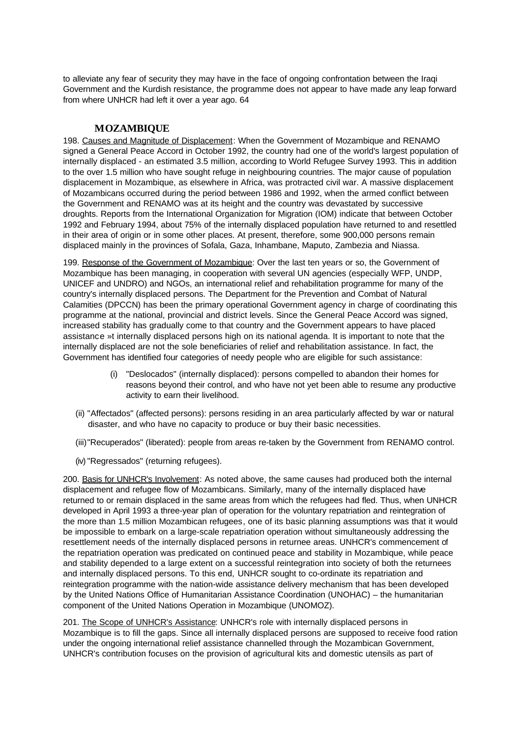to alleviate any fear of security they may have in the face of ongoing confrontation between the Iraqi Government and the Kurdish resistance, the programme does not appear to have made any leap forward from where UNHCR had left it over a year ago. 64

## **MOZAMBIQUE**

198. Causes and Magnitude of Displacement: When the Government of Mozambique and RENAMO signed a General Peace Accord in October 1992, the country had one of the world's largest population of internally displaced - an estimated 3.5 million, according to World Refugee Survey 1993. This in addition to the over 1.5 million who have sought refuge in neighbouring countries. The major cause of population displacement in Mozambique, as elsewhere in Africa, was protracted civil war. A massive displacement of Mozambicans occurred during the period between 1986 and 1992, when the armed conflict between the Government and RENAMO was at its height and the country was devastated by successive droughts. Reports from the International Organization for Migration (IOM) indicate that between October 1992 and February 1994, about 75% of the internally displaced population have returned to and resettled in their area of origin or in some other places. At present, therefore, some 900,000 persons remain displaced mainly in the provinces of Sofala, Gaza, Inhambane, Maputo, Zambezia and Niassa.

199. Response of the Government of Mozambique: Over the last ten years or so, the Government of Mozambique has been managing, in cooperation with several UN agencies (especially WFP, UNDP, UNICEF and UNDRO) and NGOs, an international relief and rehabilitation programme for many of the country's internally displaced persons. The Department for the Prevention and Combat of Natural Calamities (DPCCN) has been the primary operational Government agency in charge of coordinating this programme at the national, provincial and district levels. Since the General Peace Accord was signed, increased stability has gradually come to that country and the Government appears to have placed assistance »t internally displaced persons high on its national agenda. It is important to note that the internally displaced are not the sole beneficiaries of relief and rehabilitation assistance. In fact, the Government has identified four categories of needy people who are eligible for such assistance:

- (i) "Deslocados" (internally displaced): persons compelled to abandon their homes for reasons beyond their control, and who have not yet been able to resume any productive activity to earn their livelihood.
- (ii) "Affectados" (affected persons): persons residing in an area particularly affected by war or natural disaster, and who have no capacity to produce or buy their basic necessities.
- (iii) "Recuperados" (liberated): people from areas re-taken by the Government from RENAMO control.
- (iv) "Regressados" (returning refugees).

200. Basis for UNHCR's Involvement: As noted above, the same causes had produced both the internal displacement and refugee flow of Mozambicans. Similarly, many of the internally displaced have returned to or remain displaced in the same areas from which the refugees had fled. Thus, when UNHCR developed in April 1993 a three-year plan of operation for the voluntary repatriation and reintegration of the more than 1.5 million Mozambican refugees, one of its basic planning assumptions was that it would be impossible to embark on a large-scale repatriation operation without simultaneously addressing the resettlement needs of the internally displaced persons in returnee areas. UNHCR's commencement of the repatriation operation was predicated on continued peace and stability in Mozambique, while peace and stability depended to a large extent on a successful reintegration into society of both the returnees and internally displaced persons. To this end, UNHCR sought to co-ordinate its repatriation and reintegration programme with the nation-wide assistance delivery mechanism that has been developed by the United Nations Office of Humanitarian Assistance Coordination (UNOHAC) – the humanitarian component of the United Nations Operation in Mozambique (UNOMOZ).

201. The Scope of UNHCR's Assistance: UNHCR's role with internally displaced persons in Mozambique is to fill the gaps. Since all internally displaced persons are supposed to receive food ration under the ongoing international relief assistance channelled through the Mozambican Government, UNHCR's contribution focuses on the provision of agricultural kits and domestic utensils as part of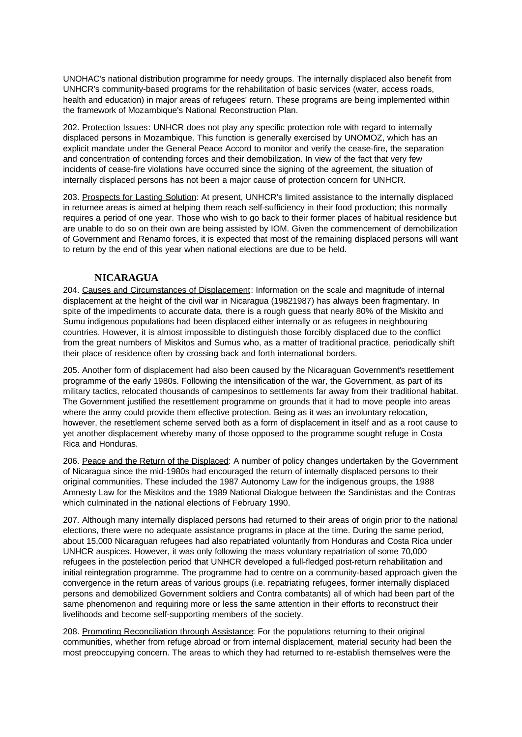UNOHAC's national distribution programme for needy groups. The internally displaced also benefit from UNHCR's community-based programs for the rehabilitation of basic services (water, access roads, health and education) in major areas of refugees' return. These programs are being implemented within the framework of Mozambique's National Reconstruction Plan.

202. Protection Issues: UNHCR does not play any specific protection role with regard to internally displaced persons in Mozambique. This function is generally exercised by UNOMOZ, which has an explicit mandate under the General Peace Accord to monitor and verify the cease-fire, the separation and concentration of contending forces and their demobilization. In view of the fact that very few incidents of cease-fire violations have occurred since the signing of the agreement, the situation of internally displaced persons has not been a major cause of protection concern for UNHCR.

203. Prospects for Lasting Solution: At present, UNHCR's limited assistance to the internally displaced in returnee areas is aimed at helping them reach self-sufficiency in their food production; this normally requires a period of one year. Those who wish to go back to their former places of habitual residence but are unable to do so on their own are being assisted by IOM. Given the commencement of demobilization of Government and Renamo forces, it is expected that most of the remaining displaced persons will want to return by the end of this year when national elections are due to be held.

## **NICARAGUA**

204. Causes and Circumstances of Displacement: Information on the scale and magnitude of internal displacement at the height of the civil war in Nicaragua (19821987) has always been fragmentary. In spite of the impediments to accurate data, there is a rough guess that nearly 80% of the Miskito and Sumu indigenous populations had been displaced either internally or as refugees in neighbouring countries. However, it is almost impossible to distinguish those forcibly displaced due to the conflict from the great numbers of Miskitos and Sumus who, as a matter of traditional practice, periodically shift their place of residence often by crossing back and forth international borders.

205. Another form of displacement had also been caused by the Nicaraguan Government's resettlement programme of the early 1980s. Following the intensification of the war, the Government, as part of its military tactics, relocated thousands of campesinos to settlements far away from their traditional habitat. The Government justified the resettlement programme on grounds that it had to move people into areas where the army could provide them effective protection. Being as it was an involuntary relocation, however, the resettlement scheme served both as a form of displacement in itself and as a root cause to yet another displacement whereby many of those opposed to the programme sought refuge in Costa Rica and Honduras.

206. Peace and the Return of the Displaced: A number of policy changes undertaken by the Government of Nicaragua since the mid-1980s had encouraged the return of internally displaced persons to their original communities. These included the 1987 Autonomy Law for the indigenous groups, the 1988 Amnesty Law for the Miskitos and the 1989 National Dialogue between the Sandinistas and the Contras which culminated in the national elections of February 1990.

207. Although many internally displaced persons had returned to their areas of origin prior to the national elections, there were no adequate assistance programs in place at the time. During the same period, about 15,000 Nicaraguan refugees had also repatriated voluntarily from Honduras and Costa Rica under UNHCR auspices. However, it was only following the mass voluntary repatriation of some 70,000 refugees in the postelection period that UNHCR developed a full-fledged post-return rehabilitation and initial reintegration programme. The programme had to centre on a community-based approach given the convergence in the return areas of various groups (i.e. repatriating refugees, former internally displaced persons and demobilized Government soldiers and Contra combatants) all of which had been part of the same phenomenon and requiring more or less the same attention in their efforts to reconstruct their livelihoods and become self-supporting members of the society.

208. Promoting Reconciliation through Assistance: For the populations returning to their original communities, whether from refuge abroad or from internal displacement, material security had been the most preoccupying concern. The areas to which they had returned to re-establish themselves were the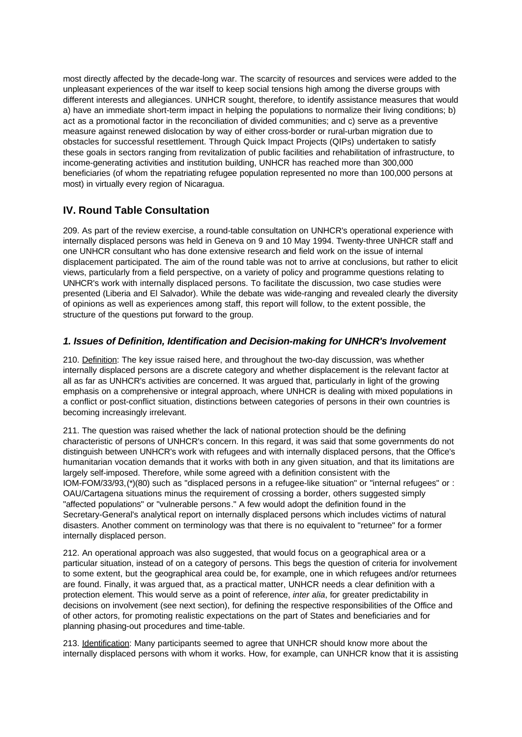most directly affected by the decade-long war. The scarcity of resources and services were added to the unpleasant experiences of the war itself to keep social tensions high among the diverse groups with different interests and allegiances. UNHCR sought, therefore, to identify assistance measures that would a) have an immediate short-term impact in helping the populations to normalize their living conditions; b) act as a promotional factor in the reconciliation of divided communities; and c) serve as a preventive measure against renewed dislocation by way of either cross-border or rural-urban migration due to obstacles for successful resettlement. Through Quick Impact Projects (QIPs) undertaken to satisfy these goals in sectors ranging from revitalization of public facilities and rehabilitation of infrastructure, to income-generating activities and institution building, UNHCR has reached more than 300,000 beneficiaries (of whom the repatriating refugee population represented no more than 100,000 persons at most) in virtually every region of Nicaragua.

# **IV. Round Table Consultation**

209. As part of the review exercise, a round-table consultation on UNHCR's operational experience with internally displaced persons was held in Geneva on 9 and 10 May 1994. Twenty-three UNHCR staff and one UNHCR consultant who has done extensive research and field work on the issue of internal displacement participated. The aim of the round table was not to arrive at conclusions, but rather to elicit views, particularly from a field perspective, on a variety of policy and programme questions relating to UNHCR's work with internally displaced persons. To facilitate the discussion, two case studies were presented (Liberia and El Salvador). While the debate was wide-ranging and revealed clearly the diversity of opinions as well as experiences among staff, this report will follow, to the extent possible, the structure of the questions put forward to the group.

# *1. Issues of Definition, Identification and Decision-making for UNHCR's Involvement*

210. Definition: The key issue raised here, and throughout the two-day discussion, was whether internally displaced persons are a discrete category and whether displacement is the relevant factor at all as far as UNHCR's activities are concerned. It was argued that, particularly in light of the growing emphasis on a comprehensive or integral approach, where UNHCR is dealing with mixed populations in a conflict or post-conflict situation, distinctions between categories of persons in their own countries is becoming increasingly irrelevant.

211. The question was raised whether the lack of national protection should be the defining characteristic of persons of UNHCR's concern. In this regard, it was said that some governments do not distinguish between UNHCR's work with refugees and with internally displaced persons, that the Office's humanitarian vocation demands that it works with both in any given situation, and that its limitations are largely self-imposed. Therefore, while some agreed with a definition consistent with the IOM-FOM/33/93,(\*)(80) such as "displaced persons in a refugee-like situation" or "internal refugees" or : OAU/Cartagena situations minus the requirement of crossing a border, others suggested simply "affected populations" or "vulnerable persons." A few would adopt the definition found in the Secretary-General's analytical report on internally displaced persons which includes victims of natural disasters. Another comment on terminology was that there is no equivalent to "returnee" for a former internally displaced person.

212. An operational approach was also suggested, that would focus on a geographical area or a particular situation, instead of on a category of persons. This begs the question of criteria for involvement to some extent, but the geographical area could be, for example, one in which refugees and/or returnees are found. Finally, it was argued that, as a practical matter, UNHCR needs a clear definition with a protection element. This would serve as a point of reference, *inter alia*, for greater predictability in decisions on involvement (see next section), for defining the respective responsibilities of the Office and of other actors, for promoting realistic expectations on the part of States and beneficiaries and for planning phasing-out procedures and time-table.

213. Identification: Many participants seemed to agree that UNHCR should know more about the internally displaced persons with whom it works. How, for example, can UNHCR know that it is assisting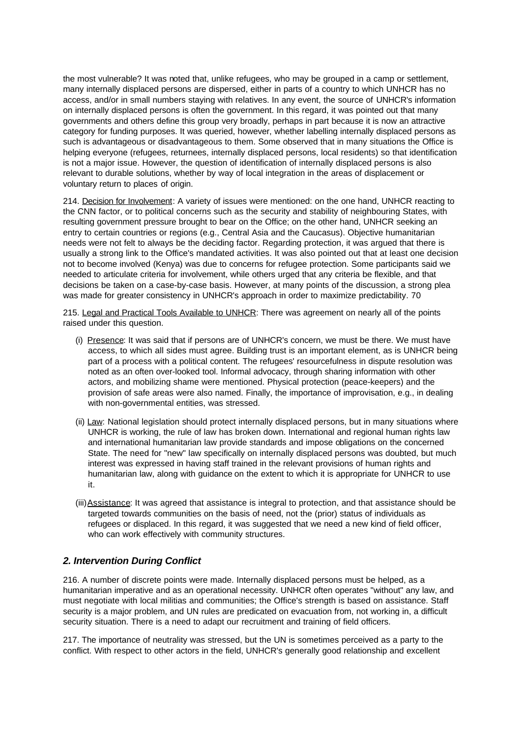the most vulnerable? It was noted that, unlike refugees, who may be grouped in a camp or settlement, many internally displaced persons are dispersed, either in parts of a country to which UNHCR has no access, and/or in small numbers staying with relatives. In any event, the source of UNHCR's information on internally displaced persons is often the government. In this regard, it was pointed out that many governments and others define this group very broadly, perhaps in part because it is now an attractive category for funding purposes. It was queried, however, whether labelling internally displaced persons as such is advantageous or disadvantageous to them. Some observed that in many situations the Office is helping everyone (refugees, returnees, internally displaced persons, local residents) so that identification is not a major issue. However, the question of identification of internally displaced persons is also relevant to durable solutions, whether by way of local integration in the areas of displacement or voluntary return to places of origin.

214. Decision for Involvement: A variety of issues were mentioned: on the one hand, UNHCR reacting to the CNN factor, or to political concerns such as the security and stability of neighbouring States, with resulting government pressure brought to bear on the Office; on the other hand, UNHCR seeking an entry to certain countries or regions (e.g., Central Asia and the Caucasus). Objective humanitarian needs were not felt to always be the deciding factor. Regarding protection, it was argued that there is usually a strong link to the Office's mandated activities. It was also pointed out that at least one decision not to become involved (Kenya) was due to concerns for refugee protection. Some participants said we needed to articulate criteria for involvement, while others urged that any criteria be flexible, and that decisions be taken on a case-by-case basis. However, at many points of the discussion, a strong plea was made for greater consistency in UNHCR's approach in order to maximize predictability. 70

215. Legal and Practical Tools Available to UNHCR: There was agreement on nearly all of the points raised under this question.

- (i) Presence: It was said that if persons are of UNHCR's concern, we must be there. We must have access, to which all sides must agree. Building trust is an important element, as is UNHCR being part of a process with a political content. The refugees' resourcefulness in dispute resolution was noted as an often over-looked tool. Informal advocacy, through sharing information with other actors, and mobilizing shame were mentioned. Physical protection (peace-keepers) and the provision of safe areas were also named. Finally, the importance of improvisation, e.g., in dealing with non-governmental entities, was stressed.
- (ii) Law: National legislation should protect internally displaced persons, but in many situations where UNHCR is working, the rule of law has broken down. International and regional human rights law and international humanitarian law provide standards and impose obligations on the concerned State. The need for "new" law specifically on internally displaced persons was doubted, but much interest was expressed in having staff trained in the relevant provisions of human rights and humanitarian law, along with guidance on the extent to which it is appropriate for UNHCR to use it.
- (iii) Assistance: It was agreed that assistance is integral to protection, and that assistance should be targeted towards communities on the basis of need, not the (prior) status of individuals as refugees or displaced. In this regard, it was suggested that we need a new kind of field officer, who can work effectively with community structures.

# *2. Intervention During Conflict*

216. A number of discrete points were made. Internally displaced persons must be helped, as a humanitarian imperative and as an operational necessity. UNHCR often operates "without" any law, and must negotiate with local militias and communities; the Office's strength is based on assistance. Staff security is a major problem, and UN rules are predicated on evacuation from, not working in, a difficult security situation. There is a need to adapt our recruitment and training of field officers.

217. The importance of neutrality was stressed, but the UN is sometimes perceived as a party to the conflict. With respect to other actors in the field, UNHCR's generally good relationship and excellent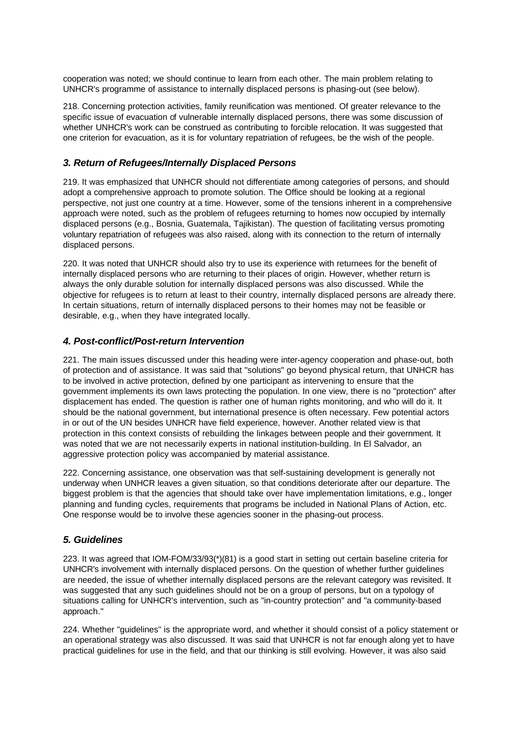cooperation was noted; we should continue to learn from each other. The main problem relating to UNHCR's programme of assistance to internally displaced persons is phasing-out (see below).

218. Concerning protection activities, family reunification was mentioned. Of greater relevance to the specific issue of evacuation of vulnerable internally displaced persons, there was some discussion of whether UNHCR's work can be construed as contributing to forcible relocation. It was suggested that one criterion for evacuation, as it is for voluntary repatriation of refugees, be the wish of the people.

# *3. Return of Refugees/Internally Displaced Persons*

219. It was emphasized that UNHCR should not differentiate among categories of persons, and should adopt a comprehensive approach to promote solution. The Office should be looking at a regional perspective, not just one country at a time. However, some of the tensions inherent in a comprehensive approach were noted, such as the problem of refugees returning to homes now occupied by internally displaced persons (e.g., Bosnia, Guatemala, Tajikistan). The question of facilitating versus promoting voluntary repatriation of refugees was also raised, along with its connection to the return of internally displaced persons.

220. It was noted that UNHCR should also try to use its experience with returnees for the benefit of internally displaced persons who are returning to their places of origin. However, whether return is always the only durable solution for internally displaced persons was also discussed. While the objective for refugees is to return at least to their country, internally displaced persons are already there. In certain situations, return of internally displaced persons to their homes may not be feasible or desirable, e.g., when they have integrated locally.

# *4. Post-conflict/Post-return Intervention*

221. The main issues discussed under this heading were inter-agency cooperation and phase-out, both of protection and of assistance. It was said that "solutions" go beyond physical return, that UNHCR has to be involved in active protection, defined by one participant as intervening to ensure that the government implements its own laws protecting the population. In one view, there is no "protection" after displacement has ended. The question is rather one of human rights monitoring, and who will do it. It should be the national government, but international presence is often necessary. Few potential actors in or out of the UN besides UNHCR have field experience, however. Another related view is that protection in this context consists of rebuilding the linkages between people and their government. It was noted that we are not necessarily experts in national institution-building. In El Salvador, an aggressive protection policy was accompanied by material assistance.

222. Concerning assistance, one observation was that self-sustaining development is generally not underway when UNHCR leaves a given situation, so that conditions deteriorate after our departure. The biggest problem is that the agencies that should take over have implementation limitations, e.g., longer planning and funding cycles, requirements that programs be included in National Plans of Action, etc. One response would be to involve these agencies sooner in the phasing-out process.

# *5. Guidelines*

223. It was agreed that IOM-FOM/33/93(\*)(81) is a good start in setting out certain baseline criteria for UNHCR's involvement with internally displaced persons. On the question of whether further guidelines are needed, the issue of whether internally displaced persons are the relevant category was revisited. It was suggested that any such guidelines should not be on a group of persons, but on a typology of situations calling for UNHCR's intervention, such as "in-country protection" and "a community-based approach."

224. Whether "guidelines" is the appropriate word, and whether it should consist of a policy statement or an operational strategy was also discussed. It was said that UNHCR is not far enough along yet to have practical guidelines for use in the field, and that our thinking is still evolving. However, it was also said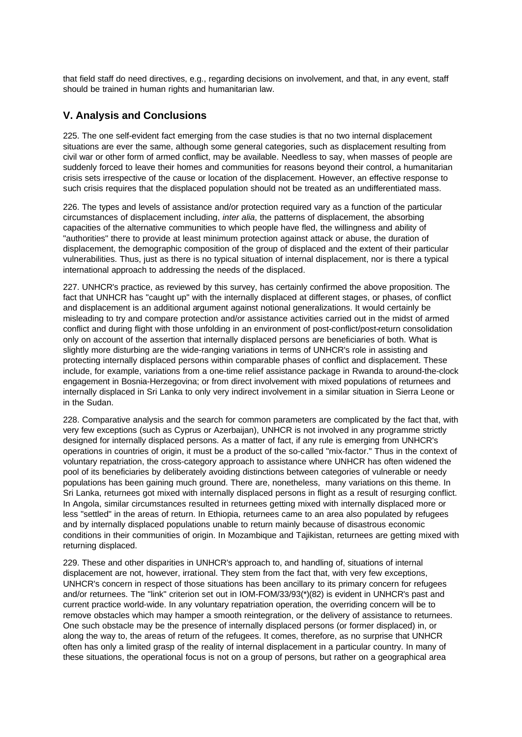that field staff do need directives, e.g., regarding decisions on involvement, and that, in any event, staff should be trained in human rights and humanitarian law.

# **V. Analysis and Conclusions**

225. The one self-evident fact emerging from the case studies is that no two internal displacement situations are ever the same, although some general categories, such as displacement resulting from civil war or other form of armed conflict, may be available. Needless to say, when masses of people are suddenly forced to leave their homes and communities for reasons beyond their control, a humanitarian crisis sets irrespective of the cause or location of the displacement. However, an effective response to such crisis requires that the displaced population should not be treated as an undifferentiated mass.

226. The types and levels of assistance and/or protection required vary as a function of the particular circumstances of displacement including, *inter alia*, the patterns of displacement, the absorbing capacities of the alternative communities to which people have fled, the willingness and ability of "authorities" there to provide at least minimum protection against attack or abuse, the duration of displacement, the demographic composition of the group of displaced and the extent of their particular vulnerabilities. Thus, just as there is no typical situation of internal displacement, nor is there a typical international approach to addressing the needs of the displaced.

227. UNHCR's practice, as reviewed by this survey, has certainly confirmed the above proposition. The fact that UNHCR has "caught up" with the internally displaced at different stages, or phases, of conflict and displacement is an additional argument against notional generalizations. It would certainly be misleading to try and compare protection and/or assistance activities carried out in the midst of armed conflict and during flight with those unfolding in an environment of post-conflict/post-return consolidation only on account of the assertion that internally displaced persons are beneficiaries of both. What is slightly more disturbing are the wide-ranging variations in terms of UNHCR's role in assisting and protecting internally displaced persons within comparable phases of conflict and displacement. These include, for example, variations from a one-time relief assistance package in Rwanda to around-the-clock engagement in Bosnia-Herzegovina; or from direct involvement with mixed populations of returnees and internally displaced in Sri Lanka to only very indirect involvement in a similar situation in Sierra Leone or in the Sudan.

228. Comparative analysis and the search for common parameters are complicated by the fact that, with very few exceptions (such as Cyprus or Azerbaijan), UNHCR is not involved in any programme strictly designed for internally displaced persons. As a matter of fact, if any rule is emerging from UNHCR's operations in countries of origin, it must be a product of the so-called "mix-factor." Thus in the context of voluntary repatriation, the cross-category approach to assistance where UNHCR has often widened the pool of its beneficiaries by deliberately avoiding distinctions between categories of vulnerable or needy populations has been gaining much ground. There are, nonetheless, many variations on this theme. In Sri Lanka, returnees got mixed with internally displaced persons in flight as a result of resurging conflict. In Angola, similar circumstances resulted in returnees getting mixed with internally displaced more or less "settled" in the areas of return. In Ethiopia, returnees came to an area also populated by refugees and by internally displaced populations unable to return mainly because of disastrous economic conditions in their communities of origin. In Mozambique and Tajikistan, returnees are getting mixed with returning displaced.

229. These and other disparities in UNHCR's approach to, and handling of, situations of internal displacement are not, however, irrational. They stem from the fact that, with very few exceptions, UNHCR's concern in respect of those situations has been ancillary to its primary concern for refugees and/or returnees. The "link" criterion set out in IOM-FOM/33/93(\*)(82) is evident in UNHCR's past and current practice world-wide. In any voluntary repatriation operation, the overriding concern will be to remove obstacles which may hamper a smooth reintegration, or the delivery of assistance to returnees. One such obstacle may be the presence of internally displaced persons (or former displaced) in, or along the way to, the areas of return of the refugees. It comes, therefore, as no surprise that UNHCR often has only a limited grasp of the reality of internal displacement in a particular country. In many of these situations, the operational focus is not on a group of persons, but rather on a geographical area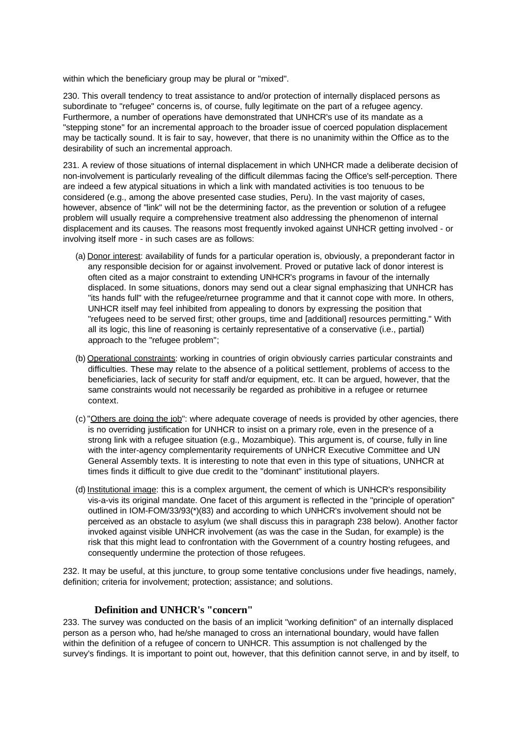within which the beneficiary group may be plural or "mixed".

230. This overall tendency to treat assistance to and/or protection of internally displaced persons as subordinate to "refugee" concerns is, of course, fully legitimate on the part of a refugee agency. Furthermore, a number of operations have demonstrated that UNHCR's use of its mandate as a "stepping stone" for an incremental approach to the broader issue of coerced population displacement may be tactically sound. It is fair to say, however, that there is no unanimity within the Office as to the desirability of such an incremental approach.

231. A review of those situations of internal displacement in which UNHCR made a deliberate decision of non-involvement is particularly revealing of the difficult dilemmas facing the Office's self-perception. There are indeed a few atypical situations in which a link with mandated activities is too tenuous to be considered (e.g., among the above presented case studies, Peru). In the vast majority of cases, however, absence of "link" will not be the determining factor, as the prevention or solution of a refugee problem will usually require a comprehensive treatment also addressing the phenomenon of internal displacement and its causes. The reasons most frequently invoked against UNHCR getting involved - or involving itself more - in such cases are as follows:

- (a) Donor interest: availability of funds for a particular operation is, obviously, a preponderant factor in any responsible decision for or against involvement. Proved or putative lack of donor interest is often cited as a major constraint to extending UNHCR's programs in favour of the internally displaced. In some situations, donors may send out a clear signal emphasizing that UNHCR has "its hands full" with the refugee/returnee programme and that it cannot cope with more. In others, UNHCR itself may feel inhibited from appealing to donors by expressing the position that "refugees need to be served first; other groups, time and [additional] resources permitting." With all its logic, this line of reasoning is certainly representative of a conservative (i.e., partial) approach to the "refugee problem";
- (b) Operational constraints: working in countries of origin obviously carries particular constraints and difficulties. These may relate to the absence of a political settlement, problems of access to the beneficiaries, lack of security for staff and/or equipment, etc. It can be argued, however, that the same constraints would not necessarily be regarded as prohibitive in a refugee or returnee context.
- (c) "Others are doing the job": where adequate coverage of needs is provided by other agencies, there is no overriding justification for UNHCR to insist on a primary role, even in the presence of a strong link with a refugee situation (e.g., Mozambique). This argument is, of course, fully in line with the inter-agency complementarity requirements of UNHCR Executive Committee and UN General Assembly texts. It is interesting to note that even in this type of situations, UNHCR at times finds it difficult to give due credit to the "dominant" institutional players.
- (d) Institutional image: this is a complex argument, the cement of which is UNHCR's responsibility vis-a-vis its original mandate. One facet of this argument is reflected in the "principle of operation" outlined in IOM-FOM/33/93(\*)(83) and according to which UNHCR's involvement should not be perceived as an obstacle to asylum (we shall discuss this in paragraph 238 below). Another factor invoked against visible UNHCR involvement (as was the case in the Sudan, for example) is the risk that this might lead to confrontation with the Government of a country hosting refugees, and consequently undermine the protection of those refugees.

232. It may be useful, at this juncture, to group some tentative conclusions under five headings, namely, definition; criteria for involvement; protection; assistance; and solutions.

## **Definition and UNHCR's "concern"**

233. The survey was conducted on the basis of an implicit "working definition" of an internally displaced person as a person who, had he/she managed to cross an international boundary, would have fallen within the definition of a refugee of concern to UNHCR. This assumption is not challenged by the survey's findings. It is important to point out, however, that this definition cannot serve, in and by itself, to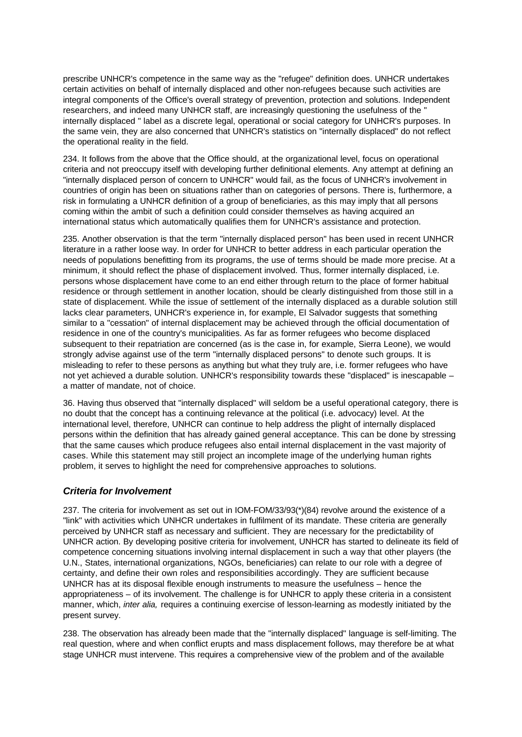prescribe UNHCR's competence in the same way as the "refugee" definition does. UNHCR undertakes certain activities on behalf of internally displaced and other non-refugees because such activities are integral components of the Office's overall strategy of prevention, protection and solutions. Independent researchers, and indeed many UNHCR staff, are increasingly questioning the usefulness of the " internally displaced " label as a discrete legal, operational or social category for UNHCR's purposes. In the same vein, they are also concerned that UNHCR's statistics on "internally displaced" do not reflect the operational reality in the field.

234. It follows from the above that the Office should, at the organizational level, focus on operational criteria and not preoccupy itself with developing further definitional elements. Any attempt at defining an "internally displaced person of concern to UNHCR" would fail, as the focus of UNHCR's involvement in countries of origin has been on situations rather than on categories of persons. There is, furthermore, a risk in formulating a UNHCR definition of a group of beneficiaries, as this may imply that all persons coming within the ambit of such a definition could consider themselves as having acquired an international status which automatically qualifies them for UNHCR's assistance and protection.

235. Another observation is that the term "internally displaced person" has been used in recent UNHCR literature in a rather loose way. In order for UNHCR to better address in each particular operation the needs of populations benefitting from its programs, the use of terms should be made more precise. At a minimum, it should reflect the phase of displacement involved. Thus, former internally displaced, i.e. persons whose displacement have come to an end either through return to the place of former habitual residence or through settlement in another location, should be clearly distinguished from those still in a state of displacement. While the issue of settlement of the internally displaced as a durable solution still lacks clear parameters, UNHCR's experience in, for example, El Salvador suggests that something similar to a "cessation" of internal displacement may be achieved through the official documentation of residence in one of the country's municipalities. As far as former refugees who become displaced subsequent to their repatriation are concerned (as is the case in, for example, Sierra Leone), we would strongly advise against use of the term "internally displaced persons" to denote such groups. It is misleading to refer to these persons as anything but what they truly are, i.e. former refugees who have not yet achieved a durable solution. UNHCR's responsibility towards these "displaced" is inescapable – a matter of mandate, not of choice.

36. Having thus observed that "internally displaced" will seldom be a useful operational category, there is no doubt that the concept has a continuing relevance at the political (i.e. advocacy) level. At the international level, therefore, UNHCR can continue to help address the plight of internally displaced persons within the definition that has already gained general acceptance. This can be done by stressing that the same causes which produce refugees also entail internal displacement in the vast majority of cases. While this statement may still project an incomplete image of the underlying human rights problem, it serves to highlight the need for comprehensive approaches to solutions.

## *Criteria for Involvement*

237. The criteria for involvement as set out in IOM-FOM/33/93(\*)(84) revolve around the existence of a "link" with activities which UNHCR undertakes in fulfilment of its mandate. These criteria are generally perceived by UNHCR staff as necessary and sufficient. They are necessary for the predictability of UNHCR action. By developing positive criteria for involvement, UNHCR has started to delineate its field of competence concerning situations involving internal displacement in such a way that other players (the U.N., States, international organizations, NGOs, beneficiaries) can relate to our role with a degree of certainty, and define their own roles and responsibilities accordingly. They are sufficient because UNHCR has at its disposal flexible enough instruments to measure the usefulness – hence the appropriateness – of its involvement. The challenge is for UNHCR to apply these criteria in a consistent manner, which, *inter alia,* requires a continuing exercise of lesson-learning as modestly initiated by the present survey.

238. The observation has already been made that the "internally displaced" language is self-limiting. The real question, where and when conflict erupts and mass displacement follows, may therefore be at what stage UNHCR must intervene. This requires a comprehensive view of the problem and of the available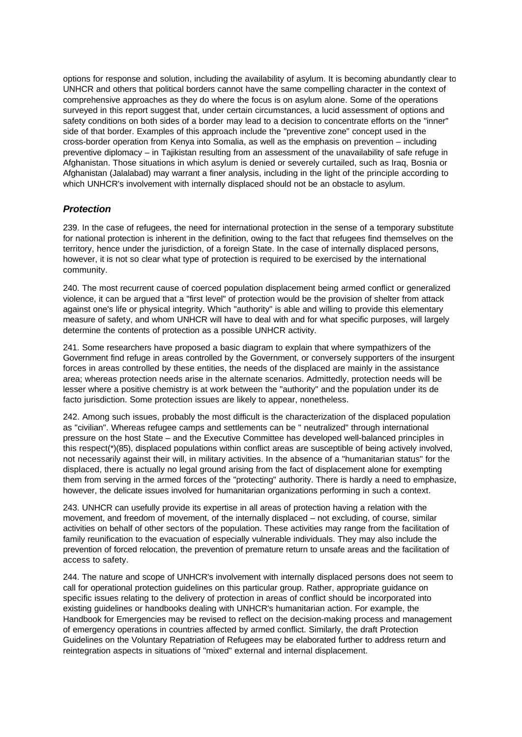options for response and solution, including the availability of asylum. It is becoming abundantly clear to UNHCR and others that political borders cannot have the same compelling character in the context of comprehensive approaches as they do where the focus is on asylum alone. Some of the operations surveyed in this report suggest that, under certain circumstances, a lucid assessment of options and safety conditions on both sides of a border may lead to a decision to concentrate efforts on the "inner" side of that border. Examples of this approach include the "preventive zone" concept used in the cross-border operation from Kenya into Somalia, as well as the emphasis on prevention – including preventive diplomacy – in Tajikistan resulting from an assessment of the unavailability of safe refuge in Afghanistan. Those situations in which asylum is denied or severely curtailed, such as Iraq, Bosnia or Afghanistan (Jalalabad) may warrant a finer analysis, including in the light of the principle according to which UNHCR's involvement with internally displaced should not be an obstacle to asylum.

# *Protection*

239. In the case of refugees, the need for international protection in the sense of a temporary substitute for national protection is inherent in the definition, owing to the fact that refugees find themselves on the territory, hence under the jurisdiction, of a foreign State. In the case of internally displaced persons, however, it is not so clear what type of protection is required to be exercised by the international community.

240. The most recurrent cause of coerced population displacement being armed conflict or generalized violence, it can be argued that a "first level" of protection would be the provision of shelter from attack against one's life or physical integrity. Which "authority" is able and willing to provide this elementary measure of safety, and whom UNHCR will have to deal with and for what specific purposes, will largely determine the contents of protection as a possible UNHCR activity.

241. Some researchers have proposed a basic diagram to explain that where sympathizers of the Government find refuge in areas controlled by the Government, or conversely supporters of the insurgent forces in areas controlled by these entities, the needs of the displaced are mainly in the assistance area; whereas protection needs arise in the alternate scenarios. Admittedly, protection needs will be lesser where a positive chemistry is at work between the "authority" and the population under its de facto jurisdiction. Some protection issues are likely to appear, nonetheless.

242. Among such issues, probably the most difficult is the characterization of the displaced population as "civilian". Whereas refugee camps and settlements can be " neutralized" through international pressure on the host State – and the Executive Committee has developed well-balanced principles in this respect(\*)(85), displaced populations within conflict areas are susceptible of being actively involved, not necessarily against their will, in military activities. In the absence of a "humanitarian status" for the displaced, there is actually no legal ground arising from the fact of displacement alone for exempting them from serving in the armed forces of the "protecting" authority. There is hardly a need to emphasize, however, the delicate issues involved for humanitarian organizations performing in such a context.

243. UNHCR can usefully provide its expertise in all areas of protection having a relation with the movement, and freedom of movement, of the internally displaced – not excluding, of course, similar activities on behalf of other sectors of the population. These activities may range from the facilitation of family reunification to the evacuation of especially vulnerable individuals. They may also include the prevention of forced relocation, the prevention of premature return to unsafe areas and the facilitation of access to safety.

244. The nature and scope of UNHCR's involvement with internally displaced persons does not seem to call for operational protection guidelines on this particular group. Rather, appropriate guidance on specific issues relating to the delivery of protection in areas of conflict should be incorporated into existing guidelines or handbooks dealing with UNHCR's humanitarian action. For example, the Handbook for Emergencies may be revised to reflect on the decision-making process and management of emergency operations in countries affected by armed conflict. Similarly, the draft Protection Guidelines on the Voluntary Repatriation of Refugees may be elaborated further to address return and reintegration aspects in situations of "mixed" external and internal displacement.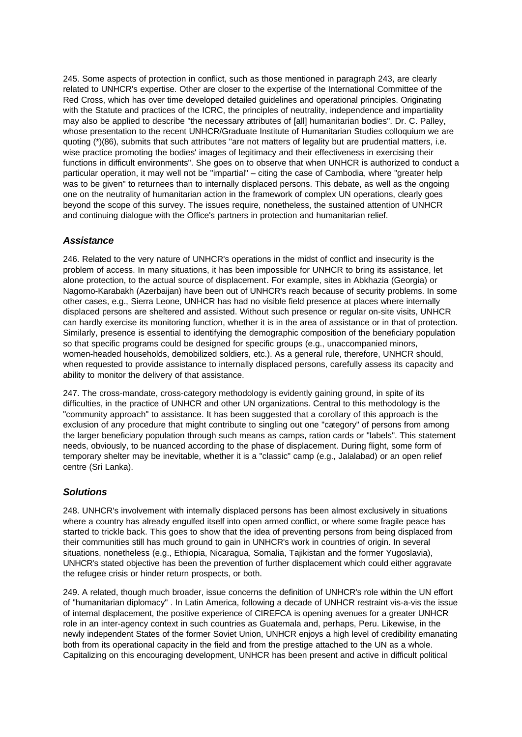245. Some aspects of protection in conflict, such as those mentioned in paragraph 243, are clearly related to UNHCR's expertise. Other are closer to the expertise of the International Committee of the Red Cross, which has over time developed detailed guidelines and operational principles. Originating with the Statute and practices of the ICRC, the principles of neutrality, independence and impartiality may also be applied to describe "the necessary attributes of [all] humanitarian bodies". Dr. C. Palley, whose presentation to the recent UNHCR/Graduate Institute of Humanitarian Studies colloquium we are quoting (\*)(86), submits that such attributes "are not matters of legality but are prudential matters, i.e. wise practice promoting the bodies' images of legitimacy and their effectiveness in exercising their functions in difficult environments". She goes on to observe that when UNHCR is authorized to conduct a particular operation, it may well not be "impartial" – citing the case of Cambodia, where "greater help was to be given" to returnees than to internally displaced persons. This debate, as well as the ongoing one on the neutrality of humanitarian action in the framework of complex UN operations, clearly goes beyond the scope of this survey. The issues require, nonetheless, the sustained attention of UNHCR and continuing dialogue with the Office's partners in protection and humanitarian relief.

# *Assistance*

246. Related to the very nature of UNHCR's operations in the midst of conflict and insecurity is the problem of access. In many situations, it has been impossible for UNHCR to bring its assistance, let alone protection, to the actual source of displacement. For example, sites in Abkhazia (Georgia) or Nagorno-Karabakh (Azerbaijan) have been out of UNHCR's reach because of security problems. In some other cases, e.g., Sierra Leone, UNHCR has had no visible field presence at places where internally displaced persons are sheltered and assisted. Without such presence or regular on-site visits, UNHCR can hardly exercise its monitoring function, whether it is in the area of assistance or in that of protection. Similarly, presence is essential to identifying the demographic composition of the beneficiary population so that specific programs could be designed for specific groups (e.g., unaccompanied minors, women-headed households, demobilized soldiers, etc.). As a general rule, therefore, UNHCR should, when requested to provide assistance to internally displaced persons, carefully assess its capacity and ability to monitor the delivery of that assistance.

247. The cross-mandate, cross-category methodology is evidently gaining ground, in spite of its difficulties, in the practice of UNHCR and other UN organizations. Central to this methodology is the "community approach" to assistance. It has been suggested that a corollary of this approach is the exclusion of any procedure that might contribute to singling out one "category" of persons from among the larger beneficiary population through such means as camps, ration cards or "labels". This statement needs, obviously, to be nuanced according to the phase of displacement. During flight, some form of temporary shelter may be inevitable, whether it is a "classic" camp (e.g., Jalalabad) or an open relief centre (Sri Lanka).

## *Solutions*

248. UNHCR's involvement with internally displaced persons has been almost exclusively in situations where a country has already engulfed itself into open armed conflict, or where some fragile peace has started to trickle back. This goes to show that the idea of preventing persons from being displaced from their communities still has much ground to gain in UNHCR's work in countries of origin. In several situations, nonetheless (e.g., Ethiopia, Nicaragua, Somalia, Tajikistan and the former Yugoslavia), UNHCR's stated objective has been the prevention of further displacement which could either aggravate the refugee crisis or hinder return prospects, or both.

249. A related, though much broader, issue concerns the definition of UNHCR's role within the UN effort of "humanitarian diplomacy" . In Latin America, following a decade of UNHCR restraint vis-a-vis the issue of internal displacement, the positive experience of CIREFCA is opening avenues for a greater UNHCR role in an inter-agency context in such countries as Guatemala and, perhaps, Peru. Likewise, in the newly independent States of the former Soviet Union, UNHCR enjoys a high level of credibility emanating both from its operational capacity in the field and from the prestige attached to the UN as a whole. Capitalizing on this encouraging development, UNHCR has been present and active in difficult political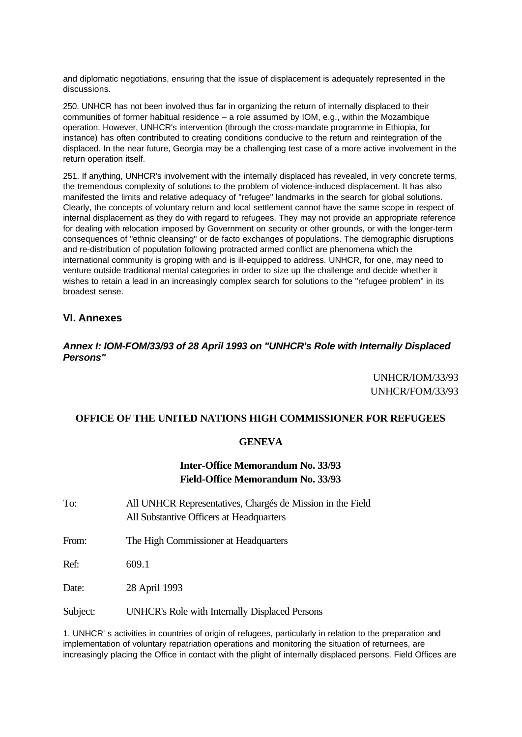and diplomatic negotiations, ensuring that the issue of displacement is adequately represented in the discussions.

250. UNHCR has not been involved thus far in organizing the return of internally displaced to their communities of former habitual residence – a role assumed by IOM, e.g., within the Mozambique operation. However, UNHCR's intervention (through the cross-mandate programme in Ethiopia, for instance) has often contributed to creating conditions conducive to the return and reintegration of the displaced. In the near future, Georgia may be a challenging test case of a more active involvement in the return operation itself.

251. If anything, UNHCR's involvement with the internally displaced has revealed, in very concrete terms, the tremendous complexity of solutions to the problem of violence-induced displacement. It has also manifested the limits and relative adequacy of "refugee" landmarks in the search for global solutions. Clearly, the concepts of voluntary return and local settlement cannot have the same scope in respect of internal displacement as they do with regard to refugees. They may not provide an appropriate reference for dealing with relocation imposed by Government on security or other grounds, or with the longer-term consequences of "ethnic cleansing" or de facto exchanges of populations. The demographic disruptions and re-distribution of population following protracted armed conflict are phenomena which the international community is groping with and is ill-equipped to address. UNHCR, for one, may need to venture outside traditional mental categories in order to size up the challenge and decide whether it wishes to retain a lead in an increasingly complex search for solutions to the "refugee problem" in its broadest sense.

# **VI. Annexes**

## *Annex I: IOM-FOM/33/93 of 28 April 1993 on "UNHCR's Role with Internally Displaced Persons"*

UNHCR/IOM/33/93 UNHCR/FOM/33/93

## **OFFICE OF THE UNITED NATIONS HIGH COMMISSIONER FOR REFUGEES**

### **GENEVA**

# **Inter-Office Memorandum No. 33/93 Field-Office Memorandum No. 33/93**

- To: All UNHCR Representatives, Chargés de Mission in the Field All Substantive Officers at Headquarters
- From: The High Commissioner at Headquarters

Ref: 609.1

Date: 28 April 1993

Subject: UNHCR's Role with Internally Displaced Persons

1. UNHCR' s activities in countries of origin of refugees, particularly in relation to the preparation and implementation of voluntary repatriation operations and monitoring the situation of returnees, are increasingly placing the Office in contact with the plight of internally displaced persons. Field Offices are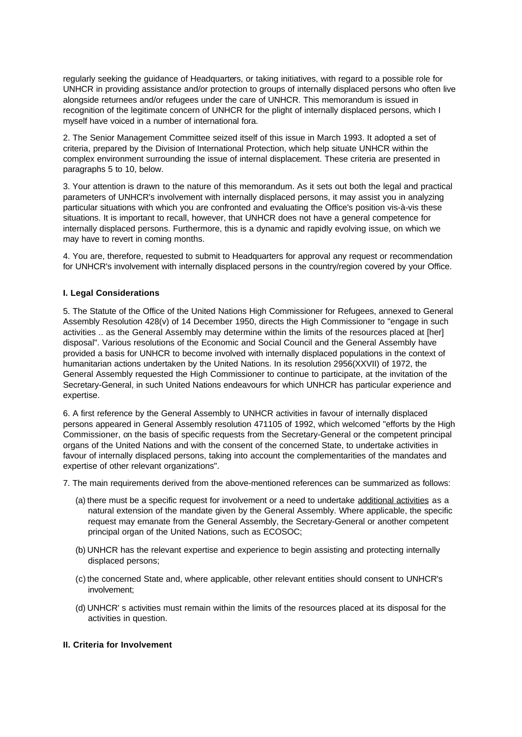regularly seeking the guidance of Headquarters, or taking initiatives, with regard to a possible role for UNHCR in providing assistance and/or protection to groups of internally displaced persons who often live alongside returnees and/or refugees under the care of UNHCR. This memorandum is issued in recognition of the legitimate concern of UNHCR for the plight of internally displaced persons, which I myself have voiced in a number of international fora.

2. The Senior Management Committee seized itself of this issue in March 1993. It adopted a set of criteria, prepared by the Division of International Protection, which help situate UNHCR within the complex environment surrounding the issue of internal displacement. These criteria are presented in paragraphs 5 to 10, below.

3. Your attention is drawn to the nature of this memorandum. As it sets out both the legal and practical parameters of UNHCR's involvement with internally displaced persons, it may assist you in analyzing particular situations with which you are confronted and evaluating the Office's position vis-à-vis these situations. It is important to recall, however, that UNHCR does not have a general competence for internally displaced persons. Furthermore, this is a dynamic and rapidly evolving issue, on which we may have to revert in coming months.

4. You are, therefore, requested to submit to Headquarters for approval any request or recommendation for UNHCR's involvement with internally displaced persons in the country/region covered by your Office.

## **I. Legal Considerations**

5. The Statute of the Office of the United Nations High Commissioner for Refugees, annexed to General Assembly Resolution 428(v) of 14 December 1950, directs the High Commissioner to "engage in such activities .. as the General Assembly may determine within the limits of the resources placed at [her] disposal". Various resolutions of the Economic and Social Council and the General Assembly have provided a basis for UNHCR to become involved with internally displaced populations in the context of humanitarian actions undertaken by the United Nations. In its resolution 2956(XXVII) of 1972, the General Assembly requested the High Commissioner to continue to participate, at the invitation of the Secretary-General, in such United Nations endeavours for which UNHCR has particular experience and expertise.

6. A first reference by the General Assembly to UNHCR activities in favour of internally displaced persons appeared in General Assembly resolution 471105 of 1992, which welcomed "efforts by the High Commissioner, on the basis of specific requests from the Secretary-General or the competent principal organs of the United Nations and with the consent of the concerned State, to undertake activities in favour of internally displaced persons, taking into account the complementarities of the mandates and expertise of other relevant organizations".

7. The main requirements derived from the above-mentioned references can be summarized as follows:

- (a) there must be a specific request for involvement or a need to undertake additional activities as a natural extension of the mandate given by the General Assembly. Where applicable, the specific request may emanate from the General Assembly, the Secretary-General or another competent principal organ of the United Nations, such as ECOSOC;
- (b) UNHCR has the relevant expertise and experience to begin assisting and protecting internally displaced persons;
- (c) the concerned State and, where applicable, other relevant entities should consent to UNHCR's involvement;
- (d) UNHCR' s activities must remain within the limits of the resources placed at its disposal for the activities in question.

### **II. Criteria for Involvement**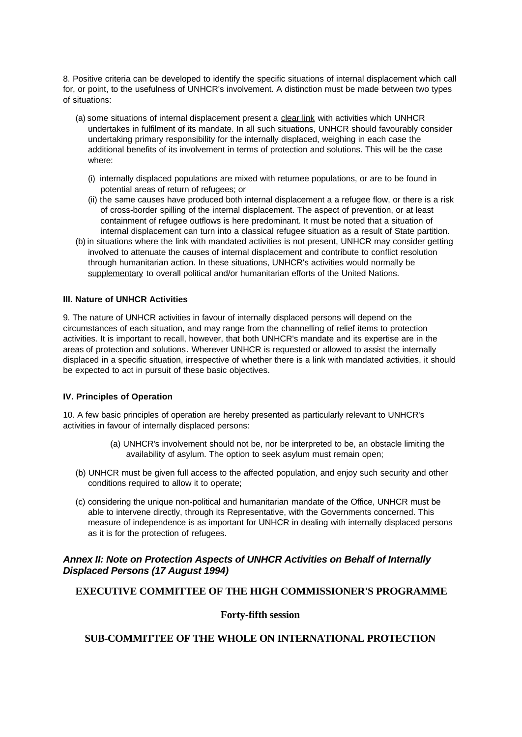8. Positive criteria can be developed to identify the specific situations of internal displacement which call for, or point, to the usefulness of UNHCR's involvement. A distinction must be made between two types of situations:

- (a) some situations of internal displacement present a clear link with activities which UNHCR undertakes in fulfilment of its mandate. In all such situations, UNHCR should favourably consider undertaking primary responsibility for the internally displaced, weighing in each case the additional benefits of its involvement in terms of protection and solutions. This will be the case where:
	- (i) internally displaced populations are mixed with returnee populations, or are to be found in potential areas of return of refugees; or
	- (ii) the same causes have produced both internal displacement a a refugee flow, or there is a risk of cross-border spilling of the internal displacement. The aspect of prevention, or at least containment of refugee outflows is here predominant. It must be noted that a situation of internal displacement can turn into a classical refugee situation as a result of State partition.
- (b) in situations where the link with mandated activities is not present, UNHCR may consider getting involved to attenuate the causes of internal displacement and contribute to conflict resolution through humanitarian action. In these situations, UNHCR's activities would normally be supplementary to overall political and/or humanitarian efforts of the United Nations.

## **III. Nature of UNHCR Activities**

9. The nature of UNHCR activities in favour of internally displaced persons will depend on the circumstances of each situation, and may range from the channelling of relief items to protection activities. It is important to recall, however, that both UNHCR's mandate and its expertise are in the areas of protection and solutions. Wherever UNHCR is requested or allowed to assist the internally displaced in a specific situation, irrespective of whether there is a link with mandated activities, it should be expected to act in pursuit of these basic objectives.

### **IV. Principles of Operation**

10. A few basic principles of operation are hereby presented as particularly relevant to UNHCR's activities in favour of internally displaced persons:

- (a) UNHCR's involvement should not be, nor be interpreted to be, an obstacle limiting the availability of asylum. The option to seek asylum must remain open;
- (b) UNHCR must be given full access to the affected population, and enjoy such security and other conditions required to allow it to operate;
- (c) considering the unique non-political and humanitarian mandate of the Office, UNHCR must be able to intervene directly, through its Representative, with the Governments concerned. This measure of independence is as important for UNHCR in dealing with internally displaced persons as it is for the protection of refugees.

# *Annex II: Note on Protection Aspects of UNHCR Activities on Behalf of Internally Displaced Persons (17 August 1994)*

# **EXECUTIVE COMMITTEE OF THE HIGH COMMISSIONER'S PROGRAMME**

## **Forty-fifth session**

# **SUB-COMMITTEE OF THE WHOLE ON INTERNATIONAL PROTECTION**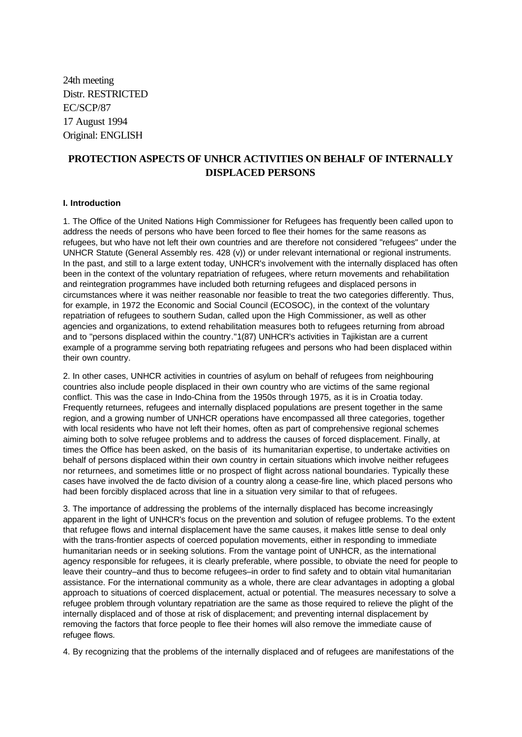24th meeting Distr. RESTRICTED EC/SCP/87 17 August 1994 Original: ENGLISH

# **PROTECTION ASPECTS OF UNHCR ACTIVITIES ON BEHALF OF INTERNALLY DISPLACED PERSONS**

### **I. Introduction**

1. The Office of the United Nations High Commissioner for Refugees has frequently been called upon to address the needs of persons who have been forced to flee their homes for the same reasons as refugees, but who have not left their own countries and are therefore not considered "refugees" under the UNHCR Statute (General Assembly res. 428 (v)) or under relevant international or regional instruments. In the past, and still to a large extent today, UNHCR's involvement with the internally displaced has often been in the context of the voluntary repatriation of refugees, where return movements and rehabilitation and reintegration programmes have included both returning refugees and displaced persons in circumstances where it was neither reasonable nor feasible to treat the two categories differently. Thus, for example, in 1972 the Economic and Social Council (ECOSOC), in the context of the voluntary repatriation of refugees to southern Sudan, called upon the High Commissioner, as well as other agencies and organizations, to extend rehabilitation measures both to refugees returning from abroad and to "persons displaced within the country."1(87) UNHCR's activities in Tajikistan are a current example of a programme serving both repatriating refugees and persons who had been displaced within their own country.

2. In other cases, UNHCR activities in countries of asylum on behalf of refugees from neighbouring countries also include people displaced in their own country who are victims of the same regional conflict. This was the case in Indo-China from the 1950s through 1975, as it is in Croatia today. Frequently returnees, refugees and internally displaced populations are present together in the same region, and a growing number of UNHCR operations have encompassed all three categories, together with local residents who have not left their homes, often as part of comprehensive regional schemes aiming both to solve refugee problems and to address the causes of forced displacement. Finally, at times the Office has been asked, on the basis of its humanitarian expertise, to undertake activities on behalf of persons displaced within their own country in certain situations which involve neither refugees nor returnees, and sometimes little or no prospect of flight across national boundaries. Typically these cases have involved the de facto division of a country along a cease-fire line, which placed persons who had been forcibly displaced across that line in a situation very similar to that of refugees.

3. The importance of addressing the problems of the internally displaced has become increasingly apparent in the light of UNHCR's focus on the prevention and solution of refugee problems. To the extent that refugee flows and internal displacement have the same causes, it makes little sense to deal only with the trans-frontier aspects of coerced population movements, either in responding to immediate humanitarian needs or in seeking solutions. From the vantage point of UNHCR, as the international agency responsible for refugees, it is clearly preferable, where possible, to obviate the need for people to leave their country–and thus to become refugees–in order to find safety and to obtain vital humanitarian assistance. For the international community as a whole, there are clear advantages in adopting a global approach to situations of coerced displacement, actual or potential. The measures necessary to solve a refugee problem through voluntary repatriation are the same as those required to relieve the plight of the internally displaced and of those at risk of displacement; and preventing internal displacement by removing the factors that force people to flee their homes will also remove the immediate cause of refugee flows.

4. By recognizing that the problems of the internally displaced and of refugees are manifestations of the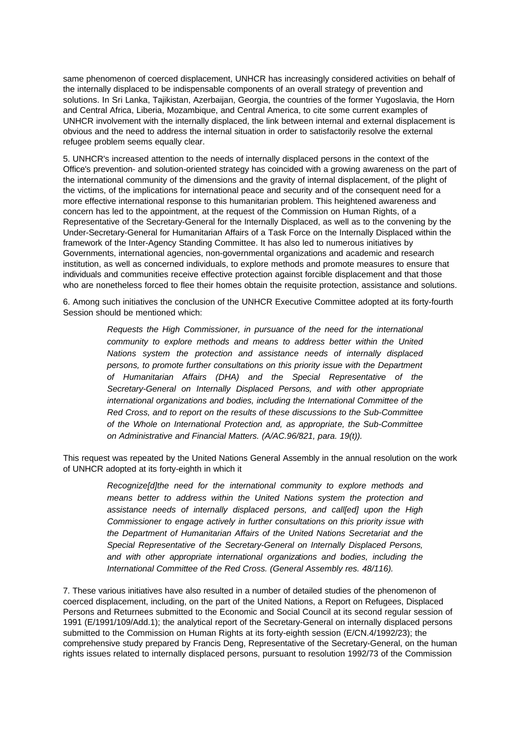same phenomenon of coerced displacement, UNHCR has increasingly considered activities on behalf of the internally displaced to be indispensable components of an overall strategy of prevention and solutions. In Sri Lanka, Tajikistan, Azerbaijan, Georgia, the countries of the former Yugoslavia, the Horn and Central Africa, Liberia, Mozambique, and Central America, to cite some current examples of UNHCR involvement with the internally displaced, the link between internal and external displacement is obvious and the need to address the internal situation in order to satisfactorily resolve the external refugee problem seems equally clear.

5. UNHCR's increased attention to the needs of internally displaced persons in the context of the Office's prevention- and solution-oriented strategy has coincided with a growing awareness on the part of the international community of the dimensions and the gravity of internal displacement, of the plight of the victims, of the implications for international peace and security and of the consequent need for a more effective international response to this humanitarian problem. This heightened awareness and concern has led to the appointment, at the request of the Commission on Human Rights, of a Representative of the Secretary-General for the Internally Displaced, as well as to the convening by the Under-Secretary-General for Humanitarian Affairs of a Task Force on the Internally Displaced within the framework of the Inter-Agency Standing Committee. It has also led to numerous initiatives by Governments, international agencies, non-governmental organizations and academic and research institution, as well as concerned individuals, to explore methods and promote measures to ensure that individuals and communities receive effective protection against forcible displacement and that those who are nonetheless forced to flee their homes obtain the requisite protection, assistance and solutions.

6. Among such initiatives the conclusion of the UNHCR Executive Committee adopted at its forty-fourth Session should be mentioned which:

> *Requests the High Commissioner, in pursuance of the need for the international community to explore methods and means to address better within the United Nations system the protection and assistance needs of internally displaced persons, to promote further consultations on this priority issue with the Department of Humanitarian Affairs (DHA) and the Special Representative of the Secretary-General on Internally Displaced Persons, and with other appropriate international organizations and bodies, including the International Committee of the Red Cross, and to report on the results of these discussions to the Sub-Committee of the Whole on International Protection and, as appropriate, the Sub-Committee on Administrative and Financial Matters. (A/AC.96/821, para. 19(t)).*

This request was repeated by the United Nations General Assembly in the annual resolution on the work of UNHCR adopted at its forty-eighth in which it

> *Recognize[d]the need for the international community to explore methods and means better to address within the United Nations system the protection and assistance needs of internally displaced persons, and call[ed] upon the High Commissioner to engage actively in further consultations on this priority issue with the Department of Humanitarian Affairs of the United Nations Secretariat and the Special Representative of the Secretary-General on Internally Displaced Persons, and with other appropriate international organizations and bodies, including the International Committee of the Red Cross. (General Assembly res. 48/116).*

7. These various initiatives have also resulted in a number of detailed studies of the phenomenon of coerced displacement, including, on the part of the United Nations, a Report on Refugees, Displaced Persons and Returnees submitted to the Economic and Social Council at its second regular session of 1991 (E/1991/109/Add.1); the analytical report of the Secretary-General on internally displaced persons submitted to the Commission on Human Rights at its forty-eighth session (E/CN.4/1992/23); the comprehensive study prepared by Francis Deng, Representative of the Secretary-General, on the human rights issues related to internally displaced persons, pursuant to resolution 1992/73 of the Commission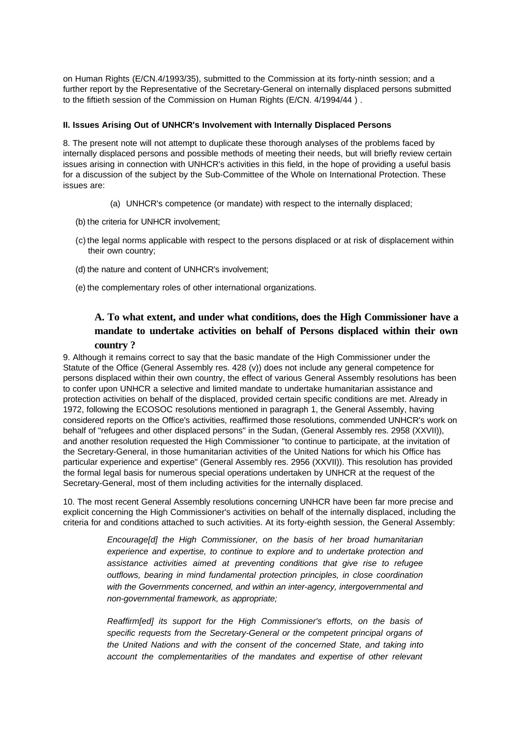on Human Rights (E/CN.4/1993/35), submitted to the Commission at its forty-ninth session; and a further report by the Representative of the Secretary-General on internally displaced persons submitted to the fiftieth session of the Commission on Human Rights (E/CN. 4/1994/44 ) .

### **II. Issues Arising Out of UNHCR's Involvement with Internally Displaced Persons**

8. The present note will not attempt to duplicate these thorough analyses of the problems faced by internally displaced persons and possible methods of meeting their needs, but will briefly review certain issues arising in connection with UNHCR's activities in this field, in the hope of providing a useful basis for a discussion of the subject by the Sub-Committee of the Whole on International Protection. These issues are:

- (a) UNHCR's competence (or mandate) with respect to the internally displaced;
- (b) the criteria for UNHCR involvement;
- (c) the legal norms applicable with respect to the persons displaced or at risk of displacement within their own country;
- (d) the nature and content of UNHCR's involvement;
- (e) the complementary roles of other international organizations.

# **A. To what extent, and under what conditions, does the High Commissioner have a mandate to undertake activities on behalf of Persons displaced within their own country ?**

9. Although it remains correct to say that the basic mandate of the High Commissioner under the Statute of the Office (General Assembly res. 428 (v)) does not include any general competence for persons displaced within their own country, the effect of various General Assembly resolutions has been to confer upon UNHCR a selective and limited mandate to undertake humanitarian assistance and protection activities on behalf of the displaced, provided certain specific conditions are met. Already in 1972, following the ECOSOC resolutions mentioned in paragraph 1, the General Assembly, having considered reports on the Office's activities, reaffirmed those resolutions, commended UNHCR's work on behalf of "refugees and other displaced persons" in the Sudan, (General Assembly res. 2958 (XXVII)), and another resolution requested the High Commissioner "to continue to participate, at the invitation of the Secretary-General, in those humanitarian activities of the United Nations for which his Office has particular experience and expertise" (General Assembly res. 2956 (XXVII)). This resolution has provided the formal legal basis for numerous special operations undertaken by UNHCR at the request of the Secretary-General, most of them including activities for the internally displaced.

10. The most recent General Assembly resolutions concerning UNHCR have been far more precise and explicit concerning the High Commissioner's activities on behalf of the internally displaced, including the criteria for and conditions attached to such activities. At its forty-eighth session, the General Assembly:

> *Encourage[d] the High Commissioner, on the basis of her broad humanitarian experience and expertise, to continue to explore and to undertake protection and assistance activities aimed at preventing conditions that give rise to refugee outflows, bearing in mind fundamental protection principles, in close coordination with the Governments concerned, and within an inter-agency, intergovernmental and non-governmental framework, as appropriate;*

> *Reaffirm[ed] its support for the High Commissioner's efforts, on the basis of specific requests from the Secretary-General or the competent principal organs of the United Nations and with the consent of the concerned State, and taking into account the complementarities of the mandates and expertise of other relevant*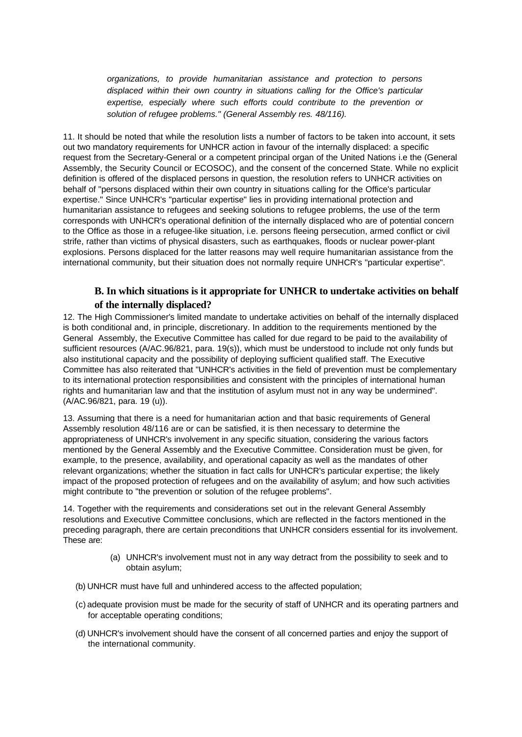*organizations, to provide humanitarian assistance and protection to persons displaced within their own country in situations calling for the Office's particular expertise, especially where such efforts could contribute to the prevention or solution of refugee problems." (General Assembly res. 48/116).*

11. It should be noted that while the resolution lists a number of factors to be taken into account, it sets out two mandatory requirements for UNHCR action in favour of the internally displaced: a specific request from the Secretary-General or a competent principal organ of the United Nations i.e the (General Assembly, the Security Council or ECOSOC), and the consent of the concerned State. While no explicit definition is offered of the displaced persons in question, the resolution refers to UNHCR activities on behalf of "persons displaced within their own country in situations calling for the Office's particular expertise." Since UNHCR's "particular expertise" lies in providing international protection and humanitarian assistance to refugees and seeking solutions to refugee problems, the use of the term corresponds with UNHCR's operational definition of the internally displaced who are of potential concern to the Office as those in a refugee-like situation, i.e. persons fleeing persecution, armed conflict or civil strife, rather than victims of physical disasters, such as earthquakes, floods or nuclear power-plant explosions. Persons displaced for the latter reasons may well require humanitarian assistance from the international community, but their situation does not normally require UNHCR's "particular expertise".

# **B. In which situations is it appropriate for UNHCR to undertake activities on behalf of the internally displaced?**

12. The High Commissioner's limited mandate to undertake activities on behalf of the internally displaced is both conditional and, in principle, discretionary. In addition to the requirements mentioned by the General Assembly, the Executive Committee has called for due regard to be paid to the availability of sufficient resources (A/AC.96/821, para. 19(s)), which must be understood to include not only funds but also institutional capacity and the possibility of deploying sufficient qualified staff. The Executive Committee has also reiterated that "UNHCR's activities in the field of prevention must be complementary to its international protection responsibilities and consistent with the principles of international human rights and humanitarian law and that the institution of asylum must not in any way be undermined". (A/AC.96/821, para. 19 (u)).

13. Assuming that there is a need for humanitarian action and that basic requirements of General Assembly resolution 48/116 are or can be satisfied, it is then necessary to determine the appropriateness of UNHCR's involvement in any specific situation, considering the various factors mentioned by the General Assembly and the Executive Committee. Consideration must be given, for example, to the presence, availability, and operational capacity as well as the mandates of other relevant organizations; whether the situation in fact calls for UNHCR's particular expertise; the likely impact of the proposed protection of refugees and on the availability of asylum; and how such activities might contribute to "the prevention or solution of the refugee problems".

14. Together with the requirements and considerations set out in the relevant General Assembly resolutions and Executive Committee conclusions, which are reflected in the factors mentioned in the preceding paragraph, there are certain preconditions that UNHCR considers essential for its involvement. These are:

- (a) UNHCR's involvement must not in any way detract from the possibility to seek and to obtain asylum;
- (b) UNHCR must have full and unhindered access to the affected population;
- (c) adequate provision must be made for the security of staff of UNHCR and its operating partners and for acceptable operating conditions;
- (d) UNHCR's involvement should have the consent of all concerned parties and enjoy the support of the international community.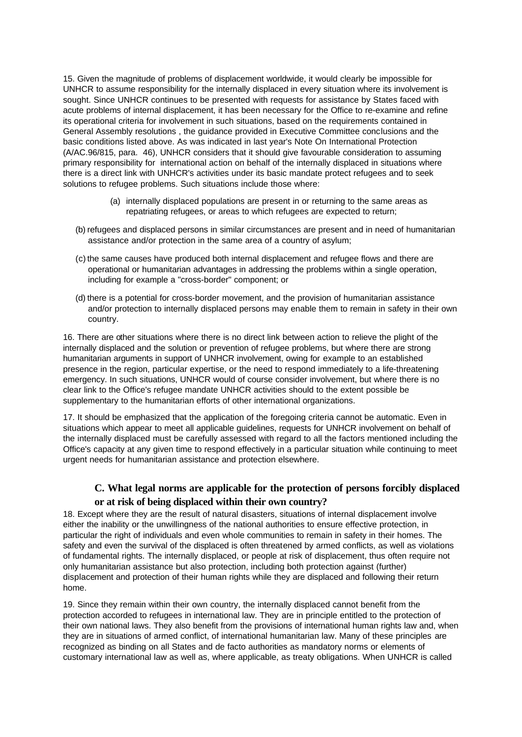15. Given the magnitude of problems of displacement worldwide, it would clearly be impossible for UNHCR to assume responsibility for the internally displaced in every situation where its involvement is sought. Since UNHCR continues to be presented with requests for assistance by States faced with acute problems of internal displacement, it has been necessary for the Office to re-examine and refine its operational criteria for involvement in such situations, based on the requirements contained in General Assembly resolutions , the guidance provided in Executive Committee conclusions and the basic conditions listed above. As was indicated in last year's Note On International Protection (A/AC.96/815, para. 46), UNHCR considers that it should give favourable consideration to assuming primary responsibility for international action on behalf of the internally displaced in situations where there is a direct link with UNHCR's activities under its basic mandate protect refugees and to seek solutions to refugee problems. Such situations include those where:

- (a) internally displaced populations are present in or returning to the same areas as repatriating refugees, or areas to which refugees are expected to return;
- (b) refugees and displaced persons in similar circumstances are present and in need of humanitarian assistance and/or protection in the same area of a country of asylum;
- (c) the same causes have produced both internal displacement and refugee flows and there are operational or humanitarian advantages in addressing the problems within a single operation, including for example a "cross-border" component; or
- (d) there is a potential for cross-border movement, and the provision of humanitarian assistance and/or protection to internally displaced persons may enable them to remain in safety in their own country.

16. There are other situations where there is no direct link between action to relieve the plight of the internally displaced and the solution or prevention of refugee problems, but where there are strong humanitarian arguments in support of UNHCR involvement, owing for example to an established presence in the region, particular expertise, or the need to respond immediately to a life-threatening emergency. In such situations, UNHCR would of course consider involvement, but where there is no clear link to the Office's refugee mandate UNHCR activities should to the extent possible be supplementary to the humanitarian efforts of other international organizations.

17. It should be emphasized that the application of the foregoing criteria cannot be automatic. Even in situations which appear to meet all applicable guidelines, requests for UNHCR involvement on behalf of the internally displaced must be carefully assessed with regard to all the factors mentioned including the Office's capacity at any given time to respond effectively in a particular situation while continuing to meet urgent needs for humanitarian assistance and protection elsewhere.

# **C. What legal norms are applicable for the protection of persons forcibly displaced or at risk of being displaced within their own country?**

18. Except where they are the result of natural disasters, situations of internal displacement involve either the inability or the unwillingness of the national authorities to ensure effective protection, in particular the right of individuals and even whole communities to remain in safety in their homes. The safety and even the survival of the displaced is often threatened by armed conflicts, as well as violations of fundamental rights. The internally displaced, or people at risk of displacement, thus often require not only humanitarian assistance but also protection, including both protection against (further) displacement and protection of their human rights while they are displaced and following their return home.

19. Since they remain within their own country, the internally displaced cannot benefit from the protection accorded to refugees in international law. They are in principle entitled to the protection of their own national laws. They also benefit from the provisions of international human rights law and, when they are in situations of armed conflict, of international humanitarian law. Many of these principles are recognized as binding on all States and de facto authorities as mandatory norms or elements of customary international law as well as, where applicable, as treaty obligations. When UNHCR is called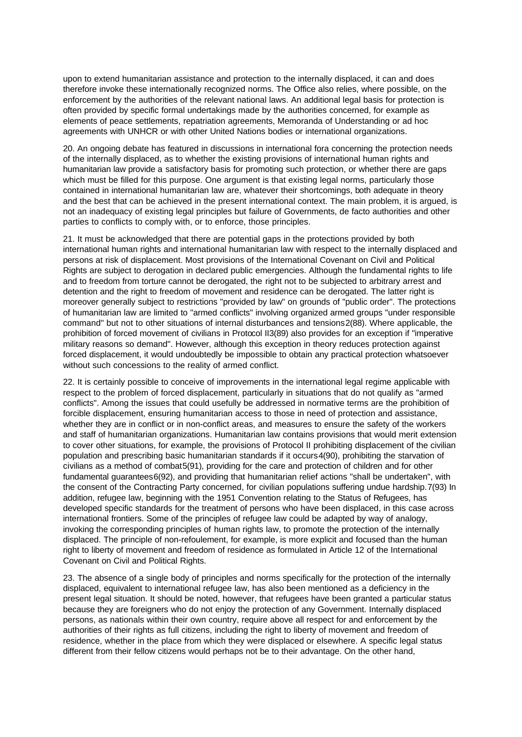upon to extend humanitarian assistance and protection to the internally displaced, it can and does therefore invoke these internationally recognized norms. The Office also relies, where possible, on the enforcement by the authorities of the relevant national laws. An additional legal basis for protection is often provided by specific formal undertakings made by the authorities concerned, for example as elements of peace settlements, repatriation agreements, Memoranda of Understanding or ad hoc agreements with UNHCR or with other United Nations bodies or international organizations.

20. An ongoing debate has featured in discussions in international fora concerning the protection needs of the internally displaced, as to whether the existing provisions of international human rights and humanitarian law provide a satisfactory basis for promoting such protection, or whether there are gaps which must be filled for this purpose. One argument is that existing legal norms, particularly those contained in international humanitarian law are, whatever their shortcomings, both adequate in theory and the best that can be achieved in the present international context. The main problem, it is argued, is not an inadequacy of existing legal principles but failure of Governments, de facto authorities and other parties to conflicts to comply with, or to enforce, those principles.

21. It must be acknowledged that there are potential gaps in the protections provided by both international human rights and international humanitarian law with respect to the internally displaced and persons at risk of displacement. Most provisions of the International Covenant on Civil and Political Rights are subject to derogation in declared public emergencies. Although the fundamental rights to life and to freedom from torture cannot be derogated, the right not to be subjected to arbitrary arrest and detention and the right to freedom of movement and residence can be derogated. The latter right is moreover generally subject to restrictions "provided by law" on grounds of "public order". The protections of humanitarian law are limited to "armed conflicts" involving organized armed groups "under responsible command" but not to other situations of internal disturbances and tensions2(88). Where applicable, the prohibition of forced movement of civilians in Protocol II3(89) also provides for an exception if "imperative military reasons so demand". However, although this exception in theory reduces protection against forced displacement, it would undoubtedly be impossible to obtain any practical protection whatsoever without such concessions to the reality of armed conflict.

22. It is certainly possible to conceive of improvements in the international legal regime applicable with respect to the problem of forced displacement, particularly in situations that do not qualify as "armed conflicts". Among the issues that could usefully be addressed in normative terms are the prohibition of forcible displacement, ensuring humanitarian access to those in need of protection and assistance, whether they are in conflict or in non-conflict areas, and measures to ensure the safety of the workers and staff of humanitarian organizations. Humanitarian law contains provisions that would merit extension to cover other situations, for example, the provisions of Protocol II prohibiting displacement of the civilian population and prescribing basic humanitarian standards if it occurs4(90), prohibiting the starvation of civilians as a method of combat5(91), providing for the care and protection of children and for other fundamental guarantees6(92), and providing that humanitarian relief actions "shall be undertaken", with the consent of the Contracting Party concerned, for civilian populations suffering undue hardship.7(93) In addition, refugee law, beginning with the 1951 Convention relating to the Status of Refugees, has developed specific standards for the treatment of persons who have been displaced, in this case across international frontiers. Some of the principles of refugee law could be adapted by way of analogy, invoking the corresponding principles of human rights law, to promote the protection of the internally displaced. The principle of non-refoulement, for example, is more explicit and focused than the human right to liberty of movement and freedom of residence as formulated in Article 12 of the International Covenant on Civil and Political Rights.

23. The absence of a single body of principles and norms specifically for the protection of the internally displaced, equivalent to international refugee law, has also been mentioned as a deficiency in the present legal situation. It should be noted, however, that refugees have been granted a particular status because they are foreigners who do not enjoy the protection of any Government. Internally displaced persons, as nationals within their own country, require above all respect for and enforcement by the authorities of their rights as full citizens, including the right to liberty of movement and freedom of residence, whether in the place from which they were displaced or elsewhere. A specific legal status different from their fellow citizens would perhaps not be to their advantage. On the other hand,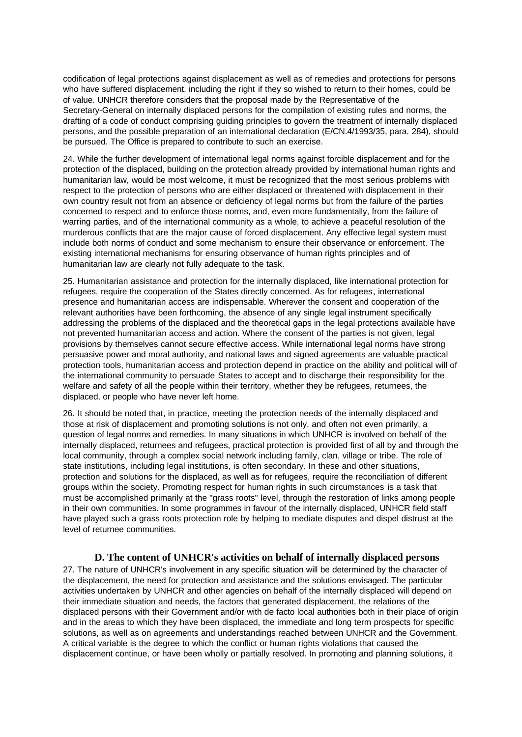codification of legal protections against displacement as well as of remedies and protections for persons who have suffered displacement, including the right if they so wished to return to their homes, could be of value. UNHCR therefore considers that the proposal made by the Representative of the Secretary-General on internally displaced persons for the compilation of existing rules and norms, the drafting of a code of conduct comprising guiding principles to govern the treatment of internally displaced persons, and the possible preparation of an international declaration (E/CN.4/1993/35, para. 284), should be pursued. The Office is prepared to contribute to such an exercise.

24. While the further development of international legal norms against forcible displacement and for the protection of the displaced, building on the protection already provided by international human rights and humanitarian law, would be most welcome, it must be recognized that the most serious problems with respect to the protection of persons who are either displaced or threatened with displacement in their own country result not from an absence or deficiency of legal norms but from the failure of the parties concerned to respect and to enforce those norms, and, even more fundamentally, from the failure of warring parties, and of the international community as a whole, to achieve a peaceful resolution of the murderous conflicts that are the major cause of forced displacement. Any effective legal system must include both norms of conduct and some mechanism to ensure their observance or enforcement. The existing international mechanisms for ensuring observance of human rights principles and of humanitarian law are clearly not fully adequate to the task.

25. Humanitarian assistance and protection for the internally displaced, like international protection for refugees, require the cooperation of the States directly concerned. As for refugees, international presence and humanitarian access are indispensable. Wherever the consent and cooperation of the relevant authorities have been forthcoming, the absence of any single legal instrument specifically addressing the problems of the displaced and the theoretical gaps in the legal protections available have not prevented humanitarian access and action. Where the consent of the parties is not given, legal provisions by themselves cannot secure effective access. While international legal norms have strong persuasive power and moral authority, and national laws and signed agreements are valuable practical protection tools, humanitarian access and protection depend in practice on the ability and political will of the international community to persuade States to accept and to discharge their responsibility for the welfare and safety of all the people within their territory, whether they be refugees, returnees, the displaced, or people who have never left home.

26. It should be noted that, in practice, meeting the protection needs of the internally displaced and those at risk of displacement and promoting solutions is not only, and often not even primarily, a question of legal norms and remedies. In many situations in which UNHCR is involved on behalf of the internally displaced, returnees and refugees, practical protection is provided first of all by and through the local community, through a complex social network including family, clan, village or tribe. The role of state institutions, including legal institutions, is often secondary. In these and other situations, protection and solutions for the displaced, as well as for refugees, require the reconciliation of different groups within the society. Promoting respect for human rights in such circumstances is a task that must be accomplished primarily at the "grass roots" level, through the restoration of links among people in their own communities. In some programmes in favour of the internally displaced, UNHCR field staff have played such a grass roots protection role by helping to mediate disputes and dispel distrust at the level of returnee communities.

## **D. The content of UNHCR's activities on behalf of internally displaced persons**

27. The nature of UNHCR's involvement in any specific situation will be determined by the character of the displacement, the need for protection and assistance and the solutions envisaged. The particular activities undertaken by UNHCR and other agencies on behalf of the internally displaced will depend on their immediate situation and needs, the factors that generated displacement, the relations of the displaced persons with their Government and/or with de facto local authorities both in their place of origin and in the areas to which they have been displaced, the immediate and long term prospects for specific solutions, as well as on agreements and understandings reached between UNHCR and the Government. A critical variable is the degree to which the conflict or human rights violations that caused the displacement continue, or have been wholly or partially resolved. In promoting and planning solutions, it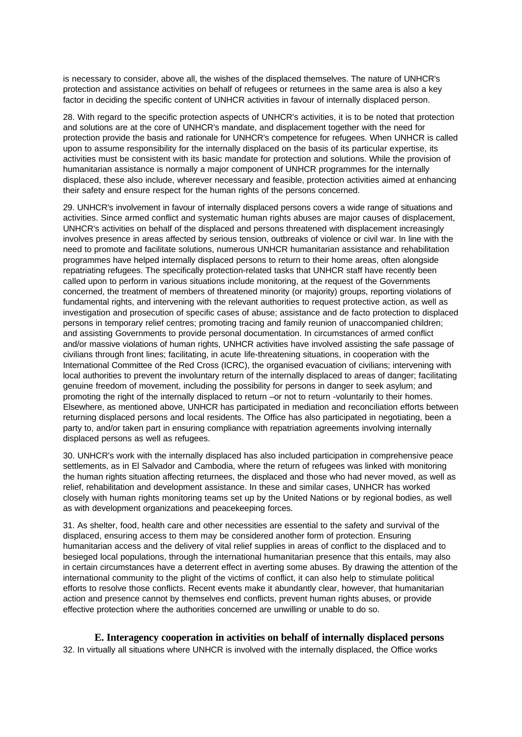is necessary to consider, above all, the wishes of the displaced themselves. The nature of UNHCR's protection and assistance activities on behalf of refugees or returnees in the same area is also a key factor in deciding the specific content of UNHCR activities in favour of internally displaced person.

28. With regard to the specific protection aspects of UNHCR's activities, it is to be noted that protection and solutions are at the core of UNHCR's mandate, and displacement together with the need for protection provide the basis and rationale for UNHCR's competence for refugees. When UNHCR is called upon to assume responsibility for the internally displaced on the basis of its particular expertise, its activities must be consistent with its basic mandate for protection and solutions. While the provision of humanitarian assistance is normally a major component of UNHCR programmes for the internally displaced, these also include, wherever necessary and feasible, protection activities aimed at enhancing their safety and ensure respect for the human rights of the persons concerned.

29. UNHCR's involvement in favour of internally displaced persons covers a wide range of situations and activities. Since armed conflict and systematic human rights abuses are major causes of displacement, UNHCR's activities on behalf of the displaced and persons threatened with displacement increasingly involves presence in areas affected by serious tension, outbreaks of violence or civil war. In line with the need to promote and facilitate solutions, numerous UNHCR humanitarian assistance and rehabilitation programmes have helped internally displaced persons to return to their home areas, often alongside repatriating refugees. The specifically protection-related tasks that UNHCR staff have recently been called upon to perform in various situations include monitoring, at the request of the Governments concerned, the treatment of members of threatened minority (or majority) groups, reporting violations of fundamental rights, and intervening with the relevant authorities to request protective action, as well as investigation and prosecution of specific cases of abuse; assistance and de facto protection to displaced persons in temporary relief centres; promoting tracing and family reunion of unaccompanied children; and assisting Governments to provide personal documentation. In circumstances of armed conflict and/or massive violations of human rights, UNHCR activities have involved assisting the safe passage of civilians through front lines; facilitating, in acute life-threatening situations, in cooperation with the International Committee of the Red Cross (ICRC), the organised evacuation of civilians; intervening with local authorities to prevent the involuntary return of the internally displaced to areas of danger; facilitating genuine freedom of movement, including the possibility for persons in danger to seek asylum; and promoting the right of the internally displaced to return –or not to return -voluntarily to their homes. Elsewhere, as mentioned above, UNHCR has participated in mediation and reconciliation efforts between returning displaced persons and local residents. The Office has also participated in negotiating, been a party to, and/or taken part in ensuring compliance with repatriation agreements involving internally displaced persons as well as refugees.

30. UNHCR's work with the internally displaced has also included participation in comprehensive peace settlements, as in El Salvador and Cambodia, where the return of refugees was linked with monitoring the human rights situation affecting returnees, the displaced and those who had never moved, as well as relief, rehabilitation and development assistance. In these and similar cases, UNHCR has worked closely with human rights monitoring teams set up by the United Nations or by regional bodies, as well as with development organizations and peacekeeping forces.

31. As shelter, food, health care and other necessities are essential to the safety and survival of the displaced, ensuring access to them may be considered another form of protection. Ensuring humanitarian access and the delivery of vital relief supplies in areas of conflict to the displaced and to besieged local populations, through the international humanitarian presence that this entails, may also in certain circumstances have a deterrent effect in averting some abuses. By drawing the attention of the international community to the plight of the victims of conflict, it can also help to stimulate political efforts to resolve those conflicts. Recent events make it abundantly clear, however, that humanitarian action and presence cannot by themselves end conflicts, prevent human rights abuses, or provide effective protection where the authorities concerned are unwilling or unable to do so.

**E. Interagency cooperation in activities on behalf of internally displaced persons**  32. In virtually all situations where UNHCR is involved with the internally displaced, the Office works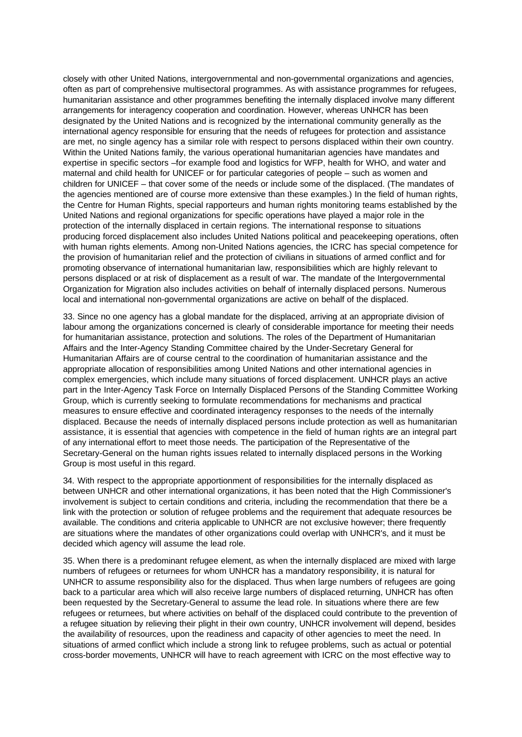closely with other United Nations, intergovernmental and non-governmental organizations and agencies, often as part of comprehensive multisectoral programmes. As with assistance programmes for refugees, humanitarian assistance and other programmes benefiting the internally displaced involve many different arrangements for interagency cooperation and coordination. However, whereas UNHCR has been designated by the United Nations and is recognized by the international community generally as the international agency responsible for ensuring that the needs of refugees for protection and assistance are met, no single agency has a similar role with respect to persons displaced within their own country. Within the United Nations family, the various operational humanitarian agencies have mandates and expertise in specific sectors –for example food and logistics for WFP, health for WHO, and water and maternal and child health for UNICEF or for particular categories of people – such as women and children for UNICEF – that cover some of the needs or include some of the displaced. (The mandates of the agencies mentioned are of course more extensive than these examples.) In the field of human rights, the Centre for Human Rights, special rapporteurs and human rights monitoring teams established by the United Nations and regional organizations for specific operations have played a major role in the protection of the internally displaced in certain regions. The international response to situations producing forced displacement also includes United Nations political and peacekeeping operations, often with human rights elements. Among non-United Nations agencies, the ICRC has special competence for the provision of humanitarian relief and the protection of civilians in situations of armed conflict and for promoting observance of international humanitarian law, responsibilities which are highly relevant to persons displaced or at risk of displacement as a result of war. The mandate of the Intergovernmental Organization for Migration also includes activities on behalf of internally displaced persons. Numerous local and international non-governmental organizations are active on behalf of the displaced.

33. Since no one agency has a global mandate for the displaced, arriving at an appropriate division of labour among the organizations concerned is clearly of considerable importance for meeting their needs for humanitarian assistance, protection and solutions. The roles of the Department of Humanitarian Affairs and the Inter-Agency Standing Committee chaired by the Under-Secretary General for Humanitarian Affairs are of course central to the coordination of humanitarian assistance and the appropriate allocation of responsibilities among United Nations and other international agencies in complex emergencies, which include many situations of forced displacement. UNHCR plays an active part in the Inter-Agency Task Force on Internally Displaced Persons of the Standing Committee Working Group, which is currently seeking to formulate recommendations for mechanisms and practical measures to ensure effective and coordinated interagency responses to the needs of the internally displaced. Because the needs of internally displaced persons include protection as well as humanitarian assistance, it is essential that agencies with competence in the field of human rights are an integral part of any international effort to meet those needs. The participation of the Representative of the Secretary-General on the human rights issues related to internally displaced persons in the Working Group is most useful in this regard.

34. With respect to the appropriate apportionment of responsibilities for the internally displaced as between UNHCR and other international organizations, it has been noted that the High Commissioner's involvement is subject to certain conditions and criteria, including the recommendation that there be a link with the protection or solution of refugee problems and the requirement that adequate resources be available. The conditions and criteria applicable to UNHCR are not exclusive however; there frequently are situations where the mandates of other organizations could overlap with UNHCR's, and it must be decided which agency will assume the lead role.

35. When there is a predominant refugee element, as when the internally displaced are mixed with large numbers of refugees or returnees for whom UNHCR has a mandatory responsibility, it is natural for UNHCR to assume responsibility also for the displaced. Thus when large numbers of refugees are going back to a particular area which will also receive large numbers of displaced returning, UNHCR has often been requested by the Secretary-General to assume the lead role. In situations where there are few refugees or returnees, but where activities on behalf of the displaced could contribute to the prevention of a refugee situation by relieving their plight in their own country, UNHCR involvement will depend, besides the availability of resources, upon the readiness and capacity of other agencies to meet the need. In situations of armed conflict which include a strong link to refugee problems, such as actual or potential cross-border movements, UNHCR will have to reach agreement with ICRC on the most effective way to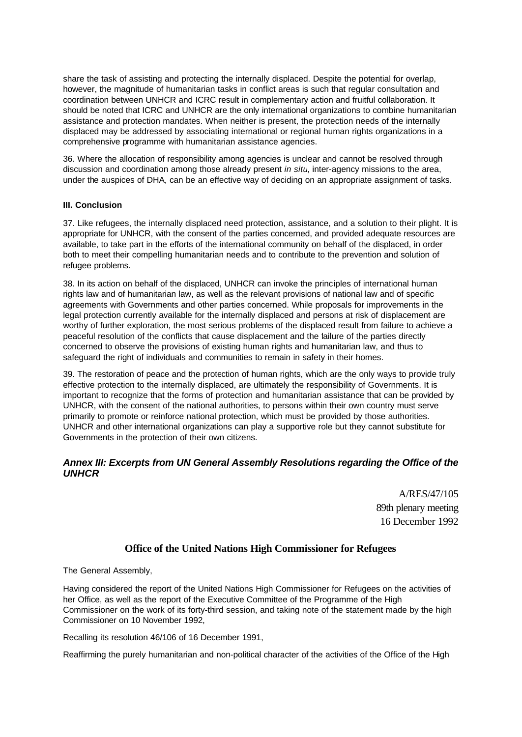share the task of assisting and protecting the internally displaced. Despite the potential for overlap, however, the magnitude of humanitarian tasks in conflict areas is such that regular consultation and coordination between UNHCR and ICRC result in complementary action and fruitful collaboration. It should be noted that ICRC and UNHCR are the only international organizations to combine humanitarian assistance and protection mandates. When neither is present, the protection needs of the internally displaced may be addressed by associating international or regional human rights organizations in a comprehensive programme with humanitarian assistance agencies.

36. Where the allocation of responsibility among agencies is unclear and cannot be resolved through discussion and coordination among those already present *in situ*, inter-agency missions to the area, under the auspices of DHA, can be an effective way of deciding on an appropriate assignment of tasks.

## **III. Conclusion**

37. Like refugees, the internally displaced need protection, assistance, and a solution to their plight. It is appropriate for UNHCR, with the consent of the parties concerned, and provided adequate resources are available, to take part in the efforts of the international community on behalf of the displaced, in order both to meet their compelling humanitarian needs and to contribute to the prevention and solution of refugee problems.

38. In its action on behalf of the displaced, UNHCR can invoke the principles of international human rights law and of humanitarian law, as well as the relevant provisions of national law and of specific agreements with Governments and other parties concerned. While proposals for improvements in the legal protection currently available for the internally displaced and persons at risk of displacement are worthy of further exploration, the most serious problems of the displaced result from failure to achieve a peaceful resolution of the conflicts that cause displacement and the failure of the parties directly concerned to observe the provisions of existing human rights and humanitarian law, and thus to safeguard the right of individuals and communities to remain in safety in their homes.

39. The restoration of peace and the protection of human rights, which are the only ways to provide truly effective protection to the internally displaced, are ultimately the responsibility of Governments. It is important to recognize that the forms of protection and humanitarian assistance that can be provided by UNHCR, with the consent of the national authorities, to persons within their own country must serve primarily to promote or reinforce national protection, which must be provided by those authorities. UNHCR and other international organizations can play a supportive role but they cannot substitute for Governments in the protection of their own citizens.

# *Annex III: Excerpts from UN General Assembly Resolutions regarding the Office of the UNHCR*

A/RES/47/105 89th plenary meeting 16 December 1992

## **Office of the United Nations High Commissioner for Refugees**

The General Assembly,

Having considered the report of the United Nations High Commissioner for Refugees on the activities of her Office, as well as the report of the Executive Committee of the Programme of the High Commissioner on the work of its forty-third session, and taking note of the statement made by the high Commissioner on 10 November 1992,

Recalling its resolution 46/106 of 16 December 1991,

Reaffirming the purely humanitarian and non-political character of the activities of the Office of the High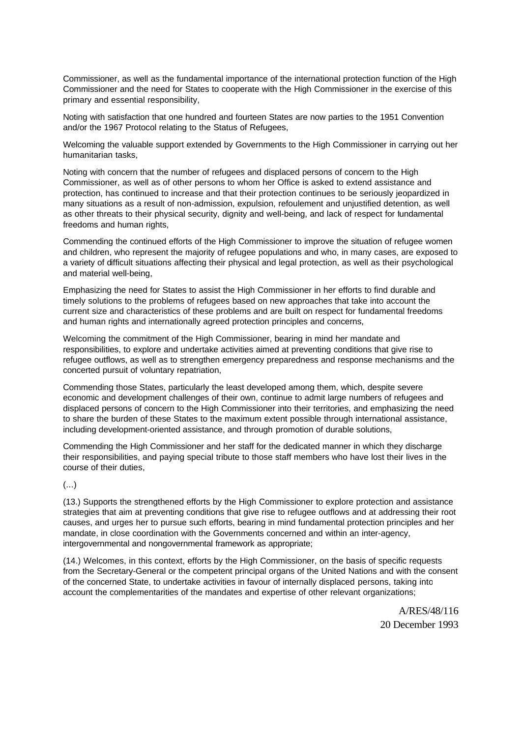Commissioner, as well as the fundamental importance of the international protection function of the High Commissioner and the need for States to cooperate with the High Commissioner in the exercise of this primary and essential responsibility,

Noting with satisfaction that one hundred and fourteen States are now parties to the 1951 Convention and/or the 1967 Protocol relating to the Status of Refugees,

Welcoming the valuable support extended by Governments to the High Commissioner in carrying out her humanitarian tasks,

Noting with concern that the number of refugees and displaced persons of concern to the High Commissioner, as well as of other persons to whom her Office is asked to extend assistance and protection, has continued to increase and that their protection continues to be seriously jeopardized in many situations as a result of non-admission, expulsion, refoulement and unjustified detention, as well as other threats to their physical security, dignity and well-being, and lack of respect for fundamental freedoms and human rights,

Commending the continued efforts of the High Commissioner to improve the situation of refugee women and children, who represent the majority of refugee populations and who, in many cases, are exposed to a variety of difficult situations affecting their physical and legal protection, as well as their psychological and material well-being,

Emphasizing the need for States to assist the High Commissioner in her efforts to find durable and timely solutions to the problems of refugees based on new approaches that take into account the current size and characteristics of these problems and are built on respect for fundamental freedoms and human rights and internationally agreed protection principles and concerns,

Welcoming the commitment of the High Commissioner, bearing in mind her mandate and responsibilities, to explore and undertake activities aimed at preventing conditions that give rise to refugee outflows, as well as to strengthen emergency preparedness and response mechanisms and the concerted pursuit of voluntary repatriation,

Commending those States, particularly the least developed among them, which, despite severe economic and development challenges of their own, continue to admit large numbers of refugees and displaced persons of concern to the High Commissioner into their territories, and emphasizing the need to share the burden of these States to the maximum extent possible through international assistance, including development-oriented assistance, and through promotion of durable solutions,

Commending the High Commissioner and her staff for the dedicated manner in which they discharge their responsibilities, and paying special tribute to those staff members who have lost their lives in the course of their duties,

## (...)

(13.) Supports the strengthened efforts by the High Commissioner to explore protection and assistance strategies that aim at preventing conditions that give rise to refugee outflows and at addressing their root causes, and urges her to pursue such efforts, bearing in mind fundamental protection principles and her mandate, in close coordination with the Governments concerned and within an inter-agency, intergovernmental and nongovernmental framework as appropriate;

(14.) Welcomes, in this context, efforts by the High Commissioner, on the basis of specific requests from the Secretary-General or the competent principal organs of the United Nations and with the consent of the concerned State, to undertake activities in favour of internally displaced persons, taking into account the complementarities of the mandates and expertise of other relevant organizations;

> A/RES/48/116 20 December 1993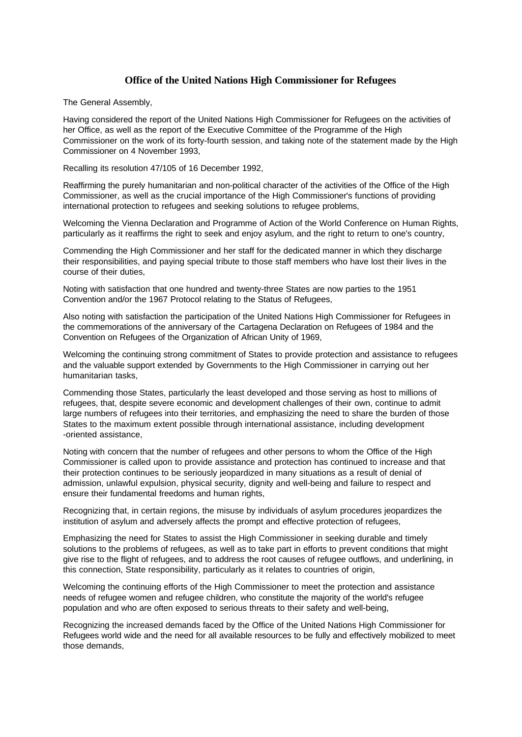# **Office of the United Nations High Commissioner for Refugees**

The General Assembly,

Having considered the report of the United Nations High Commissioner for Refugees on the activities of her Office, as well as the report of the Executive Committee of the Programme of the High Commissioner on the work of its forty-fourth session, and taking note of the statement made by the High Commissioner on 4 November 1993,

Recalling its resolution 47/105 of 16 December 1992,

Reaffirming the purely humanitarian and non-political character of the activities of the Office of the High Commissioner, as well as the crucial importance of the High Commissioner's functions of providing international protection to refugees and seeking solutions to refugee problems,

Welcoming the Vienna Declaration and Programme of Action of the World Conference on Human Rights, particularly as it reaffirms the right to seek and enjoy asylum, and the right to return to one's country,

Commending the High Commissioner and her staff for the dedicated manner in which they discharge their responsibilities, and paying special tribute to those staff members who have lost their lives in the course of their duties,

Noting with satisfaction that one hundred and twenty-three States are now parties to the 1951 Convention and/or the 1967 Protocol relating to the Status of Refugees,

Also noting with satisfaction the participation of the United Nations High Commissioner for Refugees in the commemorations of the anniversary of the Cartagena Declaration on Refugees of 1984 and the Convention on Refugees of the Organization of African Unity of 1969,

Welcoming the continuing strong commitment of States to provide protection and assistance to refugees and the valuable support extended by Governments to the High Commissioner in carrying out her humanitarian tasks,

Commending those States, particularly the least developed and those serving as host to millions of refugees, that, despite severe economic and development challenges of their own, continue to admit large numbers of refugees into their territories, and emphasizing the need to share the burden of those States to the maximum extent possible through international assistance, including development -oriented assistance,

Noting with concern that the number of refugees and other persons to whom the Office of the High Commissioner is called upon to provide assistance and protection has continued to increase and that their protection continues to be seriously jeopardized in many situations as a result of denial of admission, unlawful expulsion, physical security, dignity and well-being and failure to respect and ensure their fundamental freedoms and human rights,

Recognizing that, in certain regions, the misuse by individuals of asylum procedures jeopardizes the institution of asylum and adversely affects the prompt and effective protection of refugees,

Emphasizing the need for States to assist the High Commissioner in seeking durable and timely solutions to the problems of refugees, as well as to take part in efforts to prevent conditions that might give rise to the flight of refugees, and to address the root causes of refugee outflows, and underlining, in this connection, State responsibility, particularly as it relates to countries of origin,

Welcoming the continuing efforts of the High Commissioner to meet the protection and assistance needs of refugee women and refugee children, who constitute the majority of the world's refugee population and who are often exposed to serious threats to their safety and well-being,

Recognizing the increased demands faced by the Office of the United Nations High Commissioner for Refugees world wide and the need for all available resources to be fully and effectively mobilized to meet those demands,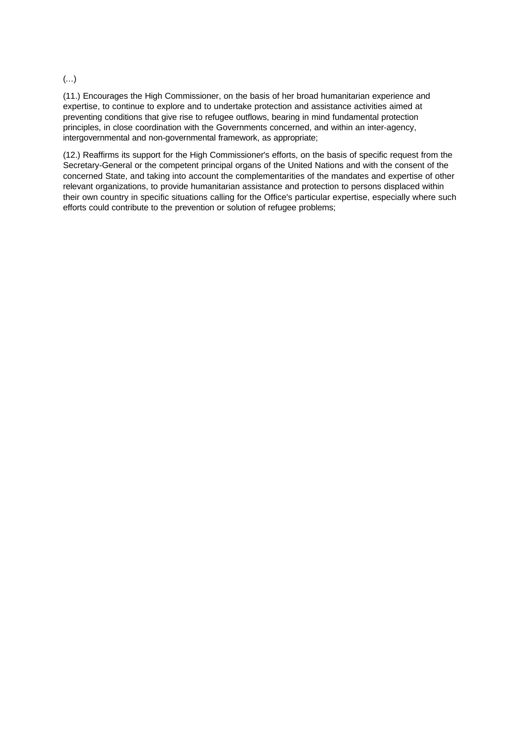## (...)

(11.) Encourages the High Commissioner, on the basis of her broad humanitarian experience and expertise, to continue to explore and to undertake protection and assistance activities aimed at preventing conditions that give rise to refugee outflows, bearing in mind fundamental protection principles, in close coordination with the Governments concerned, and within an inter-agency, intergovernmental and non-governmental framework, as appropriate;

(12.) Reaffirms its support for the High Commissioner's efforts, on the basis of specific request from the Secretary-General or the competent principal organs of the United Nations and with the consent of the concerned State, and taking into account the complementarities of the mandates and expertise of other relevant organizations, to provide humanitarian assistance and protection to persons displaced within their own country in specific situations calling for the Office's particular expertise, especially where such efforts could contribute to the prevention or solution of refugee problems;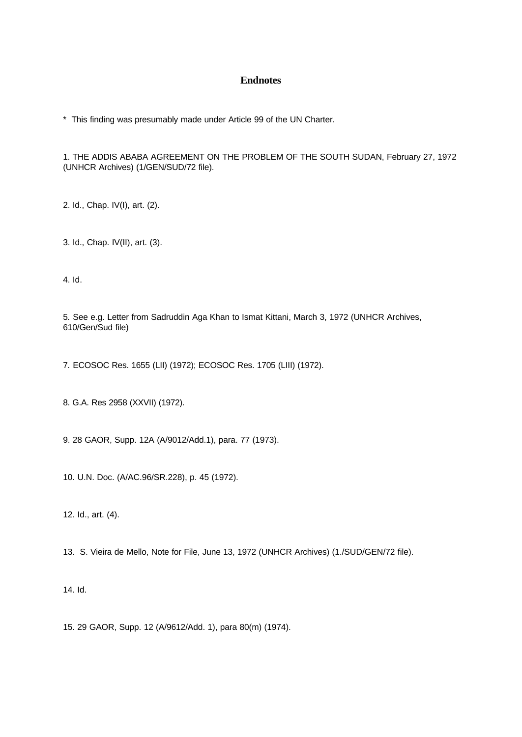## **Endnotes**

\* This finding was presumably made under Article 99 of the UN Charter.

1. THE ADDIS ABABA AGREEMENT ON THE PROBLEM OF THE SOUTH SUDAN, February 27, 1972 (UNHCR Archives) (1/GEN/SUD/72 file).

2. Id., Chap. IV(I), art. (2).

3. Id., Chap. IV(II), art. (3).

4. Id.

5. See e.g. Letter from Sadruddin Aga Khan to Ismat Kittani, March 3, 1972 (UNHCR Archives, 610/Gen/Sud file)

7. ECOSOC Res. 1655 (LII) (1972); ECOSOC Res. 1705 (LIII) (1972).

8. G.A. Res 2958 (XXVII) (1972).

9. 28 GAOR, Supp. 12A (A/9012/Add.1), para. 77 (1973).

10. U.N. Doc. (A/AC.96/SR.228), p. 45 (1972).

12. Id., art. (4).

13. S. Vieira de Mello, Note for File, June 13, 1972 (UNHCR Archives) (1./SUD/GEN/72 file).

14. Id.

15. 29 GAOR, Supp. 12 (A/9612/Add. 1), para 80(m) (1974).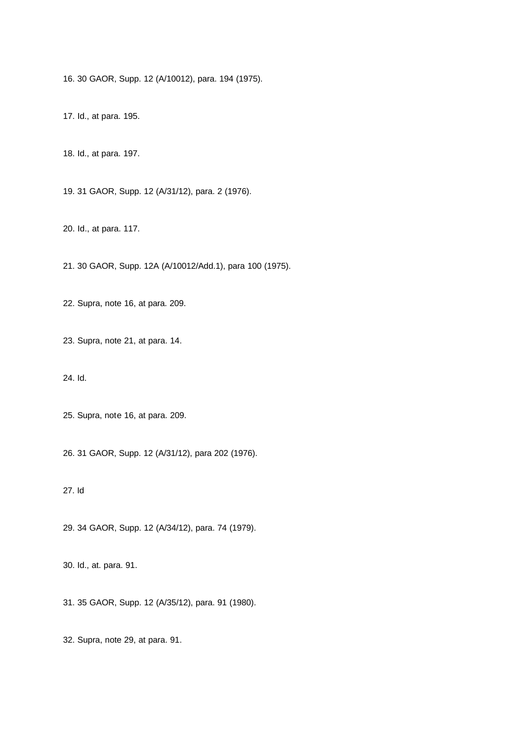16. 30 GAOR, Supp. 12 (A/10012), para. 194 (1975).

17. Id., at para. 195.

18. Id., at para. 197.

19. 31 GAOR, Supp. 12 (A/31/12), para. 2 (1976).

20. Id., at para. 117.

21. 30 GAOR, Supp. 12A (A/10012/Add.1), para 100 (1975).

22. Supra, note 16, at para. 209.

23. Supra, note 21, at para. 14.

24. Id.

25. Supra, note 16, at para. 209.

26. 31 GAOR, Supp. 12 (A/31/12), para 202 (1976).

27. Id

29. 34 GAOR, Supp. 12 (A/34/12), para. 74 (1979).

30. Id., at. para. 91.

31. 35 GAOR, Supp. 12 (A/35/12), para. 91 (1980).

32. Supra, note 29, at para. 91.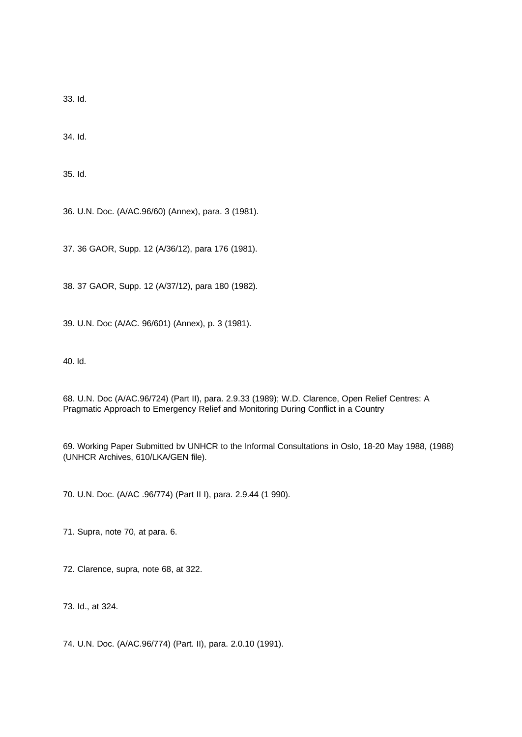33. Id.

34. Id.

35. Id.

36. U.N. Doc. (A/AC.96/60) (Annex), para. 3 (1981).

37. 36 GAOR, Supp. 12 (A/36/12), para 176 (1981).

38. 37 GAOR, Supp. 12 (A/37/12), para 180 (1982).

39. U.N. Doc (A/AC. 96/601) (Annex), p. 3 (1981).

40. Id.

68. U.N. Doc (A/AC.96/724) (Part II), para. 2.9.33 (1989); W.D. Clarence, Open Relief Centres: A Pragmatic Approach to Emergency Relief and Monitoring During Conflict in a Country

69. Working Paper Submitted bv UNHCR to the Informal Consultations in Oslo, 18-20 May 1988, (1988) (UNHCR Archives, 610/LKA/GEN file).

70. U.N. Doc. (A/AC .96/774) (Part II I), para. 2.9.44 (1 990).

71. Supra, note 70, at para. 6.

72. Clarence, supra, note 68, at 322.

73. Id., at 324.

74. U.N. Doc. (A/AC.96/774) (Part. II), para. 2.0.10 (1991).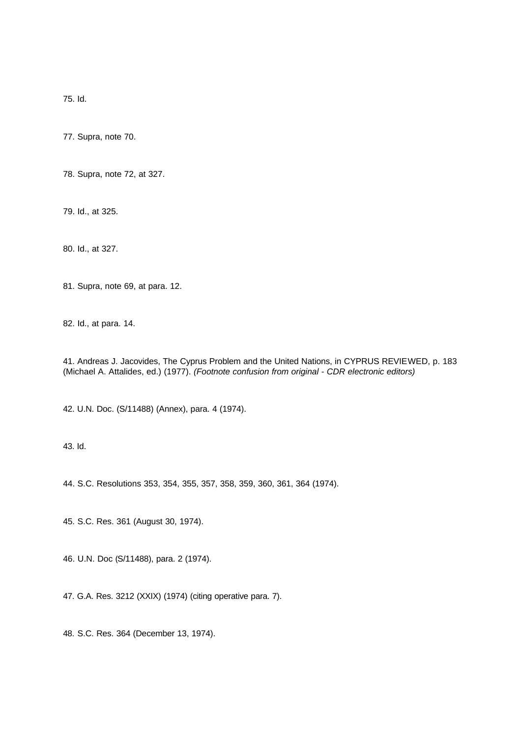75. Id.

77. Supra, note 70.

78. Supra, note 72, at 327.

79. Id., at 325.

80. Id., at 327.

81. Supra, note 69, at para. 12.

82. Id., at para. 14.

41. Andreas J. Jacovides, The Cyprus Problem and the United Nations, in CYPRUS REVIEWED, p. 183 (Michael A. Attalides, ed.) (1977). *(Footnote confusion from original - CDR electronic editors)*

42. U.N. Doc. (S/11488) (Annex), para. 4 (1974).

43. Id.

44. S.C. Resolutions 353, 354, 355, 357, 358, 359, 360, 361, 364 (1974).

45. S.C. Res. 361 (August 30, 1974).

46. U.N. Doc (S/11488), para. 2 (1974).

47. G.A. Res. 3212 (XXIX) (1974) (citing operative para. 7).

48. S.C. Res. 364 (December 13, 1974).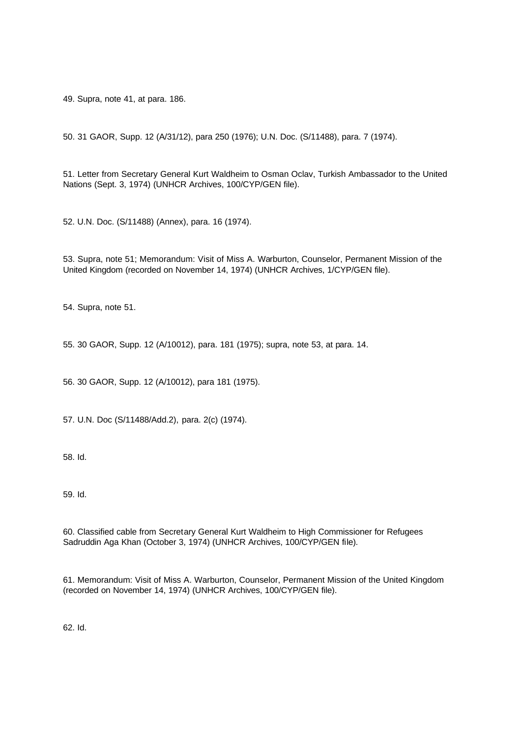49. Supra, note 41, at para. 186.

50. 31 GAOR, Supp. 12 (A/31/12), para 250 (1976); U.N. Doc. (S/11488), para. 7 (1974).

51. Letter from Secretary General Kurt Waldheim to Osman Oclav, Turkish Ambassador to the United Nations (Sept. 3, 1974) (UNHCR Archives, 100/CYP/GEN file).

52. U.N. Doc. (S/11488) (Annex), para. 16 (1974).

53. Supra, note 51; Memorandum: Visit of Miss A. Warburton, Counselor, Permanent Mission of the United Kingdom (recorded on November 14, 1974) (UNHCR Archives, 1/CYP/GEN file).

54. Supra, note 51.

55. 30 GAOR, Supp. 12 (A/10012), para. 181 (1975); supra, note 53, at para. 14.

56. 30 GAOR, Supp. 12 (A/10012), para 181 (1975).

57. U.N. Doc (S/11488/Add.2), para. 2(c) (1974).

58. Id.

59. Id.

60. Classified cable from Secretary General Kurt Waldheim to High Commissioner for Refugees Sadruddin Aga Khan (October 3, 1974) (UNHCR Archives, 100/CYP/GEN file).

61. Memorandum: Visit of Miss A. Warburton, Counselor, Permanent Mission of the United Kingdom (recorded on November 14, 1974) (UNHCR Archives, 100/CYP/GEN file).

62. Id.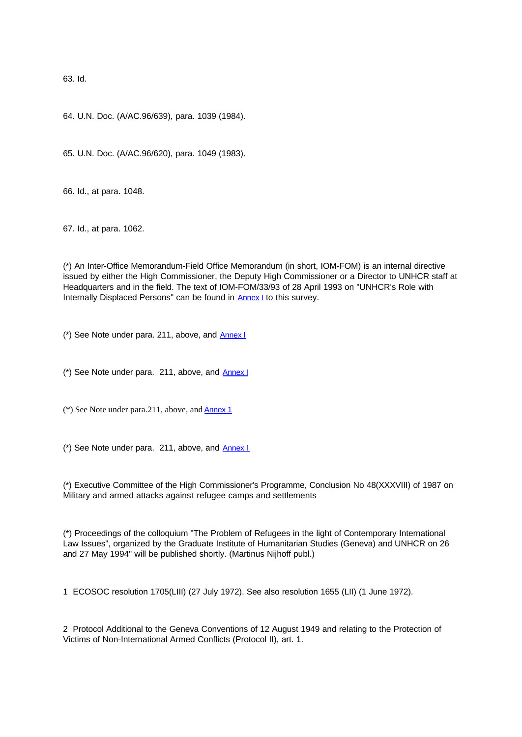63. Id.

64. U.N. Doc. (A/AC.96/639), para. 1039 (1984).

65. U.N. Doc. (A/AC.96/620), para. 1049 (1983).

66. Id., at para. 1048.

67. Id., at para. 1062.

(\*) An Inter-Office Memorandum-Field Office Memorandum (in short, IOM-FOM) is an internal directive issued by either the High Commissioner, the Deputy High Commissioner or a Director to UNHCR staff at Headquarters and in the field. The text of IOM-FOM/33/93 of 28 April 1993 on "UNHCR's Role with Internally Displaced Persons" can be found in **Annex** to this survey.

(\*) See Note under para. 211, above, and Annex I

(\*) See Note under para. 211, above, and Annex I

(\*) See Note under para.211, above, and Annex 1

(\*) See Note under para. 211, above, and Annex I

(\*) Executive Committee of the High Commissioner's Programme, Conclusion No 48(XXXVIII) of 1987 on Military and armed attacks against refugee camps and settlements

(\*) Proceedings of the colloquium "The Problem of Refugees in the light of Contemporary International Law Issues", organized by the Graduate Institute of Humanitarian Studies (Geneva) and UNHCR on 26 and 27 May 1994" will be published shortly. (Martinus Nijhoff publ.)

1 ECOSOC resolution 1705(LIII) (27 July 1972). See also resolution 1655 (LII) (1 June 1972).

2 Protocol Additional to the Geneva Conventions of 12 August 1949 and relating to the Protection of Victims of Non-International Armed Conflicts (Protocol II), art. 1.